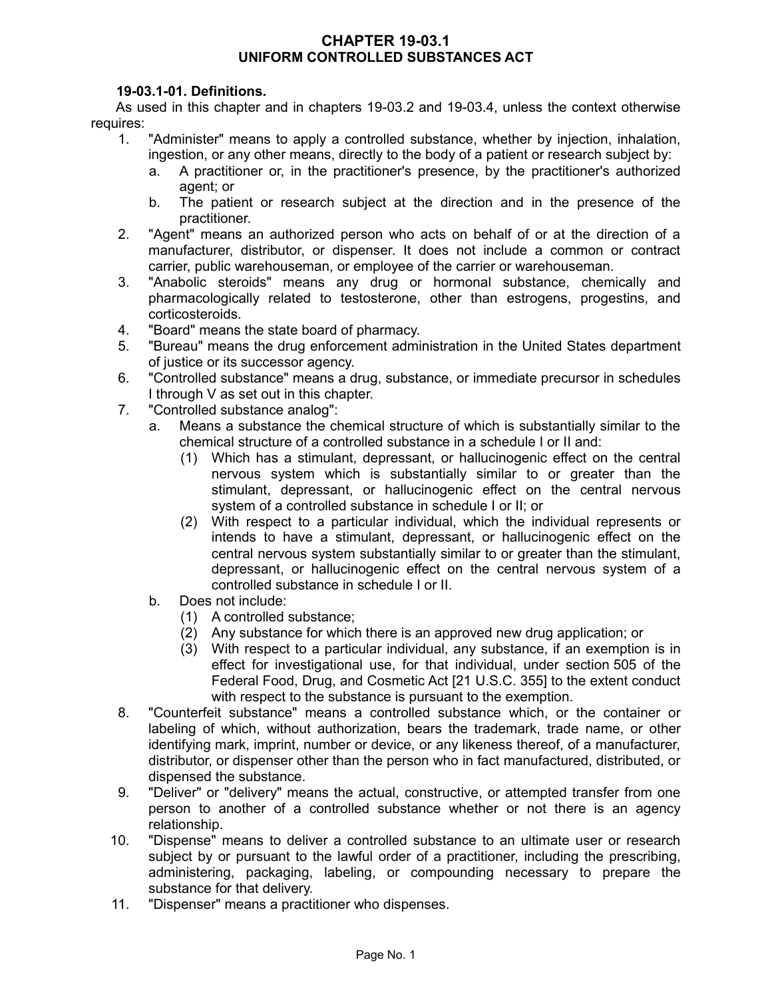#### **CHAPTER 19-03.1 UNIFORM CONTROLLED SUBSTANCES ACT**

## **19-03.1-01. Definitions.**

As used in this chapter and in chapters 19-03.2 and 19-03.4, unless the context otherwise requires:

- 1. "Administer" means to apply a controlled substance, whether by injection, inhalation, ingestion, or any other means, directly to the body of a patient or research subject by:
	- a. A practitioner or, in the practitioner's presence, by the practitioner's authorized agent; or
	- b. The patient or research subject at the direction and in the presence of the practitioner.
- 2. "Agent" means an authorized person who acts on behalf of or at the direction of a manufacturer, distributor, or dispenser. It does not include a common or contract carrier, public warehouseman, or employee of the carrier or warehouseman.
- 3. "Anabolic steroids" means any drug or hormonal substance, chemically and pharmacologically related to testosterone, other than estrogens, progestins, and corticosteroids.
- 4. "Board" means the state board of pharmacy.
- 5. "Bureau" means the drug enforcement administration in the United States department of justice or its successor agency.
- 6. "Controlled substance" means a drug, substance, or immediate precursor in schedules I through V as set out in this chapter.
- 7. "Controlled substance analog":
	- a. Means a substance the chemical structure of which is substantially similar to the chemical structure of a controlled substance in a schedule I or II and:
		- (1) Which has a stimulant, depressant, or hallucinogenic effect on the central nervous system which is substantially similar to or greater than the stimulant, depressant, or hallucinogenic effect on the central nervous system of a controlled substance in schedule I or II; or
		- (2) With respect to a particular individual, which the individual represents or intends to have a stimulant, depressant, or hallucinogenic effect on the central nervous system substantially similar to or greater than the stimulant, depressant, or hallucinogenic effect on the central nervous system of a controlled substance in schedule I or II.
	- b. Does not include:
		- (1) A controlled substance;
		- (2) Any substance for which there is an approved new drug application; or
		- (3) With respect to a particular individual, any substance, if an exemption is in effect for investigational use, for that individual, under section 505 of the Federal Food, Drug, and Cosmetic Act [21 U.S.C. 355] to the extent conduct with respect to the substance is pursuant to the exemption.
- 8. "Counterfeit substance" means a controlled substance which, or the container or labeling of which, without authorization, bears the trademark, trade name, or other identifying mark, imprint, number or device, or any likeness thereof, of a manufacturer, distributor, or dispenser other than the person who in fact manufactured, distributed, or dispensed the substance.
- 9. "Deliver" or "delivery" means the actual, constructive, or attempted transfer from one person to another of a controlled substance whether or not there is an agency relationship.
- 10. "Dispense" means to deliver a controlled substance to an ultimate user or research subject by or pursuant to the lawful order of a practitioner, including the prescribing, administering, packaging, labeling, or compounding necessary to prepare the substance for that delivery.
- 11. "Dispenser" means a practitioner who dispenses.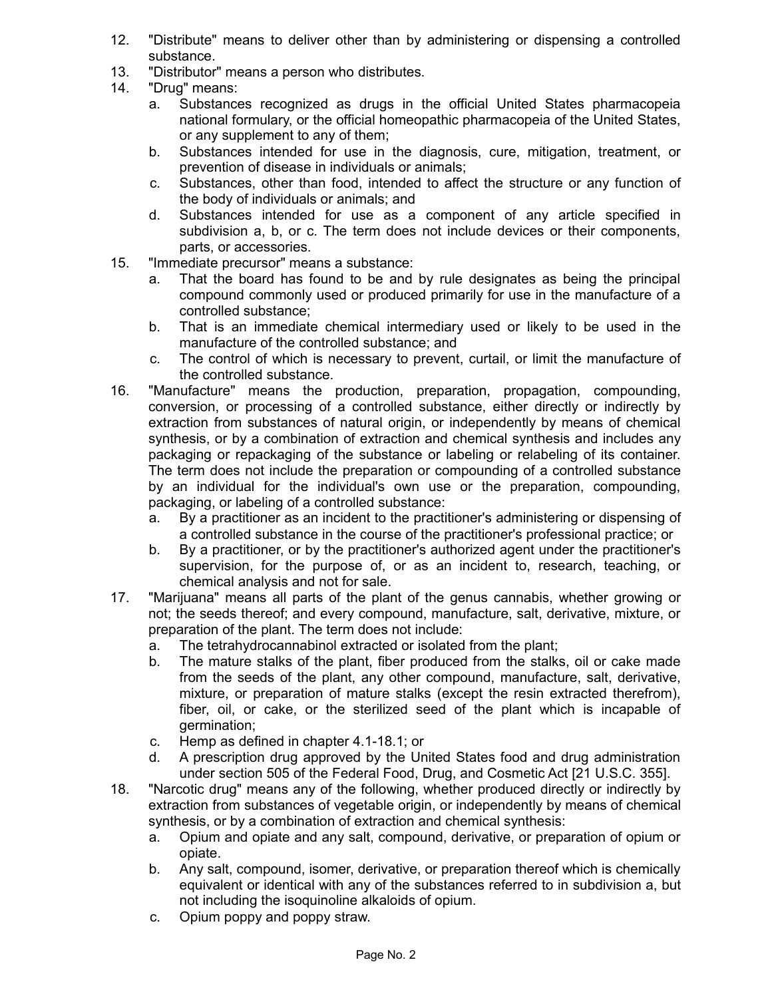- 12. "Distribute" means to deliver other than by administering or dispensing a controlled substance.
- 13. "Distributor" means a person who distributes.
- 14. "Drug" means:
	- a. Substances recognized as drugs in the official United States pharmacopeia national formulary, or the official homeopathic pharmacopeia of the United States, or any supplement to any of them;
	- b. Substances intended for use in the diagnosis, cure, mitigation, treatment, or prevention of disease in individuals or animals;
	- c. Substances, other than food, intended to affect the structure or any function of the body of individuals or animals; and
	- d. Substances intended for use as a component of any article specified in subdivision a, b, or c. The term does not include devices or their components, parts, or accessories.
- 15. "Immediate precursor" means a substance:
	- a. That the board has found to be and by rule designates as being the principal compound commonly used or produced primarily for use in the manufacture of a controlled substance;
	- b. That is an immediate chemical intermediary used or likely to be used in the manufacture of the controlled substance; and
	- c. The control of which is necessary to prevent, curtail, or limit the manufacture of the controlled substance.
- 16. "Manufacture" means the production, preparation, propagation, compounding, conversion, or processing of a controlled substance, either directly or indirectly by extraction from substances of natural origin, or independently by means of chemical synthesis, or by a combination of extraction and chemical synthesis and includes any packaging or repackaging of the substance or labeling or relabeling of its container. The term does not include the preparation or compounding of a controlled substance by an individual for the individual's own use or the preparation, compounding, packaging, or labeling of a controlled substance:
	- a. By a practitioner as an incident to the practitioner's administering or dispensing of a controlled substance in the course of the practitioner's professional practice; or
	- b. By a practitioner, or by the practitioner's authorized agent under the practitioner's supervision, for the purpose of, or as an incident to, research, teaching, or chemical analysis and not for sale.
- 17. "Marijuana" means all parts of the plant of the genus cannabis, whether growing or not; the seeds thereof; and every compound, manufacture, salt, derivative, mixture, or preparation of the plant. The term does not include:
	- a. The tetrahydrocannabinol extracted or isolated from the plant;
	- b. The mature stalks of the plant, fiber produced from the stalks, oil or cake made from the seeds of the plant, any other compound, manufacture, salt, derivative, mixture, or preparation of mature stalks (except the resin extracted therefrom), fiber, oil, or cake, or the sterilized seed of the plant which is incapable of germination;
	- c. Hemp as defined in chapter 4.1-18.1; or
	- d. A prescription drug approved by the United States food and drug administration under section 505 of the Federal Food, Drug, and Cosmetic Act [21 U.S.C. 355].
- 18. "Narcotic drug" means any of the following, whether produced directly or indirectly by extraction from substances of vegetable origin, or independently by means of chemical synthesis, or by a combination of extraction and chemical synthesis:
	- a. Opium and opiate and any salt, compound, derivative, or preparation of opium or opiate.
	- b. Any salt, compound, isomer, derivative, or preparation thereof which is chemically equivalent or identical with any of the substances referred to in subdivision a, but not including the isoquinoline alkaloids of opium.
	- c. Opium poppy and poppy straw.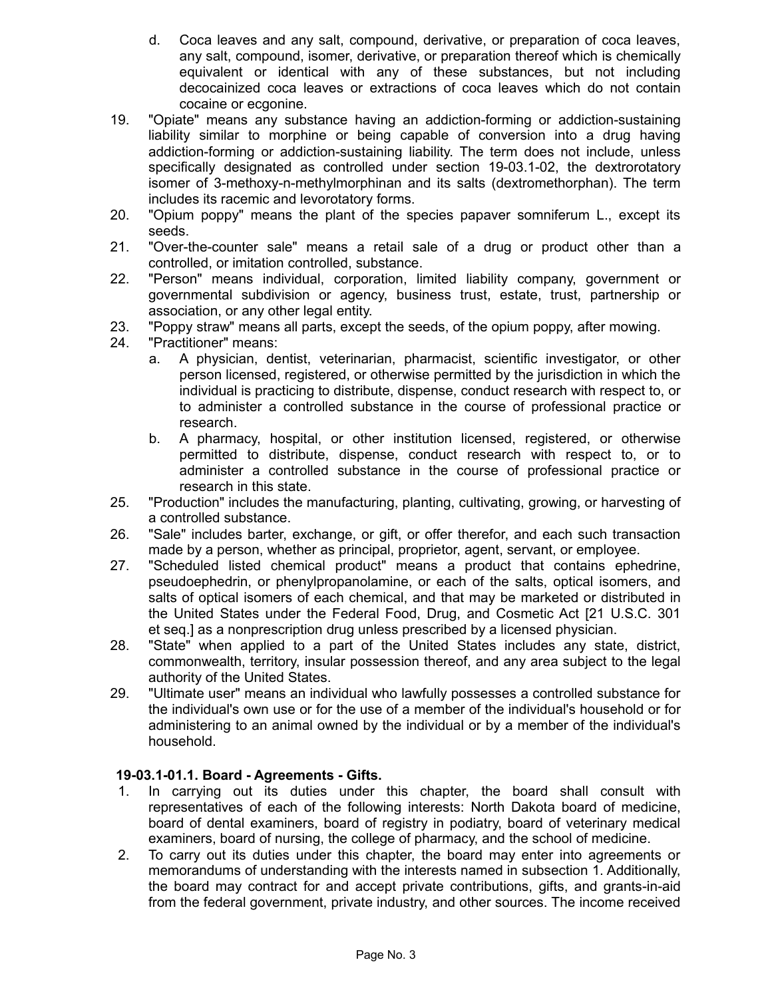- d. Coca leaves and any salt, compound, derivative, or preparation of coca leaves, any salt, compound, isomer, derivative, or preparation thereof which is chemically equivalent or identical with any of these substances, but not including decocainized coca leaves or extractions of coca leaves which do not contain cocaine or ecgonine.
- 19. "Opiate" means any substance having an addiction-forming or addiction-sustaining liability similar to morphine or being capable of conversion into a drug having addiction-forming or addiction-sustaining liability. The term does not include, unless specifically designated as controlled under section 19-03.1-02, the dextrorotatory isomer of 3-methoxy-n-methylmorphinan and its salts (dextromethorphan). The term includes its racemic and levorotatory forms.
- 20. "Opium poppy" means the plant of the species papaver somniferum L., except its seeds.
- 21. "Over-the-counter sale" means a retail sale of a drug or product other than a controlled, or imitation controlled, substance.
- 22. "Person" means individual, corporation, limited liability company, government or governmental subdivision or agency, business trust, estate, trust, partnership or association, or any other legal entity.
- 23. "Poppy straw" means all parts, except the seeds, of the opium poppy, after mowing.
- 24. "Practitioner" means:
	- a. A physician, dentist, veterinarian, pharmacist, scientific investigator, or other person licensed, registered, or otherwise permitted by the jurisdiction in which the individual is practicing to distribute, dispense, conduct research with respect to, or to administer a controlled substance in the course of professional practice or research.
	- b. A pharmacy, hospital, or other institution licensed, registered, or otherwise permitted to distribute, dispense, conduct research with respect to, or to administer a controlled substance in the course of professional practice or research in this state.
- 25. "Production" includes the manufacturing, planting, cultivating, growing, or harvesting of a controlled substance.
- 26. "Sale" includes barter, exchange, or gift, or offer therefor, and each such transaction made by a person, whether as principal, proprietor, agent, servant, or employee.
- 27. "Scheduled listed chemical product" means a product that contains ephedrine, pseudoephedrin, or phenylpropanolamine, or each of the salts, optical isomers, and salts of optical isomers of each chemical, and that may be marketed or distributed in the United States under the Federal Food, Drug, and Cosmetic Act [21 U.S.C. 301 et seq.] as a nonprescription drug unless prescribed by a licensed physician.
- 28. "State" when applied to a part of the United States includes any state, district, commonwealth, territory, insular possession thereof, and any area subject to the legal authority of the United States.
- 29. "Ultimate user" means an individual who lawfully possesses a controlled substance for the individual's own use or for the use of a member of the individual's household or for administering to an animal owned by the individual or by a member of the individual's household.

## **19-03.1-01.1. Board - Agreements - Gifts.**

- 1. In carrying out its duties under this chapter, the board shall consult with representatives of each of the following interests: North Dakota board of medicine, board of dental examiners, board of registry in podiatry, board of veterinary medical examiners, board of nursing, the college of pharmacy, and the school of medicine.
- 2. To carry out its duties under this chapter, the board may enter into agreements or memorandums of understanding with the interests named in subsection 1. Additionally, the board may contract for and accept private contributions, gifts, and grants-in-aid from the federal government, private industry, and other sources. The income received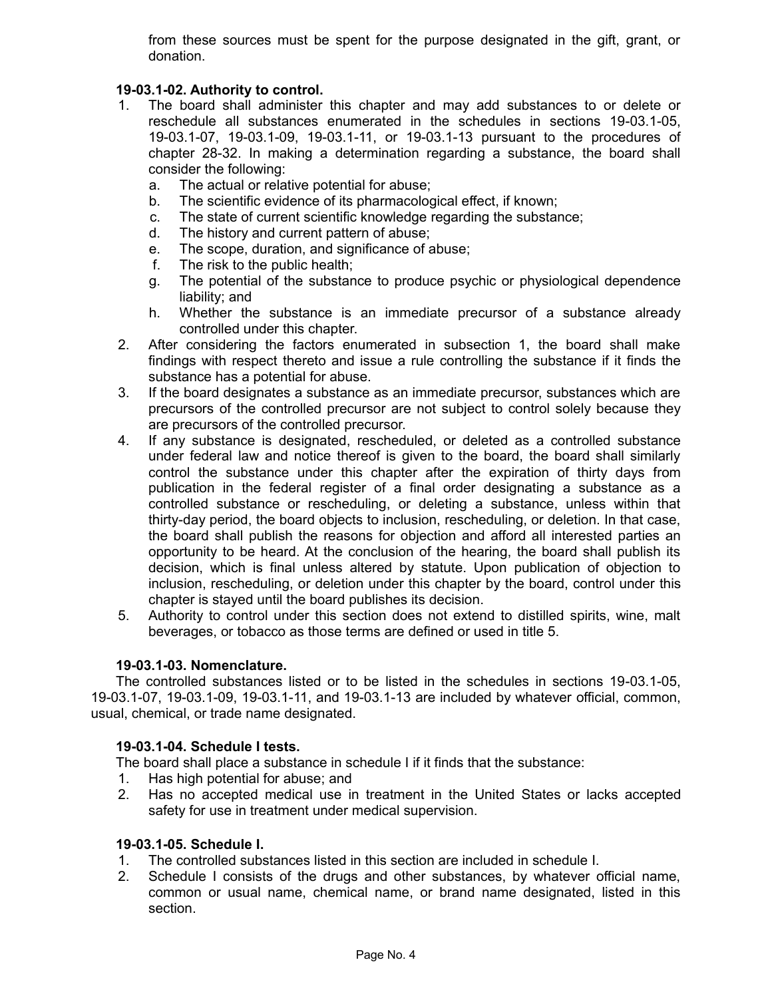from these sources must be spent for the purpose designated in the gift, grant, or donation.

# **19-03.1-02. Authority to control.**

- 1. The board shall administer this chapter and may add substances to or delete or reschedule all substances enumerated in the schedules in sections 19-03.1-05, 19-03.1-07, 19-03.1-09, 19-03.1-11, or 19-03.1-13 pursuant to the procedures of chapter 28-32. In making a determination regarding a substance, the board shall consider the following:
	- a. The actual or relative potential for abuse;
	- b. The scientific evidence of its pharmacological effect, if known;
	- c. The state of current scientific knowledge regarding the substance;
	- d. The history and current pattern of abuse;
	- e. The scope, duration, and significance of abuse;
	- f. The risk to the public health;
	- g. The potential of the substance to produce psychic or physiological dependence liability; and
	- h. Whether the substance is an immediate precursor of a substance already controlled under this chapter.
- 2. After considering the factors enumerated in subsection 1, the board shall make findings with respect thereto and issue a rule controlling the substance if it finds the substance has a potential for abuse.
- 3. If the board designates a substance as an immediate precursor, substances which are precursors of the controlled precursor are not subject to control solely because they are precursors of the controlled precursor.
- 4. If any substance is designated, rescheduled, or deleted as a controlled substance under federal law and notice thereof is given to the board, the board shall similarly control the substance under this chapter after the expiration of thirty days from publication in the federal register of a final order designating a substance as a controlled substance or rescheduling, or deleting a substance, unless within that thirty-day period, the board objects to inclusion, rescheduling, or deletion. In that case, the board shall publish the reasons for objection and afford all interested parties an opportunity to be heard. At the conclusion of the hearing, the board shall publish its decision, which is final unless altered by statute. Upon publication of objection to inclusion, rescheduling, or deletion under this chapter by the board, control under this chapter is stayed until the board publishes its decision.
- 5. Authority to control under this section does not extend to distilled spirits, wine, malt beverages, or tobacco as those terms are defined or used in title 5.

## **19-03.1-03. Nomenclature.**

The controlled substances listed or to be listed in the schedules in sections 19-03.1-05, 19-03.1-07, 19-03.1-09, 19-03.1-11, and 19-03.1-13 are included by whatever official, common, usual, chemical, or trade name designated.

#### **19-03.1-04. Schedule I tests.**

The board shall place a substance in schedule I if it finds that the substance:

- 1. Has high potential for abuse; and
- 2. Has no accepted medical use in treatment in the United States or lacks accepted safety for use in treatment under medical supervision.

#### **19-03.1-05. Schedule I.**

- 1. The controlled substances listed in this section are included in schedule I.
- 2. Schedule I consists of the drugs and other substances, by whatever official name, common or usual name, chemical name, or brand name designated, listed in this section.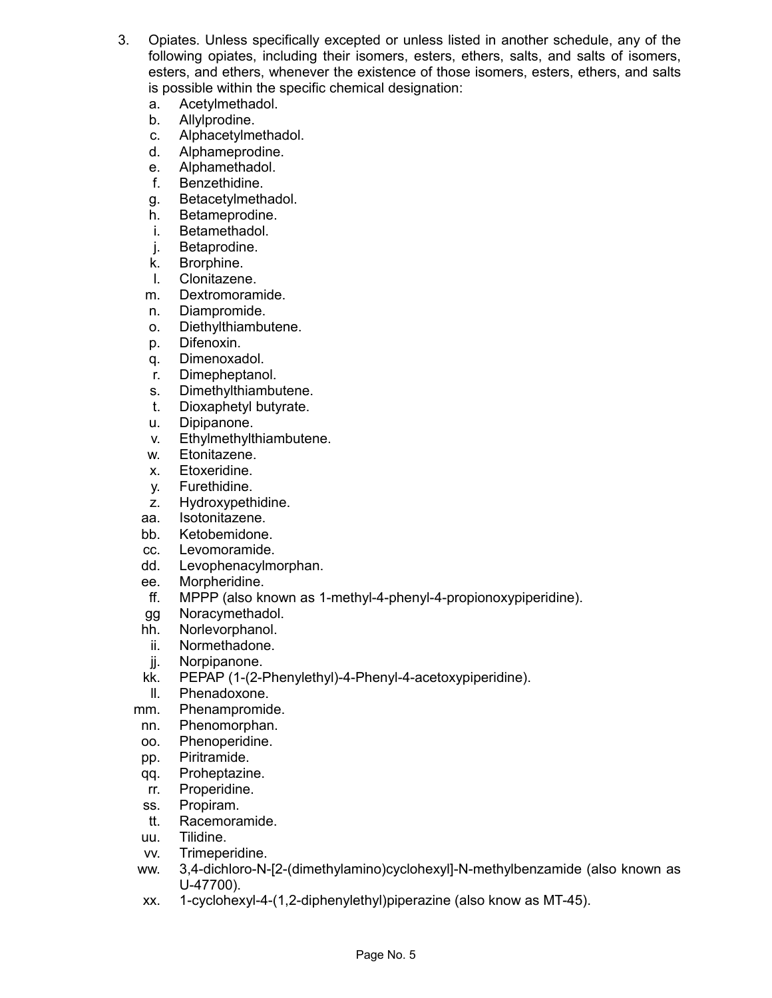- 3. Opiates. Unless specifically excepted or unless listed in another schedule, any of the following opiates, including their isomers, esters, ethers, salts, and salts of isomers, esters, and ethers, whenever the existence of those isomers, esters, ethers, and salts is possible within the specific chemical designation:
	- a. Acetylmethadol.
	- b. Allylprodine.
	- c. Alphacetylmethadol.
	- d. Alphameprodine.
	- e. Alphamethadol.
	- f. Benzethidine.
	- g. Betacetylmethadol.
	- h. Betameprodine.
	- i. Betamethadol.
	- j. Betaprodine.
	- k. Brorphine.
	- l. Clonitazene.
	- m. Dextromoramide.
	- n. Diampromide.
	- o. Diethylthiambutene.
	- p. Difenoxin.
	- q. Dimenoxadol.
	- r. Dimepheptanol.
	- s. Dimethylthiambutene.
	- t. Dioxaphetyl butyrate.
	- u. Dipipanone.
	- v. Ethylmethylthiambutene.
	- w. Etonitazene.
	- x. Etoxeridine.
	- y. Furethidine.
	- z. Hydroxypethidine.
	- aa. Isotonitazene.
	- bb. Ketobemidone.
	- cc. Levomoramide.
	- dd. Levophenacylmorphan.
	- ee. Morpheridine.
	- ff. MPPP (also known as 1-methyl-4-phenyl-4-propionoxypiperidine).
	- gg Noracymethadol.
	- hh. Norlevorphanol.
	- ii. Normethadone.
	- jj. Norpipanone.
	- kk. PEPAP (1-(2-Phenylethyl)-4-Phenyl-4-acetoxypiperidine).
	- ll. Phenadoxone.
	- mm. Phenampromide.
	- nn. Phenomorphan.
	- oo. Phenoperidine.
	- pp. Piritramide.
	- qq. Proheptazine.
	- rr. Properidine.
	- ss. Propiram.
	- tt. Racemoramide.
	- uu. Tilidine.
	- vv. Trimeperidine.
	- ww. 3,4-dichloro-N-[2-(dimethylamino)cyclohexyl]-N-methylbenzamide (also known as U-47700).
	- xx. 1-cyclohexyl-4-(1,2-diphenylethyl)piperazine (also know as MT-45).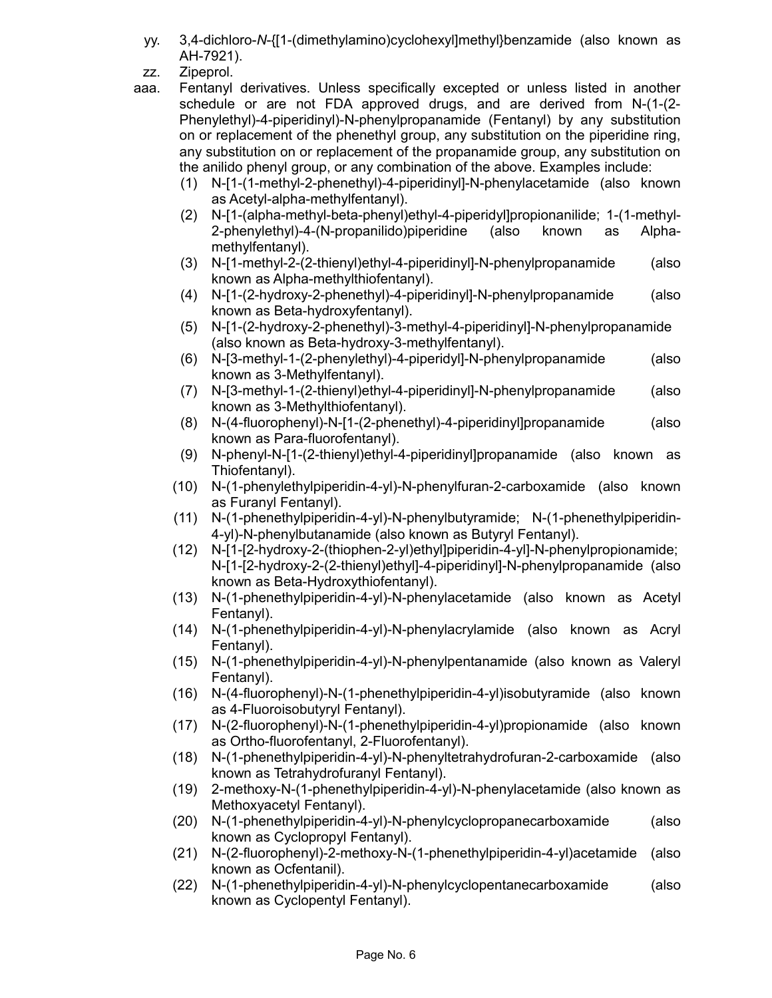- yy. 3,4-dichloro-*N*-{[1-(dimethylamino)cyclohexyl]methyl}benzamide (also known as AH-7921).
- zz. Zipeprol.
- aaa. Fentanyl derivatives. Unless specifically excepted or unless listed in another schedule or are not FDA approved drugs, and are derived from N-(1-(2- Phenylethyl)-4-piperidinyl)-N-phenylpropanamide (Fentanyl) by any substitution on or replacement of the phenethyl group, any substitution on the piperidine ring, any substitution on or replacement of the propanamide group, any substitution on the anilido phenyl group, or any combination of the above. Examples include:
	- (1) N-[1-(1-methyl-2-phenethyl)-4-piperidinyl]-N-phenylacetamide (also known as Acetyl-alpha-methylfentanyl).
	- (2) N-[1-(alpha-methyl-beta-phenyl)ethyl-4-piperidyl]propionanilide; 1-(1-methyl-2-phenylethyl)-4-(N-propanilido)piperidine (also known as Alphamethylfentanyl).
	- (3) N-[1-methyl-2-(2-thienyl)ethyl-4-piperidinyl]-N-phenylpropanamide (also known as Alpha-methylthiofentanyl).
	- (4) N-[1-(2-hydroxy-2-phenethyl)-4-piperidinyl]-N-phenylpropanamide (also known as Beta-hydroxyfentanyl).
	- (5) N-[1-(2-hydroxy-2-phenethyl)-3-methyl-4-piperidinyl]-N-phenylpropanamide (also known as Beta-hydroxy-3-methylfentanyl).
	- (6) N-[3-methyl-1-(2-phenylethyl)-4-piperidyl]-N-phenylpropanamide (also known as 3-Methylfentanyl).
	- (7) N-[3-methyl-1-(2-thienyl)ethyl-4-piperidinyl]-N-phenylpropanamide (also known as 3-Methylthiofentanyl).
	- (8) N-(4-fluorophenyl)-N-[1-(2-phenethyl)-4-piperidinyl]propanamide (also known as Para-fluorofentanyl).
	- (9) N-phenyl-N-[1-(2-thienyl)ethyl-4-piperidinyl]propanamide (also known as Thiofentanyl).
	- (10) N-(1-phenylethylpiperidin-4-yl)-N-phenylfuran-2-carboxamide (also known as Furanyl Fentanyl).
	- (11) N-(1-phenethylpiperidin-4-yl)-N-phenylbutyramide; N-(1-phenethylpiperidin-4-yl)-N-phenylbutanamide (also known as Butyryl Fentanyl).
	- (12) N-[1-[2-hydroxy-2-(thiophen-2-yl)ethyl]piperidin-4-yl]-N-phenylpropionamide; N-[1-[2-hydroxy-2-(2-thienyl)ethyl]-4-piperidinyl]-N-phenylpropanamide (also known as Beta-Hydroxythiofentanyl).
	- (13) N-(1-phenethylpiperidin-4-yl)-N-phenylacetamide (also known as Acetyl Fentanyl).
	- (14) N-(1-phenethylpiperidin-4-yl)-N-phenylacrylamide (also known as Acryl Fentanyl).
	- (15) N-(1-phenethylpiperidin-4-yl)-N-phenylpentanamide (also known as Valeryl Fentanyl).
	- (16) N-(4-fluorophenyl)-N-(1-phenethylpiperidin-4-yl)isobutyramide (also known as 4-Fluoroisobutyryl Fentanyl).
	- (17) N-(2-fluorophenyl)-N-(1-phenethylpiperidin-4-yl)propionamide (also known as Ortho-fluorofentanyl, 2-Fluorofentanyl).
	- (18) N-(1-phenethylpiperidin-4-yl)-N-phenyltetrahydrofuran-2-carboxamide (also known as Tetrahydrofuranyl Fentanyl).
	- (19) 2-methoxy-N-(1-phenethylpiperidin-4-yl)-N-phenylacetamide (also known as Methoxyacetyl Fentanyl).
	- (20) N-(1-phenethylpiperidin-4-yl)-N-phenylcyclopropanecarboxamide (also known as Cyclopropyl Fentanyl).
	- (21) N-(2-fluorophenyl)-2-methoxy-N-(1-phenethylpiperidin-4-yl)acetamide (also known as Ocfentanil).
	- (22) N-(1-phenethylpiperidin-4-yl)-N-phenylcyclopentanecarboxamide (also known as Cyclopentyl Fentanyl).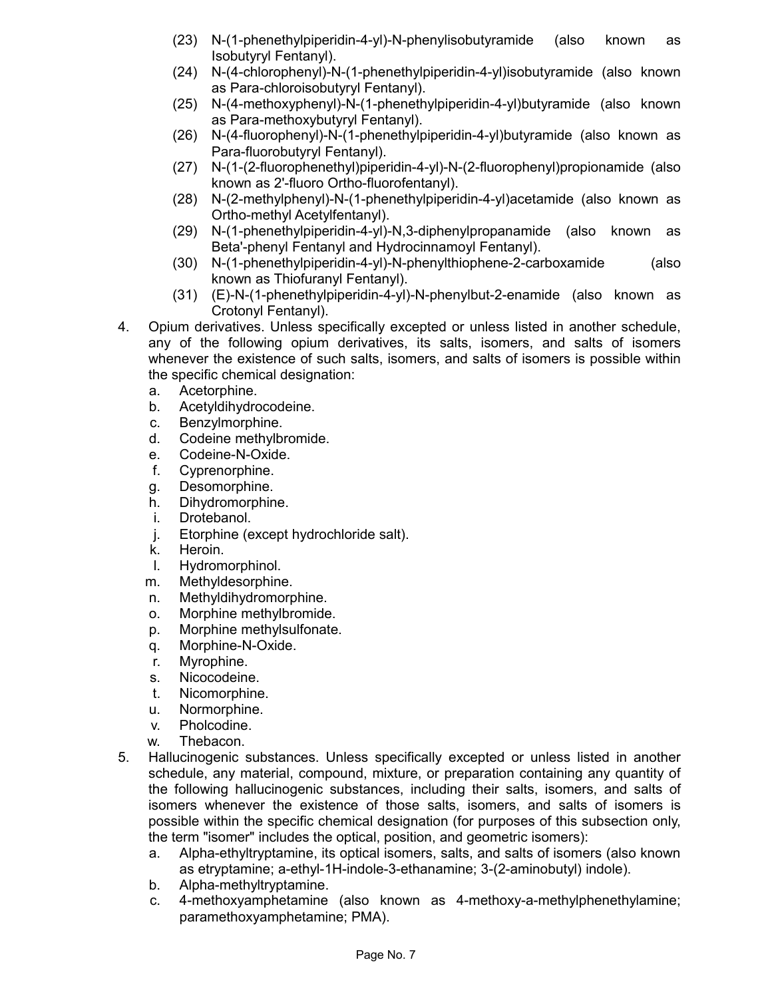- (23) N-(1-phenethylpiperidin-4-yl)-N-phenylisobutyramide (also known as Isobutyryl Fentanyl).
- (24) N-(4-chlorophenyl)-N-(1-phenethylpiperidin-4-yl)isobutyramide (also known as Para-chloroisobutyryl Fentanyl).
- (25) N-(4-methoxyphenyl)-N-(1-phenethylpiperidin-4-yl)butyramide (also known as Para-methoxybutyryl Fentanyl).
- (26) N-(4-fluorophenyl)-N-(1-phenethylpiperidin-4-yl)butyramide (also known as Para-fluorobutyryl Fentanyl).
- (27) N-(1-(2-fluorophenethyl)piperidin-4-yl)-N-(2-fluorophenyl)propionamide (also known as 2'-fluoro Ortho-fluorofentanyl).
- (28) N-(2-methylphenyl)-N-(1-phenethylpiperidin-4-yl)acetamide (also known as Ortho-methyl Acetylfentanyl).
- (29) N-(1-phenethylpiperidin-4-yl)-N,3-diphenylpropanamide (also known as Beta'-phenyl Fentanyl and Hydrocinnamoyl Fentanyl).
- (30) N-(1-phenethylpiperidin-4-yl)-N-phenylthiophene-2-carboxamide (also known as Thiofuranyl Fentanyl).
- (31) (E)-N-(1-phenethylpiperidin-4-yl)-N-phenylbut-2-enamide (also known as Crotonyl Fentanyl).
- 4. Opium derivatives. Unless specifically excepted or unless listed in another schedule, any of the following opium derivatives, its salts, isomers, and salts of isomers whenever the existence of such salts, isomers, and salts of isomers is possible within the specific chemical designation:
	- a. Acetorphine.
	- b. Acetyldihydrocodeine.
	- c. Benzylmorphine.
	- d. Codeine methylbromide.
	- e. Codeine-N-Oxide.
	- f. Cyprenorphine.
	- g. Desomorphine.
	- h. Dihydromorphine.
	- i. Drotebanol.
	- j. Etorphine (except hydrochloride salt).
	- k. Heroin.
	- l. Hydromorphinol.
	- m. Methyldesorphine.
	- n. Methyldihydromorphine.
	- o. Morphine methylbromide.
	- p. Morphine methylsulfonate.
	- q. Morphine-N-Oxide.
	- r. Myrophine.
	- s. Nicocodeine.
	- t. Nicomorphine.
	- u. Normorphine.
	- v. Pholcodine.
	- w. Thebacon.
- 5. Hallucinogenic substances. Unless specifically excepted or unless listed in another schedule, any material, compound, mixture, or preparation containing any quantity of the following hallucinogenic substances, including their salts, isomers, and salts of isomers whenever the existence of those salts, isomers, and salts of isomers is possible within the specific chemical designation (for purposes of this subsection only, the term "isomer" includes the optical, position, and geometric isomers):
	- a. Alpha-ethyltryptamine, its optical isomers, salts, and salts of isomers (also known as etryptamine; a-ethyl-1H-indole-3-ethanamine; 3-(2-aminobutyl) indole).
	- b. Alpha-methyltryptamine.
	- c. 4-methoxyamphetamine (also known as 4-methoxy-a-methylphenethylamine; paramethoxyamphetamine; PMA).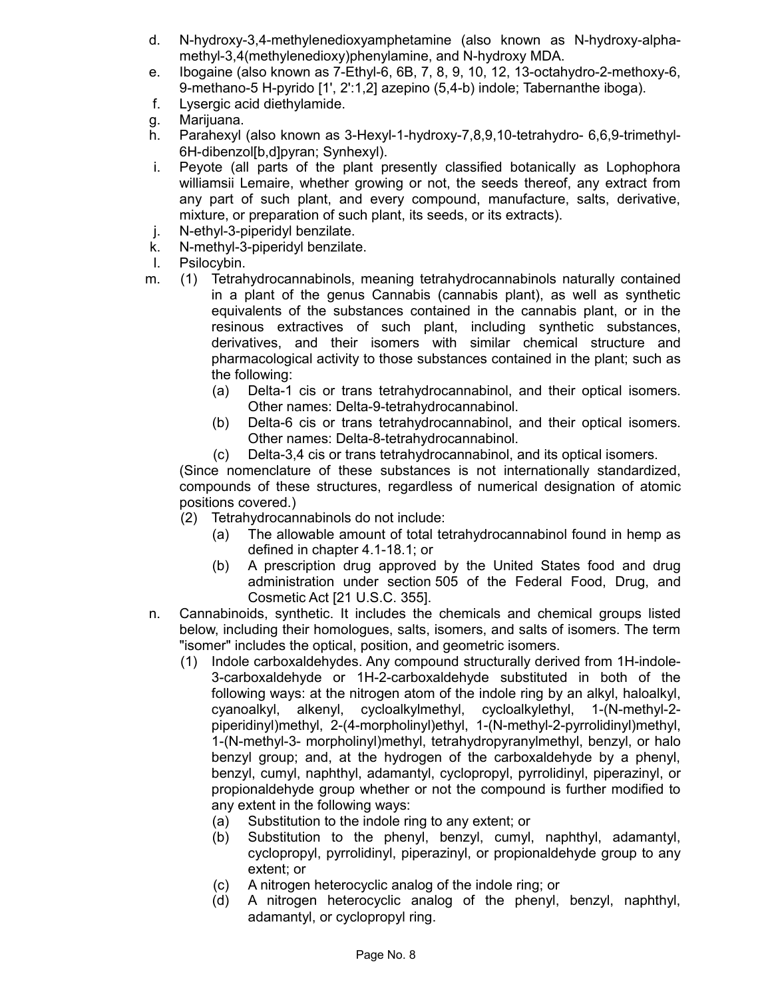- d. N-hydroxy-3,4-methylenedioxyamphetamine (also known as N-hydroxy-alphamethyl-3,4(methylenedioxy)phenylamine, and N-hydroxy MDA.
- e. Ibogaine (also known as 7-Ethyl-6, 6B, 7, 8, 9, 10, 12, 13-octahydro-2-methoxy-6, 9-methano-5 H-pyrido [1', 2':1,2] azepino (5,4-b) indole; Tabernanthe iboga).
- f. Lysergic acid diethylamide.
- g. Marijuana.
- h. Parahexyl (also known as 3-Hexyl-1-hydroxy-7,8,9,10-tetrahydro- 6,6,9-trimethyl-6H-dibenzol[b,d]pyran; Synhexyl).
- i. Peyote (all parts of the plant presently classified botanically as Lophophora williamsii Lemaire, whether growing or not, the seeds thereof, any extract from any part of such plant, and every compound, manufacture, salts, derivative, mixture, or preparation of such plant, its seeds, or its extracts).
- j. N-ethyl-3-piperidyl benzilate.
- k. N-methyl-3-piperidyl benzilate.
- l. Psilocybin.
- m. (1) Tetrahydrocannabinols, meaning tetrahydrocannabinols naturally contained in a plant of the genus Cannabis (cannabis plant), as well as synthetic equivalents of the substances contained in the cannabis plant, or in the resinous extractives of such plant, including synthetic substances, derivatives, and their isomers with similar chemical structure and pharmacological activity to those substances contained in the plant; such as the following:
	- (a) Delta-1 cis or trans tetrahydrocannabinol, and their optical isomers. Other names: Delta-9-tetrahydrocannabinol.
	- (b) Delta-6 cis or trans tetrahydrocannabinol, and their optical isomers. Other names: Delta-8-tetrahydrocannabinol.
	- (c) Delta-3,4 cis or trans tetrahydrocannabinol, and its optical isomers.

(Since nomenclature of these substances is not internationally standardized, compounds of these structures, regardless of numerical designation of atomic positions covered.)

(2) Tetrahydrocannabinols do not include:

- (a) The allowable amount of total tetrahydrocannabinol found in hemp as defined in chapter 4.1-18.1; or
- (b) A prescription drug approved by the United States food and drug administration under section 505 of the Federal Food, Drug, and Cosmetic Act [21 U.S.C. 355].
- n. Cannabinoids, synthetic. It includes the chemicals and chemical groups listed below, including their homologues, salts, isomers, and salts of isomers. The term "isomer" includes the optical, position, and geometric isomers.
	- (1) Indole carboxaldehydes. Any compound structurally derived from 1H-indole-3-carboxaldehyde or 1H-2-carboxaldehyde substituted in both of the following ways: at the nitrogen atom of the indole ring by an alkyl, haloalkyl, cyanoalkyl, alkenyl, cycloalkylmethyl, cycloalkylethyl, 1-(N-methyl-2 piperidinyl)methyl, 2-(4-morpholinyl)ethyl, 1-(N-methyl-2-pyrrolidinyl)methyl, 1-(N-methyl-3- morpholinyl)methyl, tetrahydropyranylmethyl, benzyl, or halo benzyl group; and, at the hydrogen of the carboxaldehyde by a phenyl, benzyl, cumyl, naphthyl, adamantyl, cyclopropyl, pyrrolidinyl, piperazinyl, or propionaldehyde group whether or not the compound is further modified to any extent in the following ways:
		- (a) Substitution to the indole ring to any extent; or
		- (b) Substitution to the phenyl, benzyl, cumyl, naphthyl, adamantyl, cyclopropyl, pyrrolidinyl, piperazinyl, or propionaldehyde group to any extent; or
		- (c) A nitrogen heterocyclic analog of the indole ring; or
		- (d) A nitrogen heterocyclic analog of the phenyl, benzyl, naphthyl, adamantyl, or cyclopropyl ring.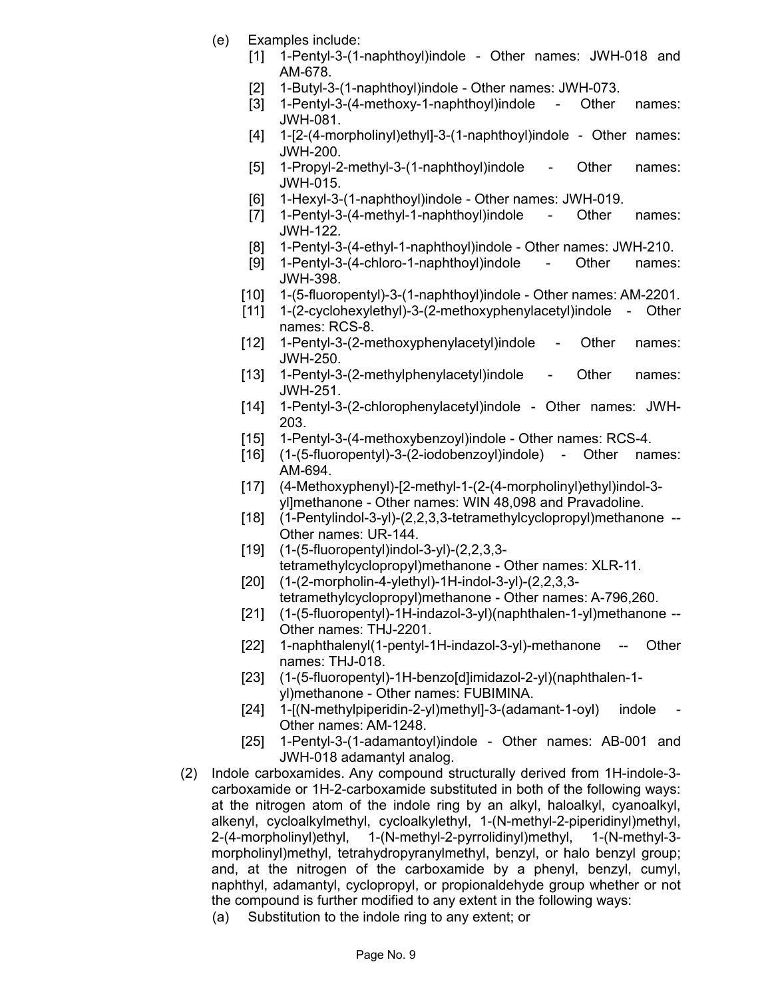- (e) Examples include:
	- [1] 1-Pentyl-3-(1-naphthoyl)indole Other names: JWH-018 and AM-678.
	- [2] 1-Butyl-3-(1-naphthoyl)indole Other names: JWH-073.
	- [3] 1-Pentyl-3-(4-methoxy-1-naphthoyl)indole Other names: JWH-081.
	- [4] 1-[2-(4-morpholinyl)ethyl]-3-(1-naphthoyl)indole Other names: JWH-200.
	- [5] 1-Propyl-2-methyl-3-(1-naphthoyl)indole Other names: JWH-015.
	- [6] 1-Hexyl-3-(1-naphthoyl)indole Other names: JWH-019.
	- [7] 1-Pentyl-3-(4-methyl-1-naphthoyl)indole Other names: JWH-122.
	- [8] 1-Pentyl-3-(4-ethyl-1-naphthoyl)indole Other names: JWH-210.
	- [9] 1-Pentyl-3-(4-chloro-1-naphthoyl)indole Other names: JWH-398.
	- [10] 1-(5-fluoropentyl)-3-(1-naphthoyl)indole Other names: AM-2201.
	- [11] 1-(2-cyclohexylethyl)-3-(2-methoxyphenylacetyl)indole Other names: RCS-8.
	- [12] 1-Pentyl-3-(2-methoxyphenylacetyl)indole Other names: JWH-250.
	- [13] 1-Pentyl-3-(2-methylphenylacetyl)indole Other names: JWH-251.
	- [14] 1-Pentyl-3-(2-chlorophenylacetyl)indole Other names: JWH-203.
	- [15] 1-Pentyl-3-(4-methoxybenzoyl) indole Other names: RCS-4.
	- [16] (1-(5-fluoropentyl)-3-(2-iodobenzoyl)indole) Other names: AM-694.
	- [17] (4-Methoxyphenyl)-[2-methyl-1-(2-(4-morpholinyl)ethyl)indol-3 yl]methanone - Other names: WIN 48,098 and Pravadoline.
	- [18] (1-Pentylindol-3-yl)-(2,2,3,3-tetramethylcyclopropyl)methanone -- Other names: UR-144.
	- [19] (1-(5-fluoropentyl)indol-3-yl)-(2,2,3,3 tetramethylcyclopropyl)methanone - Other names: XLR-11.
	- [20] (1-(2-morpholin-4-ylethyl)-1H-indol-3-yl)-(2,2,3,3 tetramethylcyclopropyl)methanone - Other names: A-796,260.
	- [21] (1-(5-fluoropentyl)-1H-indazol-3-yl)(naphthalen-1-yl)methanone -- Other names: THJ-2201.
	- [22] 1-naphthalenyl(1-pentyl-1H-indazol-3-yl)-methanone -- Other names: THJ-018.
	- [23] (1-(5-fluoropentyl)-1H-benzo[d]imidazol-2-yl)(naphthalen-1 yl)methanone - Other names: FUBIMINA.
	- [24] 1-[(N-methylpiperidin-2-yl)methyl]-3-(adamant-1-oyl) indole Other names: AM-1248.
	- [25] 1-Pentyl-3-(1-adamantoyl)indole Other names: AB-001 and JWH-018 adamantyl analog.
- (2) Indole carboxamides. Any compound structurally derived from 1H-indole-3 carboxamide or 1H-2-carboxamide substituted in both of the following ways: at the nitrogen atom of the indole ring by an alkyl, haloalkyl, cyanoalkyl, alkenyl, cycloalkylmethyl, cycloalkylethyl, 1-(N-methyl-2-piperidinyl)methyl, 2-(4-morpholinyl)ethyl, 1-(N-methyl-2-pyrrolidinyl)methyl, 1-(N-methyl-3 morpholinyl)methyl, tetrahydropyranylmethyl, benzyl, or halo benzyl group; and, at the nitrogen of the carboxamide by a phenyl, benzyl, cumyl, naphthyl, adamantyl, cyclopropyl, or propionaldehyde group whether or not the compound is further modified to any extent in the following ways:
	- (a) Substitution to the indole ring to any extent; or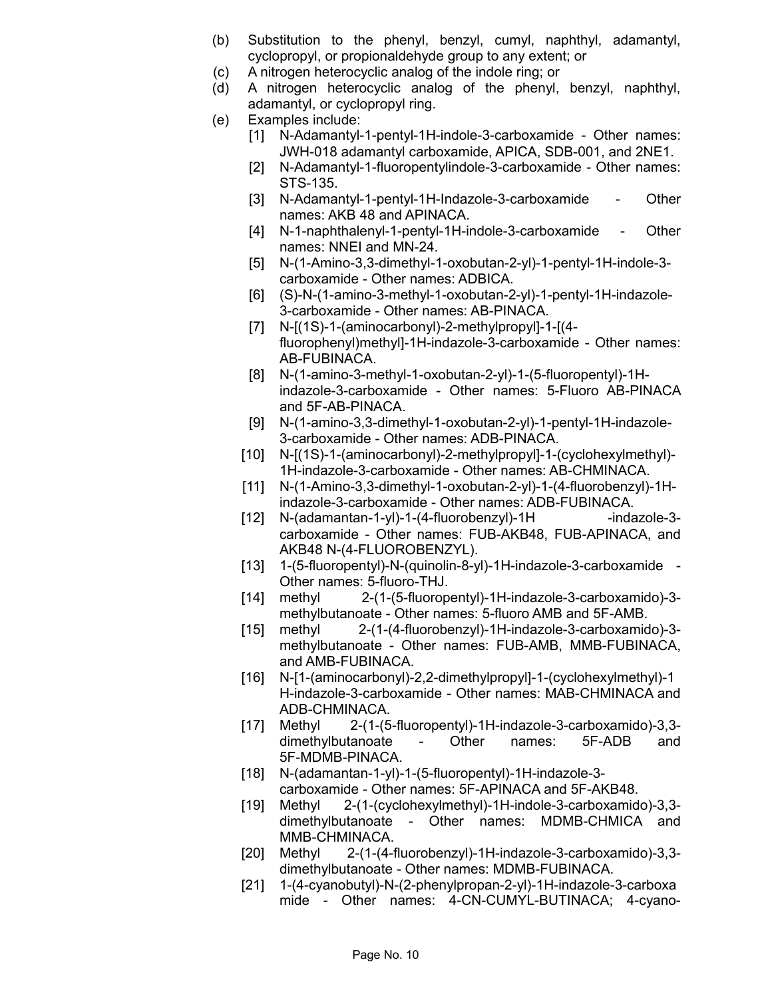- (b) Substitution to the phenyl, benzyl, cumyl, naphthyl, adamantyl, cyclopropyl, or propionaldehyde group to any extent; or
- (c) A nitrogen heterocyclic analog of the indole ring; or
- (d) A nitrogen heterocyclic analog of the phenyl, benzyl, naphthyl, adamantyl, or cyclopropyl ring.
- (e) Examples include:
	- [1] N-Adamantyl-1-pentyl-1H-indole-3-carboxamide Other names: JWH-018 adamantyl carboxamide, APICA, SDB-001, and 2NE1.
	- [2] N-Adamantyl-1-fluoropentylindole-3-carboxamide Other names: STS-135.
	- [3] N-Adamantyl-1-pentyl-1H-Indazole-3-carboxamide Other names: AKB 48 and APINACA.
	- [4] N-1-naphthalenyl-1-pentyl-1H-indole-3-carboxamide Other names: NNEI and MN-24.
	- [5] N-(1-Amino-3,3-dimethyl-1-oxobutan-2-yl)-1-pentyl-1H-indole-3 carboxamide - Other names: ADBICA.
	- [6] (S)-N-(1-amino-3-methyl-1-oxobutan-2-yl)-1-pentyl-1H-indazole-3-carboxamide - Other names: AB-PINACA.
	- [7] N-[(1S)-1-(aminocarbonyl)-2-methylpropyl]-1-[(4 fluorophenyl)methyl]-1H-indazole-3-carboxamide - Other names: AB-FUBINACA.
	- [8] N-(1-amino-3-methyl-1-oxobutan-2-yl)-1-(5-fluoropentyl)-1Hindazole-3-carboxamide - Other names: 5-Fluoro AB-PINACA and 5F-AB-PINACA.
	- [9] N-(1-amino-3,3-dimethyl-1-oxobutan-2-yl)-1-pentyl-1H-indazole-3-carboxamide - Other names: ADB-PINACA.
	- [10] N-[(1S)-1-(aminocarbonyl)-2-methylpropyl]-1-(cyclohexylmethyl)- 1H-indazole-3-carboxamide - Other names: AB-CHMINACA.
	- [11] N-(1-Amino-3,3-dimethyl-1-oxobutan-2-yl)-1-(4-fluorobenzyl)-1Hindazole-3-carboxamide - Other names: ADB-FUBINACA.
	- [12] N-(adamantan-1-yl)-1-(4-fluorobenzyl)-1H -indazole-3carboxamide - Other names: FUB-AKB48, FUB-APINACA, and AKB48 N-(4-FLUOROBENZYL).
	- [13] 1-(5-fluoropentyl)-N-(quinolin-8-yl)-1H-indazole-3-carboxamide -Other names: 5-fluoro-THJ.
	- [14] methyl 2-(1-(5-fluoropentyl)-1H-indazole-3-carboxamido)-3 methylbutanoate - Other names: 5-fluoro AMB and 5F-AMB.
	- [15] methyl 2-(1-(4-fluorobenzyl)-1H-indazole-3-carboxamido)-3 methylbutanoate - Other names: FUB-AMB, MMB-FUBINACA, and AMB-FUBINACA.
	- [16] N-[1-(aminocarbonyl)-2,2-dimethylpropyl]-1-(cyclohexylmethyl)-1 H-indazole-3-carboxamide - Other names: MAB-CHMINACA and ADB-CHMINACA.
	- [17] Methyl 2-(1-(5-fluoropentyl)-1H-indazole-3-carboxamido)-3,3 dimethylbutanoate - Other names: 5F-ADB and 5F-MDMB-PINACA.
	- [18] N-(adamantan-1-yl)-1-(5-fluoropentyl)-1H-indazole-3 carboxamide - Other names: 5F-APINACA and 5F-AKB48.
	- [19] Methyl 2-(1-(cyclohexylmethyl)-1H-indole-3-carboxamido)-3,3 dimethylbutanoate - Other names: MDMB-CHMICA and MMB-CHMINACA.
	- [20] Methyl 2-(1-(4-fluorobenzyl)-1H-indazole-3-carboxamido)-3,3 dimethylbutanoate - Other names: MDMB-FUBINACA.
	- [21] 1-(4-cyanobutyl)-N-(2-phenylpropan-2-yl)-1H-indazole-3-carboxa mide - Other names: 4-CN-CUMYL-BUTINACA; 4-cyano-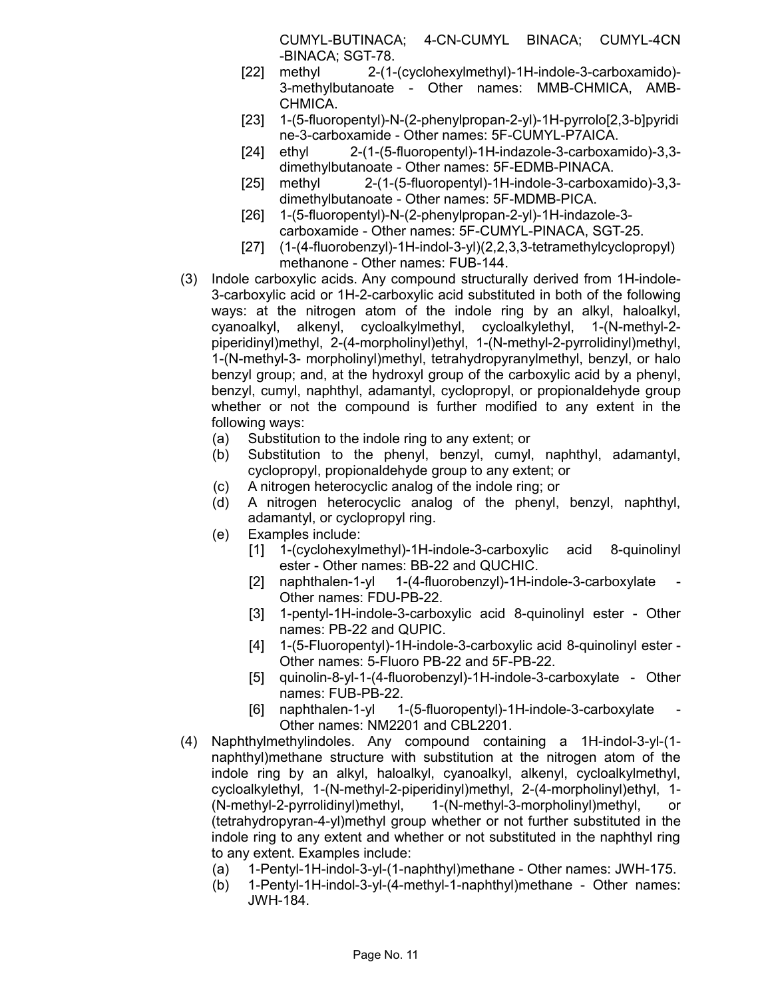CUMYL-BUTINACA; 4-CN-CUMYL BINACA; CUMYL-4CN -BINACA; SGT-78.

- [22] methyl 2-(1-(cyclohexylmethyl)-1H-indole-3-carboxamido)- 3-methylbutanoate - Other names: MMB-CHMICA, AMB-CHMICA.
- [23] 1-(5-fluoropentyl)-N-(2-phenylpropan-2-yl)-1H-pyrrolo[2,3-b]pyridi ne-3-carboxamide - Other names: 5F-CUMYL-P7AICA.
- [24] ethyl 2-(1-(5-fluoropentyl)-1H-indazole-3-carboxamido)-3,3 dimethylbutanoate - Other names: 5F-EDMB-PINACA.
- [25] methyl 2-(1-(5-fluoropentyl)-1H-indole-3-carboxamido)-3,3 dimethylbutanoate - Other names: 5F-MDMB-PICA.
- [26] 1-(5-fluoropentyl)-N-(2-phenylpropan-2-yl)-1H-indazole-3 carboxamide - Other names: 5F-CUMYL-PINACA, SGT-25.
- [27] (1-(4-fluorobenzyl)-1H-indol-3-yl)(2,2,3,3-tetramethylcyclopropyl) methanone - Other names: FUB-144.
- (3) Indole carboxylic acids. Any compound structurally derived from 1H-indole-3-carboxylic acid or 1H-2-carboxylic acid substituted in both of the following ways: at the nitrogen atom of the indole ring by an alkyl, haloalkyl, cyanoalkyl, alkenyl, cycloalkylmethyl, cycloalkylethyl, 1-(N-methyl-2 piperidinyl)methyl, 2-(4-morpholinyl)ethyl, 1-(N-methyl-2-pyrrolidinyl)methyl, 1-(N-methyl-3- morpholinyl)methyl, tetrahydropyranylmethyl, benzyl, or halo benzyl group; and, at the hydroxyl group of the carboxylic acid by a phenyl, benzyl, cumyl, naphthyl, adamantyl, cyclopropyl, or propionaldehyde group whether or not the compound is further modified to any extent in the following ways:
	- (a) Substitution to the indole ring to any extent; or
	- (b) Substitution to the phenyl, benzyl, cumyl, naphthyl, adamantyl, cyclopropyl, propionaldehyde group to any extent; or
	- (c) A nitrogen heterocyclic analog of the indole ring; or
	- (d) A nitrogen heterocyclic analog of the phenyl, benzyl, naphthyl, adamantyl, or cyclopropyl ring.
	- (e) Examples include:
		- [1] 1-(cyclohexylmethyl)-1H-indole-3-carboxylic acid 8-quinolinyl ester - Other names: BB-22 and QUCHIC.
		- [2] naphthalen-1-yl 1-(4-fluorobenzyl)-1H-indole-3-carboxylate Other names: FDU-PB-22.
		- [3] 1-pentyl-1H-indole-3-carboxylic acid 8-quinolinyl ester Other names: PB-22 and QUPIC.
		- [4] 1-(5-Fluoropentyl)-1H-indole-3-carboxylic acid 8-quinolinyl ester Other names: 5-Fluoro PB-22 and 5F-PB-22.
		- [5] quinolin-8-yl-1-(4-fluorobenzyl)-1H-indole-3-carboxylate Other names: FUB-PB-22.
		- [6] naphthalen-1-yl 1-(5-fluoropentyl)-1H-indole-3-carboxylate Other names: NM2201 and CBL2201.
- (4) Naphthylmethylindoles. Any compound containing a 1H-indol-3-yl-(1 naphthyl)methane structure with substitution at the nitrogen atom of the indole ring by an alkyl, haloalkyl, cyanoalkyl, alkenyl, cycloalkylmethyl, cycloalkylethyl, 1-(N-methyl-2-piperidinyl)methyl, 2-(4-morpholinyl)ethyl, 1- (N-methyl-2-pyrrolidinyl)methyl, 1-(N-methyl-3-morpholinyl)methyl, or (tetrahydropyran-4-yl)methyl group whether or not further substituted in the indole ring to any extent and whether or not substituted in the naphthyl ring to any extent. Examples include:
	- (a) 1-Pentyl-1H-indol-3-yl-(1-naphthyl)methane Other names: JWH-175.
	- (b) 1-Pentyl-1H-indol-3-yl-(4-methyl-1-naphthyl)methane Other names: JWH-184.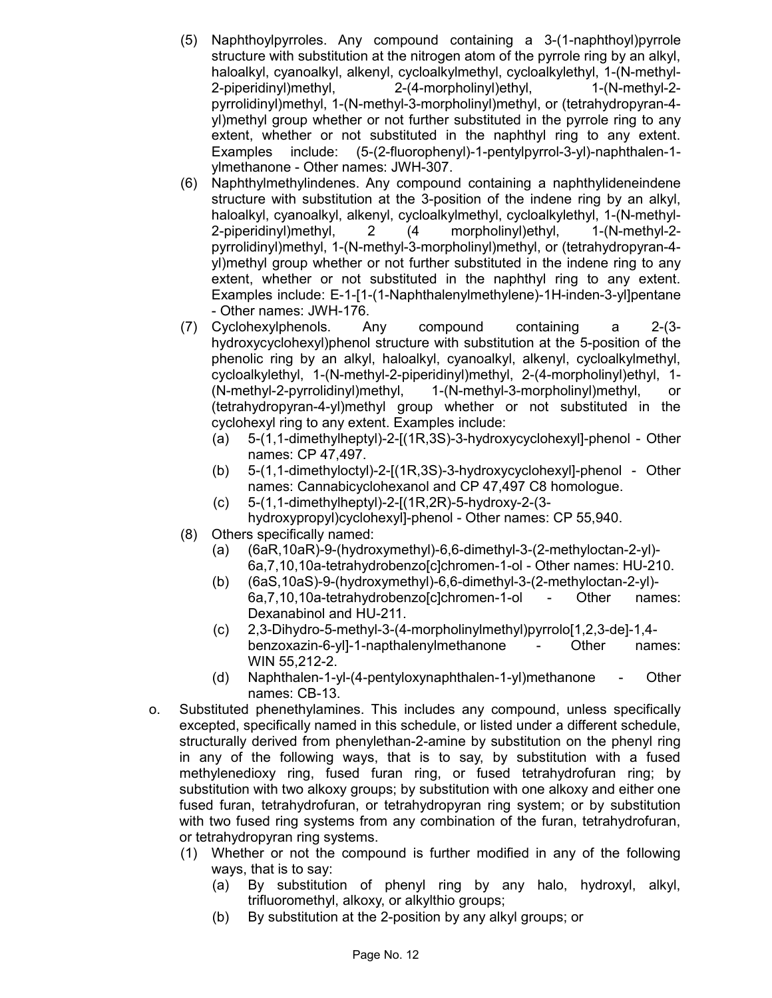- (5) Naphthoylpyrroles. Any compound containing a 3-(1-naphthoyl)pyrrole structure with substitution at the nitrogen atom of the pyrrole ring by an alkyl, haloalkyl, cyanoalkyl, alkenyl, cycloalkylmethyl, cycloalkylethyl, 1-(N-methyl-2-piperidinyl)methyl, 2-(4-morpholinyl)ethyl, 1-(N-methyl-2 pyrrolidinyl)methyl, 1-(N-methyl-3-morpholinyl)methyl, or (tetrahydropyran-4 yl)methyl group whether or not further substituted in the pyrrole ring to any extent, whether or not substituted in the naphthyl ring to any extent. Examples include: (5-(2-fluorophenyl)-1-pentylpyrrol-3-yl)-naphthalen-1 ylmethanone - Other names: JWH-307.
- (6) Naphthylmethylindenes. Any compound containing a naphthylideneindene structure with substitution at the 3-position of the indene ring by an alkyl, haloalkyl, cyanoalkyl, alkenyl, cycloalkylmethyl, cycloalkylethyl, 1-(N-methyl-2-piperidinyl)methyl, 2 (4 morpholinyl)ethyl, 1-(N-methyl-2 pyrrolidinyl)methyl, 1-(N-methyl-3-morpholinyl)methyl, or (tetrahydropyran-4 yl)methyl group whether or not further substituted in the indene ring to any extent, whether or not substituted in the naphthyl ring to any extent. Examples include: E-1-[1-(1-Naphthalenylmethylene)-1H-inden-3-yl]pentane - Other names: JWH-176.
- (7) Cyclohexylphenols. Any compound containing a 2-(3 hydroxycyclohexyl)phenol structure with substitution at the 5-position of the phenolic ring by an alkyl, haloalkyl, cyanoalkyl, alkenyl, cycloalkylmethyl, cycloalkylethyl, 1-(N-methyl-2-piperidinyl)methyl, 2-(4-morpholinyl)ethyl, 1- (N-methyl-2-pyrrolidinyl)methyl, 1-(N-methyl-3-morpholinyl)methyl, or (tetrahydropyran-4-yl)methyl group whether or not substituted in the cyclohexyl ring to any extent. Examples include:
	- (a) 5-(1,1-dimethylheptyl)-2-[(1R,3S)-3-hydroxycyclohexyl]-phenol Other names: CP 47,497.
	- (b) 5-(1,1-dimethyloctyl)-2-[(1R,3S)-3-hydroxycyclohexyl]-phenol Other names: Cannabicyclohexanol and CP 47,497 C8 homologue.
	- (c) 5-(1,1-dimethylheptyl)-2-[(1R,2R)-5-hydroxy-2-(3 hydroxypropyl)cyclohexyl]-phenol - Other names: CP 55,940.
- (8) Others specifically named:
	- (a) (6aR,10aR)-9-(hydroxymethyl)-6,6-dimethyl-3-(2-methyloctan-2-yl)- 6a,7,10,10a-tetrahydrobenzo[c]chromen-1-ol - Other names: HU-210.
	- (b) (6aS,10aS)-9-(hydroxymethyl)-6,6-dimethyl-3-(2-methyloctan-2-yl)- 6a, 7, 10, 10a-tetrahydrobenzol clchromen-1-ol - Other names: Dexanabinol and HU-211.
	- (c) 2,3-Dihydro-5-methyl-3-(4-morpholinylmethyl)pyrrolo[1,2,3-de]-1,4 benzoxazin-6-yl]-1-napthalenylmethanone - Other names: WIN 55,212-2.
	- (d) Naphthalen-1-yl-(4-pentyloxynaphthalen-1-yl)methanone Other names: CB-13.
- o. Substituted phenethylamines. This includes any compound, unless specifically excepted, specifically named in this schedule, or listed under a different schedule, structurally derived from phenylethan-2-amine by substitution on the phenyl ring in any of the following ways, that is to say, by substitution with a fused methylenedioxy ring, fused furan ring, or fused tetrahydrofuran ring; by substitution with two alkoxy groups; by substitution with one alkoxy and either one fused furan, tetrahydrofuran, or tetrahydropyran ring system; or by substitution with two fused ring systems from any combination of the furan, tetrahydrofuran, or tetrahydropyran ring systems.
	- (1) Whether or not the compound is further modified in any of the following ways, that is to say:
		- (a) By substitution of phenyl ring by any halo, hydroxyl, alkyl, trifluoromethyl, alkoxy, or alkylthio groups;
		- (b) By substitution at the 2-position by any alkyl groups; or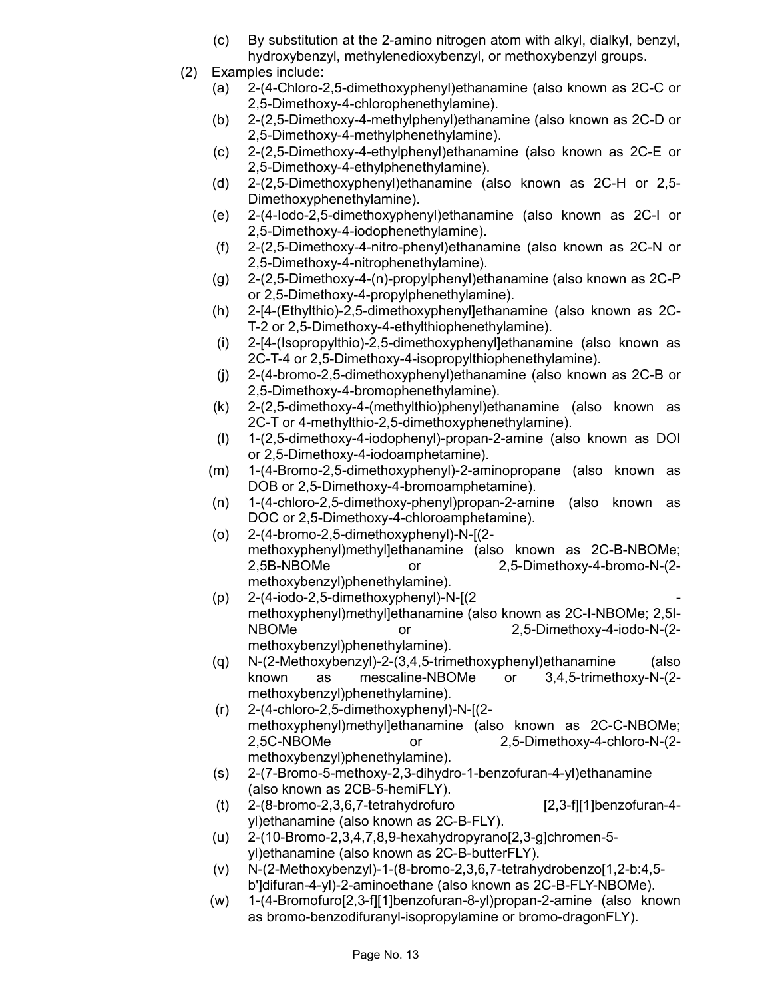- (c) By substitution at the 2-amino nitrogen atom with alkyl, dialkyl, benzyl, hydroxybenzyl, methylenedioxybenzyl, or methoxybenzyl groups.
- (2) Examples include:
	- (a) 2-(4-Chloro-2,5-dimethoxyphenyl)ethanamine (also known as 2C-C or 2,5-Dimethoxy-4-chlorophenethylamine).
	- (b) 2-(2,5-Dimethoxy-4-methylphenyl)ethanamine (also known as 2C-D or 2,5-Dimethoxy-4-methylphenethylamine).
	- (c) 2-(2,5-Dimethoxy-4-ethylphenyl)ethanamine (also known as 2C-E or 2,5-Dimethoxy-4-ethylphenethylamine).
	- (d) 2-(2,5-Dimethoxyphenyl)ethanamine (also known as 2C-H or 2,5- Dimethoxyphenethylamine).
	- (e) 2-(4-Iodo-2,5-dimethoxyphenyl)ethanamine (also known as 2C-I or 2,5-Dimethoxy-4-iodophenethylamine).
	- (f) 2-(2,5-Dimethoxy-4-nitro-phenyl)ethanamine (also known as 2C-N or 2,5-Dimethoxy-4-nitrophenethylamine).
	- (g) 2-(2,5-Dimethoxy-4-(n)-propylphenyl)ethanamine (also known as 2C-P or 2,5-Dimethoxy-4-propylphenethylamine).
	- (h) 2-[4-(Ethylthio)-2,5-dimethoxyphenyl]ethanamine (also known as 2C-T-2 or 2,5-Dimethoxy-4-ethylthiophenethylamine).
	- (i) 2-[4-(Isopropylthio)-2,5-dimethoxyphenyl]ethanamine (also known as 2C-T-4 or 2,5-Dimethoxy-4-isopropylthiophenethylamine).
	- (j) 2-(4-bromo-2,5-dimethoxyphenyl)ethanamine (also known as 2C-B or 2,5-Dimethoxy-4-bromophenethylamine).
	- (k) 2-(2,5-dimethoxy-4-(methylthio)phenyl)ethanamine (also known as 2C-T or 4-methylthio-2,5-dimethoxyphenethylamine).
	- (l) 1-(2,5-dimethoxy-4-iodophenyl)-propan-2-amine (also known as DOI or 2,5-Dimethoxy-4-iodoamphetamine).
	- (m) 1-(4-Bromo-2,5-dimethoxyphenyl)-2-aminopropane (also known as DOB or 2,5-Dimethoxy-4-bromoamphetamine).
	- (n) 1-(4-chloro-2,5-dimethoxy-phenyl)propan-2-amine (also known as DOC or 2,5-Dimethoxy-4-chloroamphetamine).
	- (o) 2-(4-bromo-2,5-dimethoxyphenyl)-N-[(2 methoxyphenyl)methyl]ethanamine (also known as 2C-B-NBOMe; 2,5B-NBOMe or 2,5-Dimethoxy-4-bromo-N-(2 methoxybenzyl)phenethylamine).
	- $(p)$  2-(4-iodo-2,5-dimethoxyphenyl)-N- $[(2$ methoxyphenyl)methyl]ethanamine (also known as 2C-I-NBOMe; 2,5I-NBOMe or 2,5-Dimethoxy-4-iodo-N-(2 methoxybenzyl)phenethylamine).
	- (q) N-(2-Methoxybenzyl)-2-(3,4,5-trimethoxyphenyl)ethanamine (also known as mescaline-NBOMe or 3,4,5-trimethoxy-N-(2 methoxybenzyl)phenethylamine).
	- (r) 2-(4-chloro-2,5-dimethoxyphenyl)-N-[(2 methoxyphenyl)methyl]ethanamine (also known as 2C-C-NBOMe; 2,5C-NBOMe or 2,5-Dimethoxy-4-chloro-N-(2 methoxybenzyl)phenethylamine).
	- (s) 2-(7-Bromo-5-methoxy-2,3-dihydro-1-benzofuran-4-yl)ethanamine (also known as 2CB-5-hemiFLY).
	- (t)  $2-(8-bromo-2,3,6,7-tetrahydrofuro$  [2,3-f][1]benzofuran-4yl)ethanamine (also known as 2C-B-FLY).
	- (u) 2-(10-Bromo-2,3,4,7,8,9-hexahydropyrano[2,3-g]chromen-5 yl)ethanamine (also known as 2C-B-butterFLY).
	- (v) N-(2-Methoxybenzyl)-1-(8-bromo-2,3,6,7-tetrahydrobenzo[1,2-b:4,5 b']difuran-4-yl)-2-aminoethane (also known as 2C-B-FLY-NBOMe).
	- (w) 1-(4-Bromofuro[2,3-f][1]benzofuran-8-yl)propan-2-amine (also known as bromo-benzodifuranyl-isopropylamine or bromo-dragonFLY).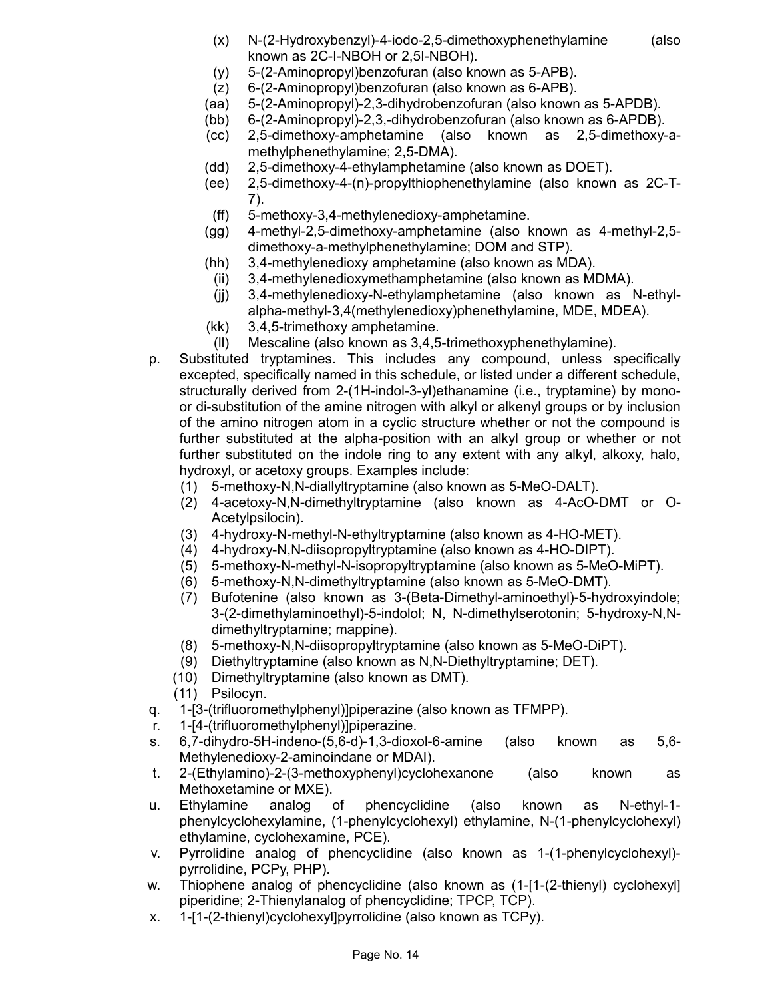- (x) N-(2-Hydroxybenzyl)-4-iodo-2,5-dimethoxyphenethylamine (also known as 2C-I-NBOH or 2,5I-NBOH).
- (y) 5-(2-Aminopropyl)benzofuran (also known as 5-APB).
- (z) 6-(2-Aminopropyl)benzofuran (also known as 6-APB).
- (aa) 5-(2-Aminopropyl)-2,3-dihydrobenzofuran (also known as 5-APDB).
- (bb) 6-(2-Aminopropyl)-2,3,-dihydrobenzofuran (also known as 6-APDB).
- (cc) 2,5-dimethoxy-amphetamine (also known as 2,5-dimethoxy-amethylphenethylamine; 2,5-DMA).
- (dd) 2,5-dimethoxy-4-ethylamphetamine (also known as DOET).
- (ee) 2,5-dimethoxy-4-(n)-propylthiophenethylamine (also known as 2C-T-7).
- (ff) 5-methoxy-3,4-methylenedioxy-amphetamine.
- (gg) 4-methyl-2,5-dimethoxy-amphetamine (also known as 4-methyl-2,5 dimethoxy-a-methylphenethylamine; DOM and STP).
- (hh) 3,4-methylenedioxy amphetamine (also known as MDA).
	- (ii) 3,4-methylenedioxymethamphetamine (also known as MDMA).
- (jj) 3,4-methylenedioxy-N-ethylamphetamine (also known as N-ethylalpha-methyl-3,4(methylenedioxy)phenethylamine, MDE, MDEA).
- (kk) 3,4,5-trimethoxy amphetamine.
- (ll) Mescaline (also known as 3,4,5-trimethoxyphenethylamine).
- p. Substituted tryptamines. This includes any compound, unless specifically excepted, specifically named in this schedule, or listed under a different schedule, structurally derived from 2-(1H-indol-3-yl)ethanamine (i.e., tryptamine) by monoor di-substitution of the amine nitrogen with alkyl or alkenyl groups or by inclusion of the amino nitrogen atom in a cyclic structure whether or not the compound is further substituted at the alpha-position with an alkyl group or whether or not further substituted on the indole ring to any extent with any alkyl, alkoxy, halo, hydroxyl, or acetoxy groups. Examples include:
	- (1) 5-methoxy-N,N-diallyltryptamine (also known as 5-MeO-DALT).
	- (2) 4-acetoxy-N,N-dimethyltryptamine (also known as 4-AcO-DMT or O-Acetylpsilocin).
	- (3) 4-hydroxy-N-methyl-N-ethyltryptamine (also known as 4-HO-MET).
	- (4) 4-hydroxy-N,N-diisopropyltryptamine (also known as 4-HO-DIPT).
	- (5) 5-methoxy-N-methyl-N-isopropyltryptamine (also known as 5-MeO-MiPT).
	- (6) 5-methoxy-N,N-dimethyltryptamine (also known as 5-MeO-DMT).
	- (7) Bufotenine (also known as 3-(Beta-Dimethyl-aminoethyl)-5-hydroxyindole; 3-(2-dimethylaminoethyl)-5-indolol; N, N-dimethylserotonin; 5-hydroxy-N,Ndimethyltryptamine; mappine).
	- (8) 5-methoxy-N,N-diisopropyltryptamine (also known as 5-MeO-DiPT).
	- (9) Diethyltryptamine (also known as N,N-Diethyltryptamine; DET).
	- (10) Dimethyltryptamine (also known as DMT).
	- (11) Psilocyn.
- q. 1-[3-(trifluoromethylphenyl)]piperazine (also known as TFMPP).
- r. 1-[4-(trifluoromethylphenyl)]piperazine.
- s. 6,7-dihydro-5H-indeno-(5,6-d)-1,3-dioxol-6-amine (also known as 5,6- Methylenedioxy-2-aminoindane or MDAI).
- t. 2-(Ethylamino)-2-(3-methoxyphenyl)cyclohexanone (also known as Methoxetamine or MXE).
- u. Ethylamine analog of phencyclidine (also known as N-ethyl-1 phenylcyclohexylamine, (1-phenylcyclohexyl) ethylamine, N-(1-phenylcyclohexyl) ethylamine, cyclohexamine, PCE).
- v. Pyrrolidine analog of phencyclidine (also known as 1-(1-phenylcyclohexyl) pyrrolidine, PCPy, PHP).
- w. Thiophene analog of phencyclidine (also known as  $(1-[1-(2-thieny])$  cyclohexyl piperidine; 2-Thienylanalog of phencyclidine; TPCP, TCP).
- x. 1-[1-(2-thienyl)cyclohexyl]pyrrolidine (also known as TCPy).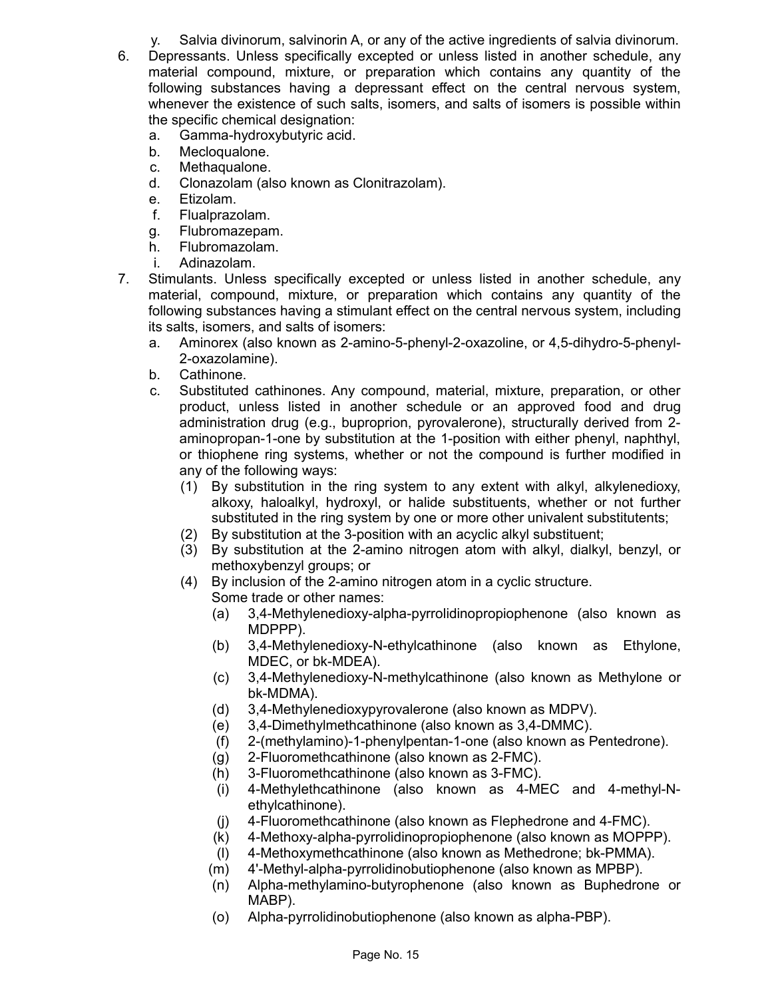y. Salvia divinorum, salvinorin A, or any of the active ingredients of salvia divinorum.

- 6. Depressants. Unless specifically excepted or unless listed in another schedule, any material compound, mixture, or preparation which contains any quantity of the following substances having a depressant effect on the central nervous system, whenever the existence of such salts, isomers, and salts of isomers is possible within the specific chemical designation:
	- a. Gamma-hydroxybutyric acid.
	- b. Mecloqualone.
	- c. Methaqualone.
	- d. Clonazolam (also known as Clonitrazolam).
	- e. Etizolam.
	- f. Flualprazolam.
	- g. Flubromazepam.
	- h. Flubromazolam.
	- i. Adinazolam.
- 7. Stimulants. Unless specifically excepted or unless listed in another schedule, any material, compound, mixture, or preparation which contains any quantity of the following substances having a stimulant effect on the central nervous system, including its salts, isomers, and salts of isomers:
	- a. Aminorex (also known as 2-amino-5-phenyl-2-oxazoline, or 4,5-dihydro-5-phenyl-2-oxazolamine).
	- b. Cathinone.
	- c. Substituted cathinones. Any compound, material, mixture, preparation, or other product, unless listed in another schedule or an approved food and drug administration drug (e.g., buproprion, pyrovalerone), structurally derived from 2 aminopropan-1-one by substitution at the 1-position with either phenyl, naphthyl, or thiophene ring systems, whether or not the compound is further modified in any of the following ways:
		- (1) By substitution in the ring system to any extent with alkyl, alkylenedioxy, alkoxy, haloalkyl, hydroxyl, or halide substituents, whether or not further substituted in the ring system by one or more other univalent substitutents;
		- (2) By substitution at the 3-position with an acyclic alkyl substituent;
		- (3) By substitution at the 2-amino nitrogen atom with alkyl, dialkyl, benzyl, or methoxybenzyl groups; or
		- (4) By inclusion of the 2-amino nitrogen atom in a cyclic structure. Some trade or other names:
			- (a) 3,4-Methylenedioxy-alpha-pyrrolidinopropiophenone (also known as MDPPP).
			- (b) 3,4-Methylenedioxy-N-ethylcathinone (also known as Ethylone, MDEC, or bk-MDEA).
			- (c) 3,4-Methylenedioxy-N-methylcathinone (also known as Methylone or bk-MDMA).
			- (d) 3,4-Methylenedioxypyrovalerone (also known as MDPV).
			- (e) 3,4-Dimethylmethcathinone (also known as 3,4-DMMC).
			- (f) 2-(methylamino)-1-phenylpentan-1-one (also known as Pentedrone).
			- (g) 2-Fluoromethcathinone (also known as 2-FMC).
			- (h) 3-Fluoromethcathinone (also known as 3-FMC).
			- (i) 4-Methylethcathinone (also known as 4-MEC and 4-methyl-Nethylcathinone).
			- (j) 4-Fluoromethcathinone (also known as Flephedrone and 4-FMC).
			- (k) 4-Methoxy-alpha-pyrrolidinopropiophenone (also known as MOPPP).
			- (l) 4-Methoxymethcathinone (also known as Methedrone; bk-PMMA).
			- (m) 4'-Methyl-alpha-pyrrolidinobutiophenone (also known as MPBP).
			- (n) Alpha-methylamino-butyrophenone (also known as Buphedrone or MABP).
			- (o) Alpha-pyrrolidinobutiophenone (also known as alpha-PBP).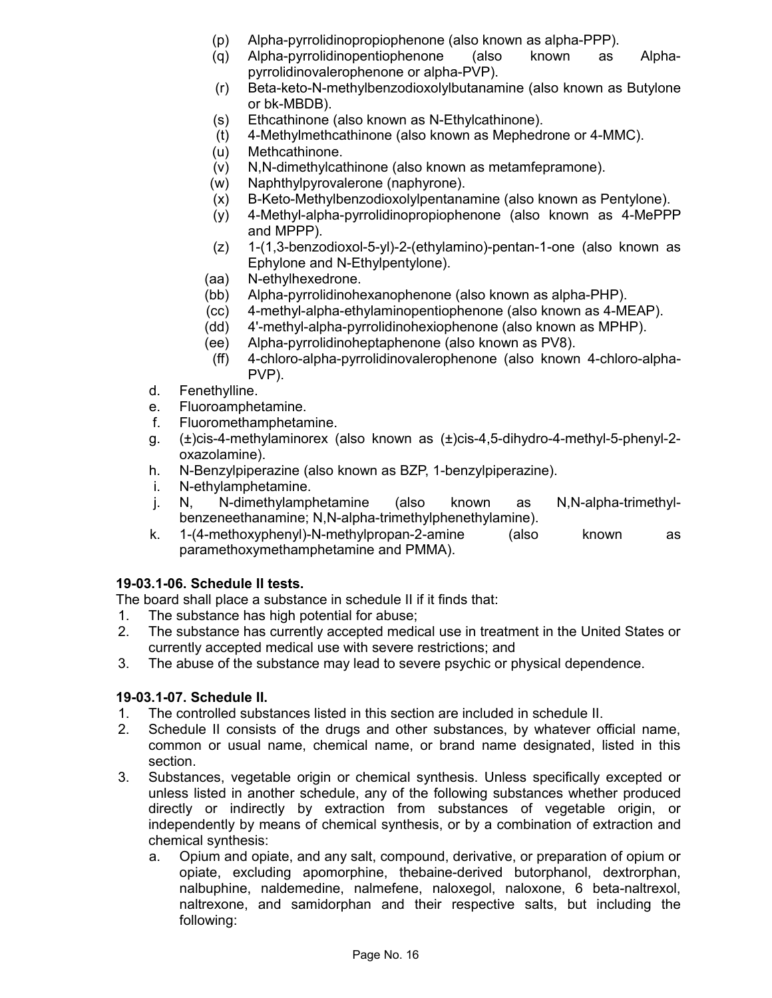- (p) Alpha-pyrrolidinopropiophenone (also known as alpha-PPP).
- (q) Alpha-pyrrolidinopentiophenone (also known as Alphapyrrolidinovalerophenone or alpha-PVP).
- (r) Beta-keto-N-methylbenzodioxolylbutanamine (also known as Butylone or bk-MBDB).
- (s) Ethcathinone (also known as N-Ethylcathinone).
- (t) 4-Methylmethcathinone (also known as Mephedrone or 4-MMC).
- (u) Methcathinone.
- (v) N,N-dimethylcathinone (also known as metamfepramone).
- (w) Naphthylpyrovalerone (naphyrone).
- (x) B-Keto-Methylbenzodioxolylpentanamine (also known as Pentylone).
- (y) 4-Methyl-alpha-pyrrolidinopropiophenone (also known as 4-MePPP and MPPP).
- (z) 1-(1,3-benzodioxol-5-yl)-2-(ethylamino)-pentan-1-one (also known as Ephylone and N-Ethylpentylone).
- (aa) N-ethylhexedrone.
- (bb) Alpha-pyrrolidinohexanophenone (also known as alpha-PHP).
- (cc) 4-methyl-alpha-ethylaminopentiophenone (also known as 4-MEAP).
- (dd) 4'-methyl-alpha-pyrrolidinohexiophenone (also known as MPHP).
- (ee) Alpha-pyrrolidinoheptaphenone (also known as PV8).
- (ff) 4-chloro-alpha-pyrrolidinovalerophenone (also known 4-chloro-alpha-PVP).
- d. Fenethylline.
- e. Fluoroamphetamine.
- f. Fluoromethamphetamine.
- g. (±)cis-4-methylaminorex (also known as (±)cis-4,5-dihydro-4-methyl-5-phenyl-2 oxazolamine).
- h. N-Benzylpiperazine (also known as BZP, 1-benzylpiperazine).
- i. N-ethylamphetamine.
- j. N, N-dimethylamphetamine (also known as N,N-alpha-trimethylbenzeneethanamine; N,N-alpha-trimethylphenethylamine).
- k. 1-(4-methoxyphenyl)-N-methylpropan-2-amine (also known as paramethoxymethamphetamine and PMMA).

## **19-03.1-06. Schedule II tests.**

The board shall place a substance in schedule II if it finds that:

- 1. The substance has high potential for abuse;
- 2. The substance has currently accepted medical use in treatment in the United States or currently accepted medical use with severe restrictions; and
- 3. The abuse of the substance may lead to severe psychic or physical dependence.

## **19-03.1-07. Schedule II.**

- 1. The controlled substances listed in this section are included in schedule II.
- 2. Schedule II consists of the drugs and other substances, by whatever official name, common or usual name, chemical name, or brand name designated, listed in this section.
- 3. Substances, vegetable origin or chemical synthesis. Unless specifically excepted or unless listed in another schedule, any of the following substances whether produced directly or indirectly by extraction from substances of vegetable origin, or independently by means of chemical synthesis, or by a combination of extraction and chemical synthesis:
	- a. Opium and opiate, and any salt, compound, derivative, or preparation of opium or opiate, excluding apomorphine, thebaine-derived butorphanol, dextrorphan, nalbuphine, naldemedine, nalmefene, naloxegol, naloxone, 6 beta-naltrexol, naltrexone, and samidorphan and their respective salts, but including the following: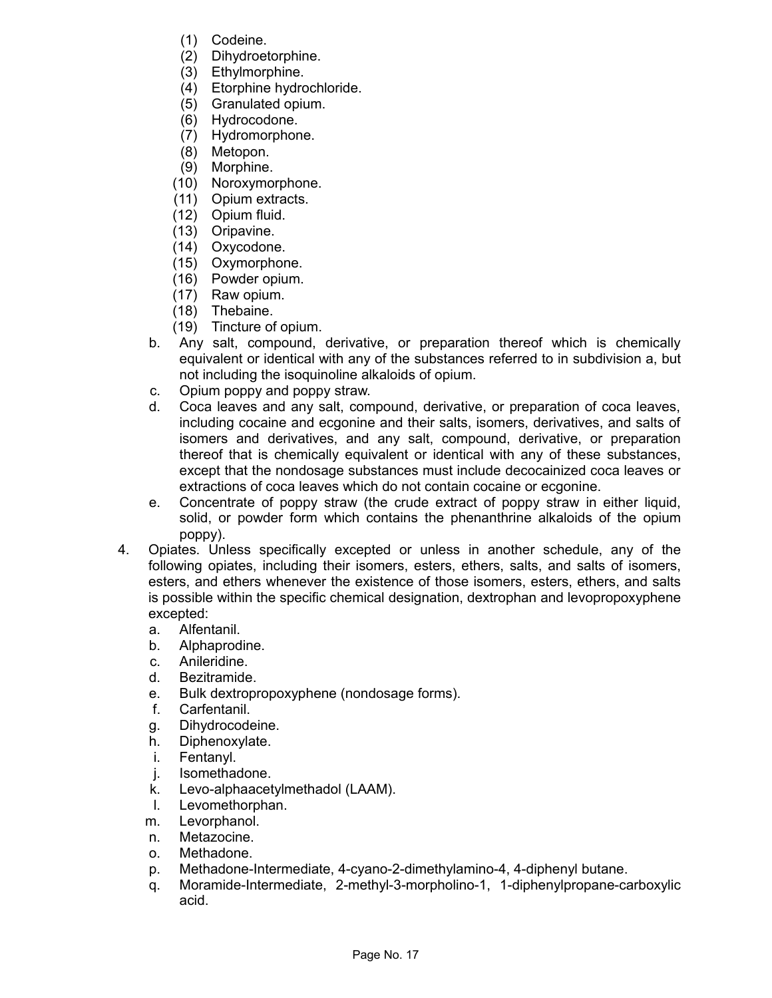- (1) Codeine.
- (2) Dihydroetorphine.
- (3) Ethylmorphine.
- (4) Etorphine hydrochloride.
- (5) Granulated opium.
- (6) Hydrocodone.
- (7) Hydromorphone.
- (8) Metopon.
- (9) Morphine.
- (10) Noroxymorphone.
- (11) Opium extracts.
- (12) Opium fluid.
- (13) Oripavine.
- (14) Oxycodone.
- (15) Oxymorphone.
- (16) Powder opium.
- (17) Raw opium.
- (18) Thebaine.
- (19) Tincture of opium.
- b. Any salt, compound, derivative, or preparation thereof which is chemically equivalent or identical with any of the substances referred to in subdivision a, but not including the isoquinoline alkaloids of opium.
- c. Opium poppy and poppy straw.
- d. Coca leaves and any salt, compound, derivative, or preparation of coca leaves, including cocaine and ecgonine and their salts, isomers, derivatives, and salts of isomers and derivatives, and any salt, compound, derivative, or preparation thereof that is chemically equivalent or identical with any of these substances, except that the nondosage substances must include decocainized coca leaves or extractions of coca leaves which do not contain cocaine or ecgonine.
- e. Concentrate of poppy straw (the crude extract of poppy straw in either liquid, solid, or powder form which contains the phenanthrine alkaloids of the opium poppy).
- 4. Opiates. Unless specifically excepted or unless in another schedule, any of the following opiates, including their isomers, esters, ethers, salts, and salts of isomers, esters, and ethers whenever the existence of those isomers, esters, ethers, and salts is possible within the specific chemical designation, dextrophan and levopropoxyphene excepted:
	- a. Alfentanil.
	- b. Alphaprodine.
	- c. Anileridine.
	- d. Bezitramide.
	- e. Bulk dextropropoxyphene (nondosage forms).
	- f. Carfentanil.
	- g. Dihydrocodeine.
	- h. Diphenoxylate.
	- i. Fentanyl.
	- j. Isomethadone.
	- k. Levo-alphaacetylmethadol (LAAM).
	- l. Levomethorphan.
	- m. Levorphanol.
	- n. Metazocine.
	- o. Methadone.
	- p. Methadone-Intermediate, 4-cyano-2-dimethylamino-4, 4-diphenyl butane.
	- q. Moramide-Intermediate, 2-methyl-3-morpholino-1, 1-diphenylpropane-carboxylic acid.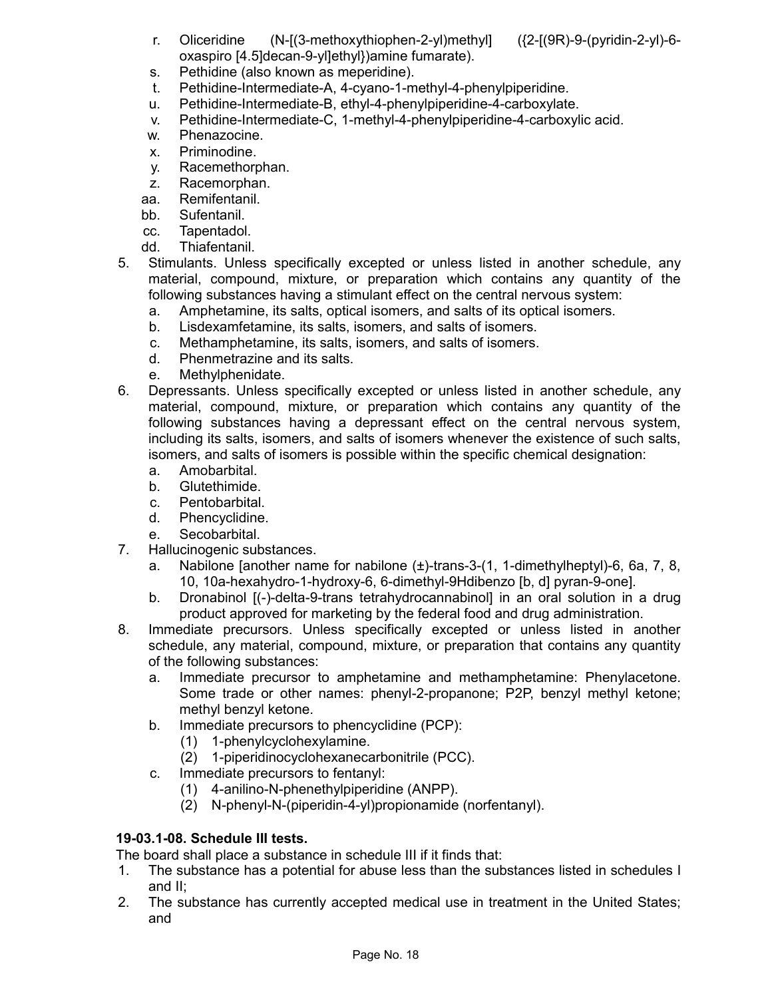r. Oliceridine (N-[(3-methoxythiophen-2-yl)methyl] ({2-[(9R)-9-(pyridin-2-yl)-6 oxaspiro [4.5]decan-9-yl]ethyl})amine fumarate).

- s. Pethidine (also known as meperidine).
- t. Pethidine-Intermediate-A, 4-cyano-1-methyl-4-phenylpiperidine.
- u. Pethidine-Intermediate-B, ethyl-4-phenylpiperidine-4-carboxylate.
- v. Pethidine-Intermediate-C, 1-methyl-4-phenylpiperidine-4-carboxylic acid.
- w. Phenazocine.
- x. Priminodine.
- y. Racemethorphan.
- z. Racemorphan.
- aa. Remifentanil.
- bb. Sufentanil.
- cc. Tapentadol.
- dd. Thiafentanil.
- 5. Stimulants. Unless specifically excepted or unless listed in another schedule, any material, compound, mixture, or preparation which contains any quantity of the following substances having a stimulant effect on the central nervous system:
	- a. Amphetamine, its salts, optical isomers, and salts of its optical isomers.
	- b. Lisdexamfetamine, its salts, isomers, and salts of isomers.
	- c. Methamphetamine, its salts, isomers, and salts of isomers.
	- d. Phenmetrazine and its salts.
	- e. Methylphenidate.
- 6. Depressants. Unless specifically excepted or unless listed in another schedule, any material, compound, mixture, or preparation which contains any quantity of the following substances having a depressant effect on the central nervous system, including its salts, isomers, and salts of isomers whenever the existence of such salts, isomers, and salts of isomers is possible within the specific chemical designation:
	- a. Amobarbital.
	- b. Glutethimide.
	- c. Pentobarbital.
	- d. Phencyclidine.
	- e. Secobarbital.
- 7. Hallucinogenic substances.
	- a. Nabilone [another name for nabilone (±)-trans-3-(1, 1-dimethylheptyl)-6, 6a, 7, 8, 10, 10a-hexahydro-1-hydroxy-6, 6-dimethyl-9Hdibenzo [b, d] pyran-9-one].
	- b. Dronabinol [(-)-delta-9-trans tetrahydrocannabinol] in an oral solution in a drug product approved for marketing by the federal food and drug administration.
- 8. Immediate precursors. Unless specifically excepted or unless listed in another schedule, any material, compound, mixture, or preparation that contains any quantity of the following substances:
	- a. Immediate precursor to amphetamine and methamphetamine: Phenylacetone. Some trade or other names: phenyl-2-propanone; P2P, benzyl methyl ketone; methyl benzyl ketone.
	- b. Immediate precursors to phencyclidine (PCP):
		- (1) 1-phenylcyclohexylamine.
		- (2) 1-piperidinocyclohexanecarbonitrile (PCC).
	- c. Immediate precursors to fentanyl:
		- (1) 4-anilino-N-phenethylpiperidine (ANPP).
		- (2) N-phenyl-N-(piperidin-4-yl)propionamide (norfentanyl).

# **19-03.1-08. Schedule III tests.**

The board shall place a substance in schedule III if it finds that:

- 1. The substance has a potential for abuse less than the substances listed in schedules I and II;
- 2. The substance has currently accepted medical use in treatment in the United States; and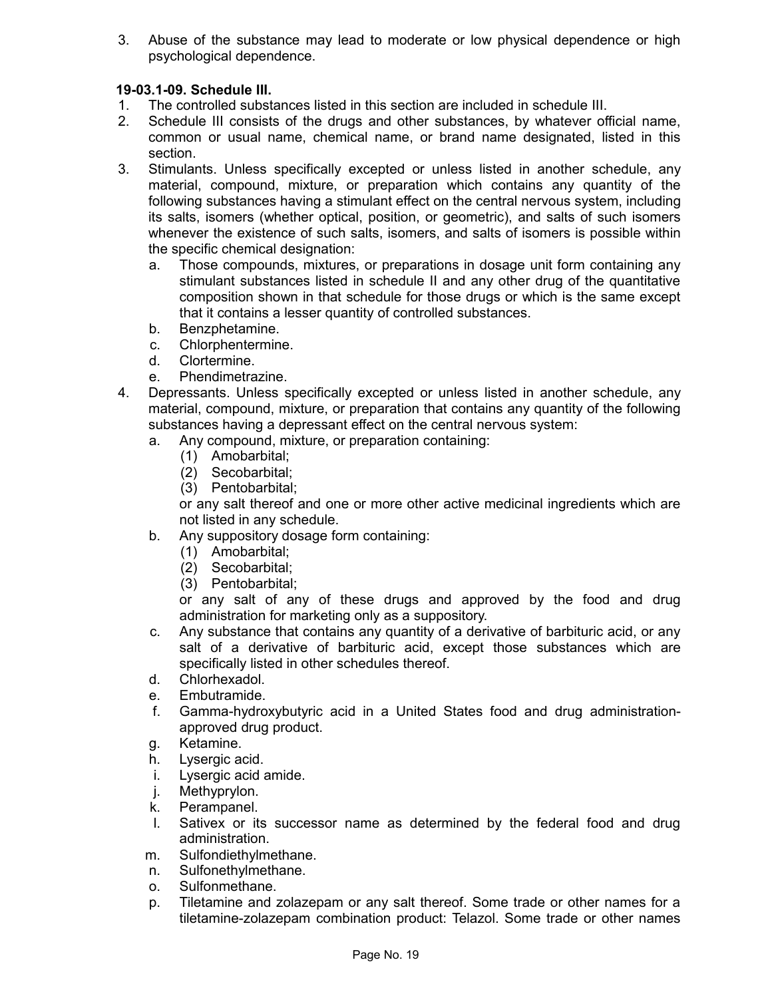3. Abuse of the substance may lead to moderate or low physical dependence or high psychological dependence.

# **19-03.1-09. Schedule III.**

- 1. The controlled substances listed in this section are included in schedule III.
- 2. Schedule III consists of the drugs and other substances, by whatever official name, common or usual name, chemical name, or brand name designated, listed in this section.
- 3. Stimulants. Unless specifically excepted or unless listed in another schedule, any material, compound, mixture, or preparation which contains any quantity of the following substances having a stimulant effect on the central nervous system, including its salts, isomers (whether optical, position, or geometric), and salts of such isomers whenever the existence of such salts, isomers, and salts of isomers is possible within the specific chemical designation:
	- a. Those compounds, mixtures, or preparations in dosage unit form containing any stimulant substances listed in schedule II and any other drug of the quantitative composition shown in that schedule for those drugs or which is the same except that it contains a lesser quantity of controlled substances.
	- b. Benzphetamine.
	- c. Chlorphentermine.
	- d. Clortermine.
	- e. Phendimetrazine.
- 4. Depressants. Unless specifically excepted or unless listed in another schedule, any material, compound, mixture, or preparation that contains any quantity of the following substances having a depressant effect on the central nervous system:
	- a. Any compound, mixture, or preparation containing:
		- (1) Amobarbital;
		- (2) Secobarbital;
		- (3) Pentobarbital;

or any salt thereof and one or more other active medicinal ingredients which are not listed in any schedule.

- b. Any suppository dosage form containing:
	- (1) Amobarbital;
	- (2) Secobarbital;
	- (3) Pentobarbital;

or any salt of any of these drugs and approved by the food and drug administration for marketing only as a suppository.

- c. Any substance that contains any quantity of a derivative of barbituric acid, or any salt of a derivative of barbituric acid, except those substances which are specifically listed in other schedules thereof.
- d. Chlorhexadol.
- e. Embutramide.
- f. Gamma-hydroxybutyric acid in a United States food and drug administrationapproved drug product.
- g. Ketamine.
- h. Lysergic acid.
- i. Lysergic acid amide.
- j. Methyprylon.
- k. Perampanel.
- l. Sativex or its successor name as determined by the federal food and drug administration.
- m. Sulfondiethylmethane.
- n. Sulfonethylmethane.
- o. Sulfonmethane.
- p. Tiletamine and zolazepam or any salt thereof. Some trade or other names for a tiletamine-zolazepam combination product: Telazol. Some trade or other names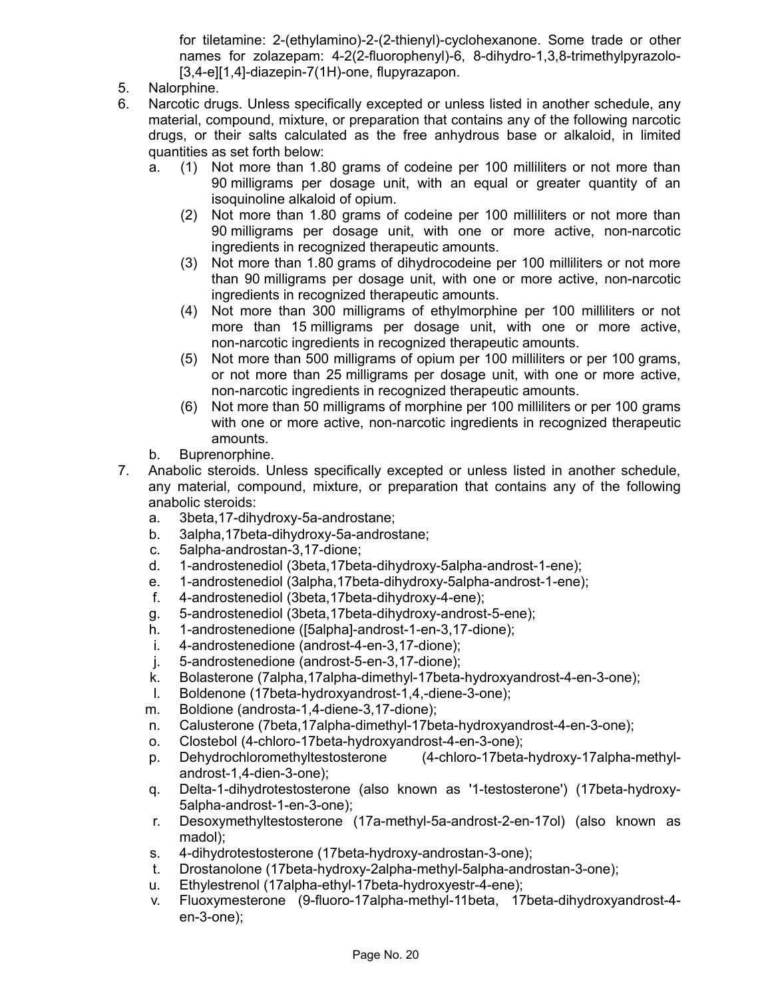for tiletamine: 2-(ethylamino)-2-(2-thienyl)-cyclohexanone. Some trade or other names for zolazepam: 4-2(2-fluorophenyl)-6, 8-dihydro-1,3,8-trimethylpyrazolo- [3,4-e][1,4]-diazepin-7(1H)-one, flupyrazapon.

- 5. Nalorphine.
- 6. Narcotic drugs. Unless specifically excepted or unless listed in another schedule, any material, compound, mixture, or preparation that contains any of the following narcotic drugs, or their salts calculated as the free anhydrous base or alkaloid, in limited quantities as set forth below:
	- a. (1) Not more than 1.80 grams of codeine per 100 milliliters or not more than 90 milligrams per dosage unit, with an equal or greater quantity of an isoquinoline alkaloid of opium.
		- (2) Not more than 1.80 grams of codeine per 100 milliliters or not more than 90 milligrams per dosage unit, with one or more active, non-narcotic ingredients in recognized therapeutic amounts.
		- (3) Not more than 1.80 grams of dihydrocodeine per 100 milliliters or not more than 90 milligrams per dosage unit, with one or more active, non-narcotic ingredients in recognized therapeutic amounts.
		- (4) Not more than 300 milligrams of ethylmorphine per 100 milliliters or not more than 15 milligrams per dosage unit, with one or more active, non-narcotic ingredients in recognized therapeutic amounts.
		- (5) Not more than 500 milligrams of opium per 100 milliliters or per 100 grams, or not more than 25 milligrams per dosage unit, with one or more active, non-narcotic ingredients in recognized therapeutic amounts.
		- (6) Not more than 50 milligrams of morphine per 100 milliliters or per 100 grams with one or more active, non-narcotic ingredients in recognized therapeutic amounts.
	- b. Buprenorphine.
- 7. Anabolic steroids. Unless specifically excepted or unless listed in another schedule, any material, compound, mixture, or preparation that contains any of the following anabolic steroids:
	- a. 3beta,17-dihydroxy-5a-androstane;
	- b. 3alpha,17beta-dihydroxy-5a-androstane;
	- c. 5alpha-androstan-3,17-dione;
	- d. 1-androstenediol (3beta,17beta-dihydroxy-5alpha-androst-1-ene);
	- e. 1-androstenediol (3alpha,17beta-dihydroxy-5alpha-androst-1-ene);
	- f. 4-androstenediol (3beta,17beta-dihydroxy-4-ene);
	- g. 5-androstenediol (3beta,17beta-dihydroxy-androst-5-ene);
	- h. 1-androstenedione ([5alpha]-androst-1-en-3,17-dione);
	- i. 4-androstenedione (androst-4-en-3,17-dione);
	- j. 5-androstenedione (androst-5-en-3,17-dione);
	- k. Bolasterone (7alpha,17alpha-dimethyl-17beta-hydroxyandrost-4-en-3-one);
	- l. Boldenone (17beta-hydroxyandrost-1,4,-diene-3-one);
	- m. Boldione (androsta-1,4-diene-3,17-dione);
	- n. Calusterone (7beta,17alpha-dimethyl-17beta-hydroxyandrost-4-en-3-one);
	- o. Clostebol (4-chloro-17beta-hydroxyandrost-4-en-3-one);
	- p. Dehydrochloromethyltestosterone (4-chloro-17beta-hydroxy-17alpha-methylandrost-1,4-dien-3-one);
	- q. Delta-1-dihydrotestosterone (also known as '1-testosterone') (17beta-hydroxy-5alpha-androst-1-en-3-one);
	- r. Desoxymethyltestosterone (17a-methyl-5a-androst-2-en-17ol) (also known as madol);
	- s. 4-dihydrotestosterone (17beta-hydroxy-androstan-3-one);
	- t. Drostanolone (17beta-hydroxy-2alpha-methyl-5alpha-androstan-3-one);
	- u. Ethylestrenol (17alpha-ethyl-17beta-hydroxyestr-4-ene);
	- v. Fluoxymesterone (9-fluoro-17alpha-methyl-11beta, 17beta-dihydroxyandrost-4 en-3-one);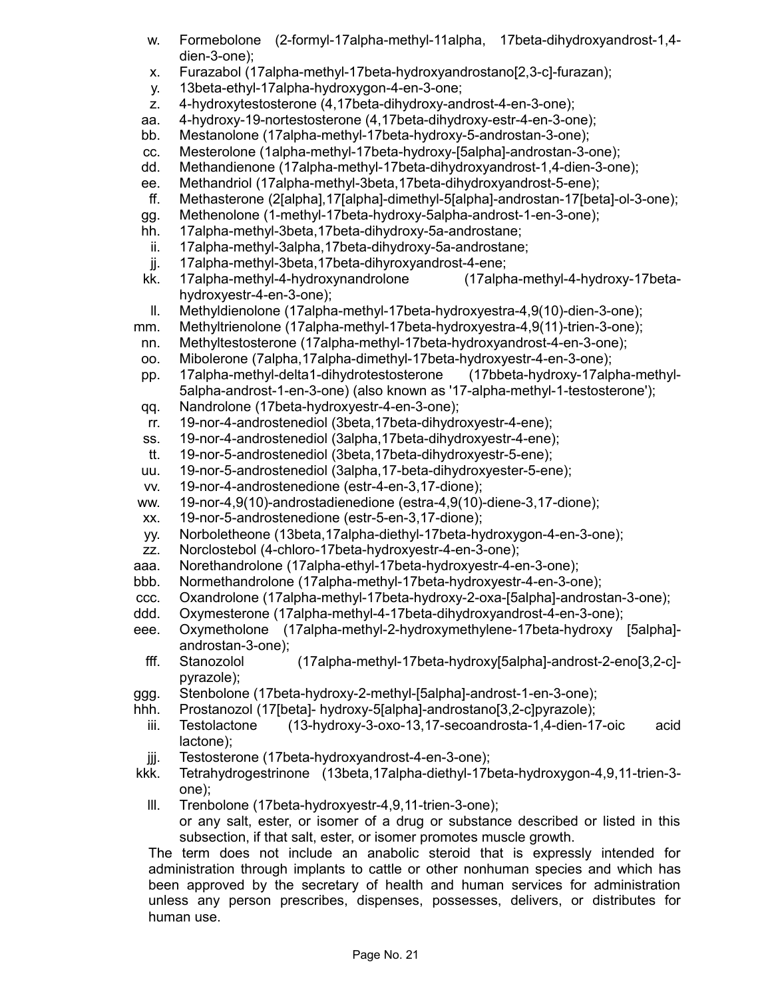- w. Formebolone (2-formyl-17alpha-methyl-11alpha, 17beta-dihydroxyandrost-1,4 dien-3-one);
- x. Furazabol (17alpha-methyl-17beta-hydroxyandrostano[2,3-c]-furazan);
- y. 13beta-ethyl-17alpha-hydroxygon-4-en-3-one;
- z. 4-hydroxytestosterone (4,17beta-dihydroxy-androst-4-en-3-one);
- aa. 4-hydroxy-19-nortestosterone (4,17beta-dihydroxy-estr-4-en-3-one);
- bb. Mestanolone (17alpha-methyl-17beta-hydroxy-5-androstan-3-one);
- cc. Mesterolone (1alpha-methyl-17beta-hydroxy-[5alpha]-androstan-3-one);
- dd. Methandienone (17alpha-methyl-17beta-dihydroxyandrost-1,4-dien-3-one);
- ee. Methandriol (17alpha-methyl-3beta,17beta-dihydroxyandrost-5-ene);
- ff. Methasterone (2[alpha],17[alpha]-dimethyl-5[alpha]-androstan-17[beta]-ol-3-one);
- gg. Methenolone (1-methyl-17beta-hydroxy-5alpha-androst-1-en-3-one);
- hh. 17alpha-methyl-3beta,17beta-dihydroxy-5a-androstane;
- ii. 17alpha-methyl-3alpha,17beta-dihydroxy-5a-androstane;
- jj. 17alpha-methyl-3beta,17beta-dihyroxyandrost-4-ene;
- kk. 17alpha-methyl-4-hydroxynandrolone (17alpha-methyl-4-hydroxy-17betahydroxyestr-4-en-3-one);
- ll. Methyldienolone (17alpha-methyl-17beta-hydroxyestra-4,9(10)-dien-3-one);
- mm. Methyltrienolone (17alpha-methyl-17beta-hydroxyestra-4,9(11)-trien-3-one);
- nn. Methyltestosterone (17alpha-methyl-17beta-hydroxyandrost-4-en-3-one);
- oo. Mibolerone (7alpha,17alpha-dimethyl-17beta-hydroxyestr-4-en-3-one);
- pp. 17alpha-methyl-delta1-dihydrotestosterone (17bbeta-hydroxy-17alpha-methyl-5alpha-androst-1-en-3-one) (also known as '17-alpha-methyl-1-testosterone');
- qq. Nandrolone (17beta-hydroxyestr-4-en-3-one);
- rr. 19-nor-4-androstenediol (3beta,17beta-dihydroxyestr-4-ene);
- ss. 19-nor-4-androstenediol (3alpha,17beta-dihydroxyestr-4-ene);
- tt. 19-nor-5-androstenediol (3beta,17beta-dihydroxyestr-5-ene);
- uu. 19-nor-5-androstenediol (3alpha,17-beta-dihydroxyester-5-ene);
- vv. 19-nor-4-androstenedione (estr-4-en-3,17-dione);
- ww. 19-nor-4,9(10)-androstadienedione (estra-4,9(10)-diene-3,17-dione);
- xx. 19-nor-5-androstenedione (estr-5-en-3,17-dione);
- yy. Norboletheone (13beta,17alpha-diethyl-17beta-hydroxygon-4-en-3-one);
- zz. Norclostebol (4-chloro-17beta-hydroxyestr-4-en-3-one);
- aaa. Norethandrolone (17alpha-ethyl-17beta-hydroxyestr-4-en-3-one);
- bbb. Normethandrolone (17alpha-methyl-17beta-hydroxyestr-4-en-3-one);
- ccc. Oxandrolone (17alpha-methyl-17beta-hydroxy-2-oxa-[5alpha]-androstan-3-one);
- ddd. Oxymesterone (17alpha-methyl-4-17beta-dihydroxyandrost-4-en-3-one);
- eee. Oxymetholone (17alpha-methyl-2-hydroxymethylene-17beta-hydroxy [5alpha] androstan-3-one);
- fff. Stanozolol (17alpha-methyl-17beta-hydroxy[5alpha]-androst-2-eno[3,2-c] pyrazole);
- ggg. Stenbolone (17beta-hydroxy-2-methyl-[5alpha]-androst-1-en-3-one);
- hhh. Prostanozol (17[beta]- hydroxy-5[alpha]-androstano[3,2-c]pyrazole);
- iii. Testolactone (13-hydroxy-3-oxo-13,17-secoandrosta-1,4-dien-17-oic acid lactone);
- jjj. Testosterone (17beta-hydroxyandrost-4-en-3-one);
- kkk. Tetrahydrogestrinone (13beta,17alpha-diethyl-17beta-hydroxygon-4,9,11-trien-3 one);
	- lll. Trenbolone (17beta-hydroxyestr-4,9,11-trien-3-one); or any salt, ester, or isomer of a drug or substance described or listed in this subsection, if that salt, ester, or isomer promotes muscle growth.

The term does not include an anabolic steroid that is expressly intended for administration through implants to cattle or other nonhuman species and which has been approved by the secretary of health and human services for administration unless any person prescribes, dispenses, possesses, delivers, or distributes for human use.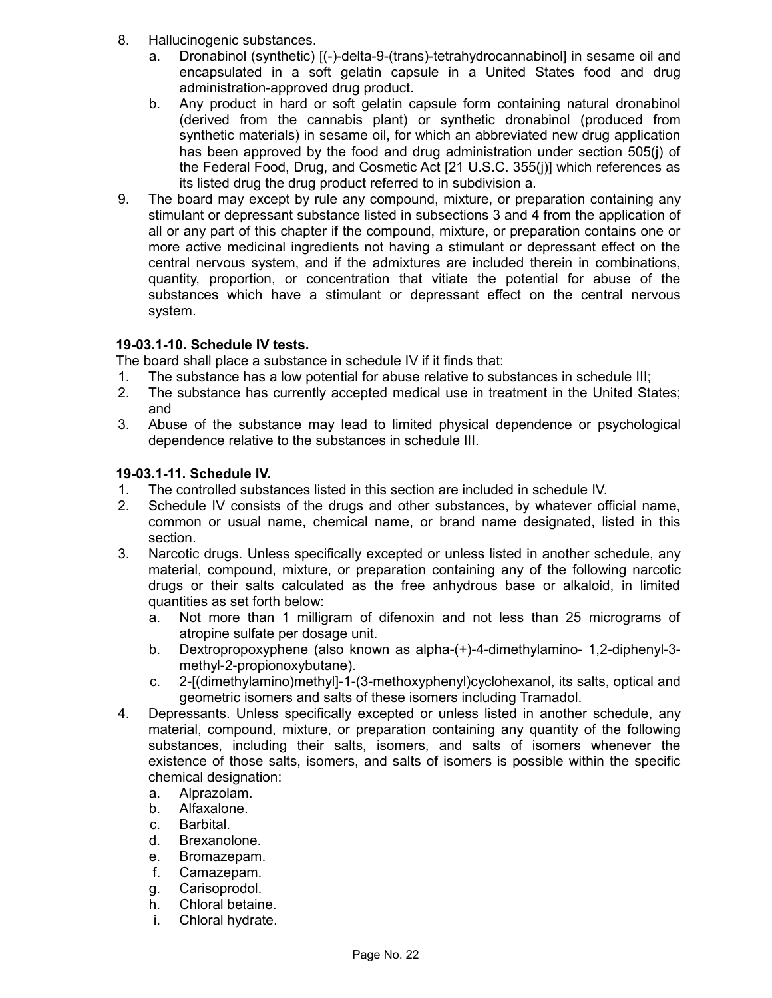- 8. Hallucinogenic substances.
	- a. Dronabinol (synthetic) [(-)-delta-9-(trans)-tetrahydrocannabinol] in sesame oil and encapsulated in a soft gelatin capsule in a United States food and drug administration-approved drug product.
	- b. Any product in hard or soft gelatin capsule form containing natural dronabinol (derived from the cannabis plant) or synthetic dronabinol (produced from synthetic materials) in sesame oil, for which an abbreviated new drug application has been approved by the food and drug administration under section 505(j) of the Federal Food, Drug, and Cosmetic Act [21 U.S.C. 355(j)] which references as its listed drug the drug product referred to in subdivision a.
- 9. The board may except by rule any compound, mixture, or preparation containing any stimulant or depressant substance listed in subsections 3 and 4 from the application of all or any part of this chapter if the compound, mixture, or preparation contains one or more active medicinal ingredients not having a stimulant or depressant effect on the central nervous system, and if the admixtures are included therein in combinations, quantity, proportion, or concentration that vitiate the potential for abuse of the substances which have a stimulant or depressant effect on the central nervous system.

# **19-03.1-10. Schedule IV tests.**

The board shall place a substance in schedule IV if it finds that:

- 1. The substance has a low potential for abuse relative to substances in schedule III;
- 2. The substance has currently accepted medical use in treatment in the United States; and
- 3. Abuse of the substance may lead to limited physical dependence or psychological dependence relative to the substances in schedule III.

# **19-03.1-11. Schedule IV.**

- 1. The controlled substances listed in this section are included in schedule IV.
- 2. Schedule IV consists of the drugs and other substances, by whatever official name, common or usual name, chemical name, or brand name designated, listed in this section.
- 3. Narcotic drugs. Unless specifically excepted or unless listed in another schedule, any material, compound, mixture, or preparation containing any of the following narcotic drugs or their salts calculated as the free anhydrous base or alkaloid, in limited quantities as set forth below:
	- a. Not more than 1 milligram of difenoxin and not less than 25 micrograms of atropine sulfate per dosage unit.
	- b. Dextropropoxyphene (also known as alpha-(+)-4-dimethylamino- 1,2-diphenyl-3 methyl-2-propionoxybutane).
	- c. 2-[(dimethylamino)methyl]-1-(3-methoxyphenyl)cyclohexanol, its salts, optical and geometric isomers and salts of these isomers including Tramadol.
- 4. Depressants. Unless specifically excepted or unless listed in another schedule, any material, compound, mixture, or preparation containing any quantity of the following substances, including their salts, isomers, and salts of isomers whenever the existence of those salts, isomers, and salts of isomers is possible within the specific chemical designation:
	- a. Alprazolam.
	- b. Alfaxalone.
	- c. Barbital.
	- d. Brexanolone.
	- e. Bromazepam.
	- f. Camazepam.
	- g. Carisoprodol.
	- h. Chloral betaine.
	- i. Chloral hydrate.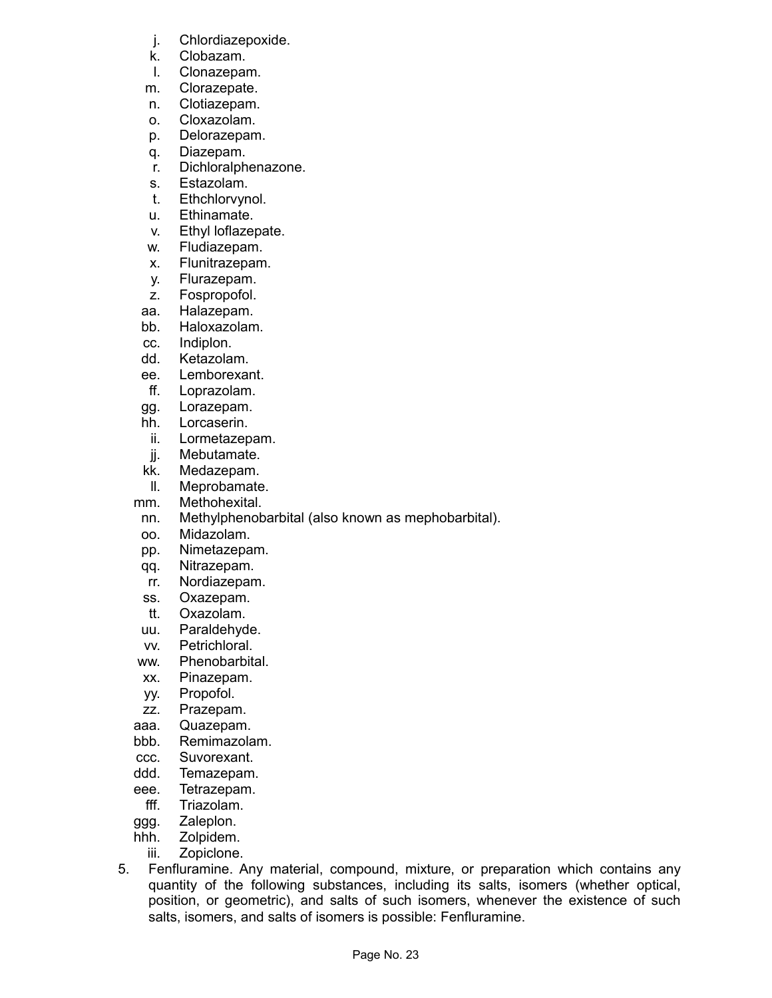- j. Chlordiazepoxide.
- k. Clobazam.
- l. Clonazepam.
- m. Clorazepate.
- n. Clotiazepam.
- o. Cloxazolam.
- p. Delorazepam.
- q. Diazepam.
- r. Dichloralphenazone.
- s. Estazolam.
- t. Ethchlorvynol.
- u. Ethinamate.
- v. Ethyl loflazepate.
- w. Fludiazepam.
- x. Flunitrazepam.
- y. Flurazepam.
- z. Fospropofol.
- aa. Halazepam.
- bb. Haloxazolam.
- cc. Indiplon.
- dd. Ketazolam.
- ee. Lemborexant.
- ff. Loprazolam.
- gg. Lorazepam.
- hh. Lorcaserin.
- ii. Lormetazepam.
- jj. Mebutamate.
- kk. Medazepam.
- ll. Meprobamate.
- mm. Methohexital.
- nn. Methylphenobarbital (also known as mephobarbital).
- oo. Midazolam.
- pp. Nimetazepam.
- qq. Nitrazepam.
- rr. Nordiazepam.
- ss. Oxazepam.
- tt. Oxazolam.
- uu. Paraldehyde.
- vv. Petrichloral.
- ww. Phenobarbital.
- xx. Pinazepam.
- yy. Propofol.
- zz. Prazepam.
- aaa. Quazepam.
- bbb. Remimazolam.
- ccc. Suvorexant.
- ddd. Temazepam.
- eee. Tetrazepam.
- fff. Triazolam.
- ggg. Zaleplon.
- hhh. Zolpidem.
- iii. Zopiclone.
- 5. Fenfluramine. Any material, compound, mixture, or preparation which contains any quantity of the following substances, including its salts, isomers (whether optical, position, or geometric), and salts of such isomers, whenever the existence of such salts, isomers, and salts of isomers is possible: Fenfluramine.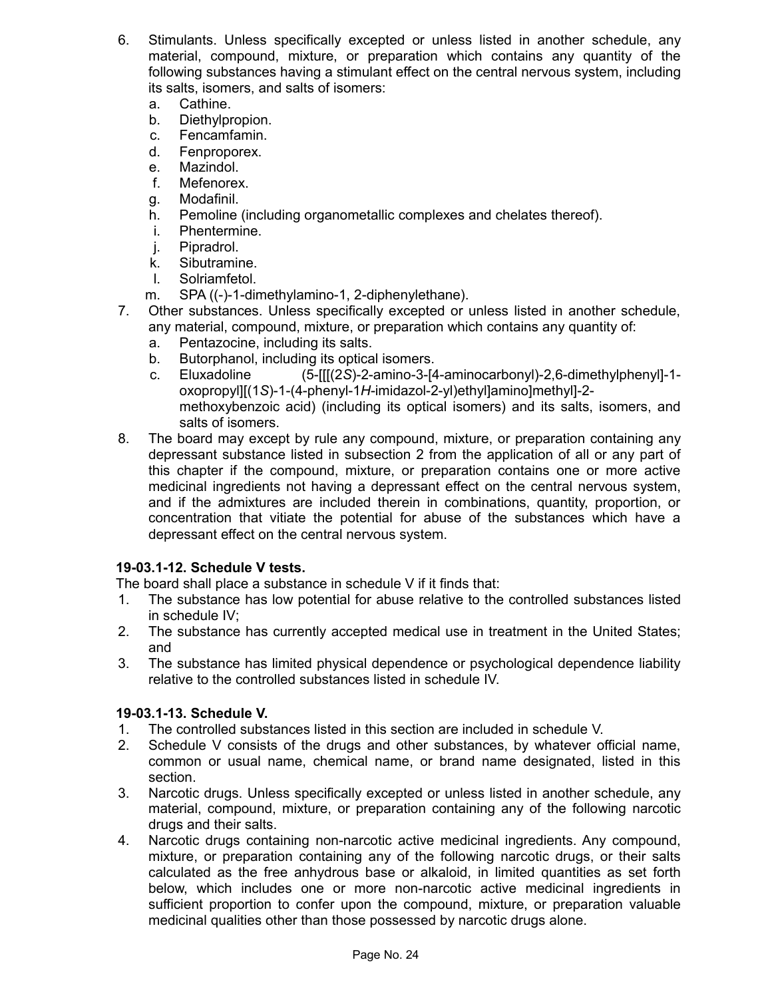- 6. Stimulants. Unless specifically excepted or unless listed in another schedule, any material, compound, mixture, or preparation which contains any quantity of the following substances having a stimulant effect on the central nervous system, including its salts, isomers, and salts of isomers:
	- a. Cathine.
	- b. Diethylpropion.
	- c. Fencamfamin.
	- d. Fenproporex.
	- e. Mazindol.
	- f. Mefenorex.
	- g. Modafinil.
	- h. Pemoline (including organometallic complexes and chelates thereof).
	- i. Phentermine.
	- j. Pipradrol.
	- k. Sibutramine.
	- l. Solriamfetol.
	- m. SPA ((-)-1-dimethylamino-1, 2-diphenylethane).
- 7. Other substances. Unless specifically excepted or unless listed in another schedule, any material, compound, mixture, or preparation which contains any quantity of:
	- a. Pentazocine, including its salts.
	- b. Butorphanol, including its optical isomers.
	- c. Eluxadoline (5-[[[(2*S*)-2-amino-3-[4-aminocarbonyl)-2,6-dimethylphenyl]-1 oxopropyl][(1*S*)-1-(4-phenyl-1*H*-imidazol-2-yl)ethyl]amino]methyl]-2 methoxybenzoic acid) (including its optical isomers) and its salts, isomers, and salts of isomers.
- 8. The board may except by rule any compound, mixture, or preparation containing any depressant substance listed in subsection 2 from the application of all or any part of this chapter if the compound, mixture, or preparation contains one or more active medicinal ingredients not having a depressant effect on the central nervous system, and if the admixtures are included therein in combinations, quantity, proportion, or concentration that vitiate the potential for abuse of the substances which have a depressant effect on the central nervous system.

## **19-03.1-12. Schedule V tests.**

The board shall place a substance in schedule V if it finds that:

- 1. The substance has low potential for abuse relative to the controlled substances listed in schedule IV;
- 2. The substance has currently accepted medical use in treatment in the United States; and
- 3. The substance has limited physical dependence or psychological dependence liability relative to the controlled substances listed in schedule IV.

## **19-03.1-13. Schedule V.**

- 1. The controlled substances listed in this section are included in schedule V.
- 2. Schedule V consists of the drugs and other substances, by whatever official name, common or usual name, chemical name, or brand name designated, listed in this section.
- 3. Narcotic drugs. Unless specifically excepted or unless listed in another schedule, any material, compound, mixture, or preparation containing any of the following narcotic drugs and their salts.
- 4. Narcotic drugs containing non-narcotic active medicinal ingredients. Any compound, mixture, or preparation containing any of the following narcotic drugs, or their salts calculated as the free anhydrous base or alkaloid, in limited quantities as set forth below, which includes one or more non-narcotic active medicinal ingredients in sufficient proportion to confer upon the compound, mixture, or preparation valuable medicinal qualities other than those possessed by narcotic drugs alone.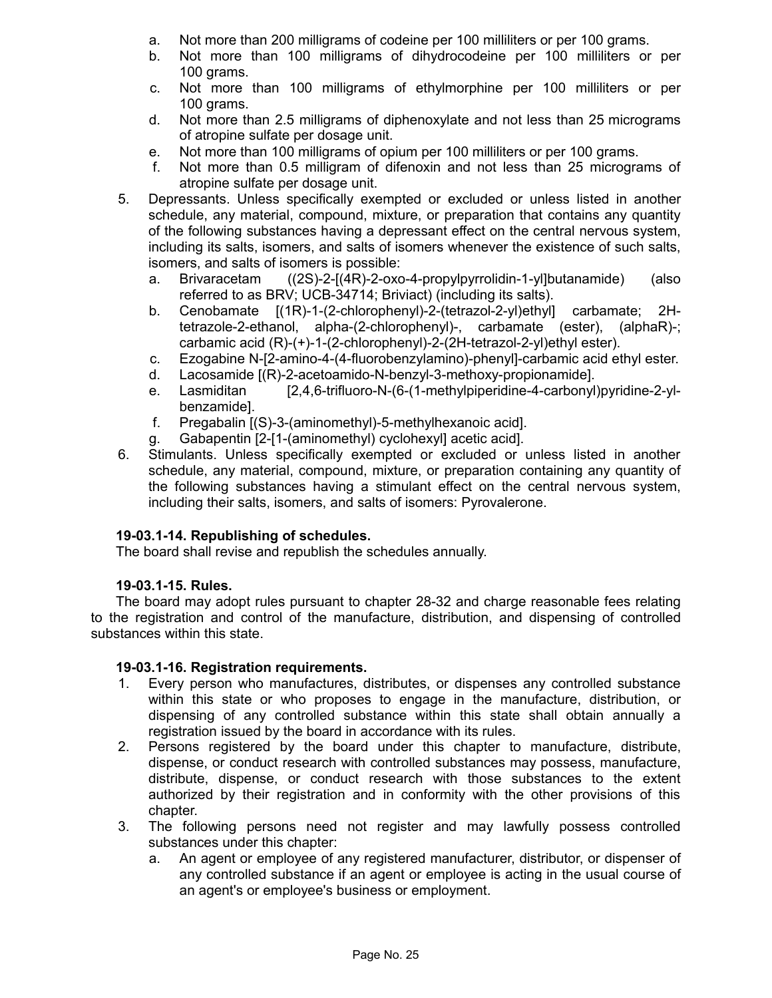- a. Not more than 200 milligrams of codeine per 100 milliliters or per 100 grams.
- b. Not more than 100 milligrams of dihydrocodeine per 100 milliliters or per 100 grams.
- c. Not more than 100 milligrams of ethylmorphine per 100 milliliters or per 100 grams.
- d. Not more than 2.5 milligrams of diphenoxylate and not less than 25 micrograms of atropine sulfate per dosage unit.
- e. Not more than 100 milligrams of opium per 100 milliliters or per 100 grams.
- f. Not more than 0.5 milligram of difenoxin and not less than 25 micrograms of atropine sulfate per dosage unit.
- 5. Depressants. Unless specifically exempted or excluded or unless listed in another schedule, any material, compound, mixture, or preparation that contains any quantity of the following substances having a depressant effect on the central nervous system, including its salts, isomers, and salts of isomers whenever the existence of such salts, isomers, and salts of isomers is possible:
	- a. Brivaracetam ((2S)-2-[(4R)-2-oxo-4-propylpyrrolidin-1-yl]butanamide) (also referred to as BRV; UCB-34714; Briviact) (including its salts).
	- b. Cenobamate [(1R)-1-(2-chlorophenyl)-2-(tetrazol-2-yl)ethyl] carbamate; 2Htetrazole-2-ethanol, alpha-(2-chlorophenyl)-, carbamate (ester), (alphaR)-; carbamic acid (R)-(+)-1-(2-chlorophenyl)-2-(2H-tetrazol-2-yl)ethyl ester).
	- c. Ezogabine N-[2-amino-4-(4-fluorobenzylamino)-phenyl]-carbamic acid ethyl ester.
	- d. Lacosamide [(R)-2-acetoamido-N-benzyl-3-methoxy-propionamide].
	- e. Lasmiditan [2,4,6-trifluoro-N-(6-(1-methylpiperidine-4-carbonyl)pyridine-2-ylbenzamide].
	- f. Pregabalin [(S)-3-(aminomethyl)-5-methylhexanoic acid].
	- g. Gabapentin [2-[1-(aminomethyl) cyclohexyl] acetic acid].
- 6. Stimulants. Unless specifically exempted or excluded or unless listed in another schedule, any material, compound, mixture, or preparation containing any quantity of the following substances having a stimulant effect on the central nervous system, including their salts, isomers, and salts of isomers: Pyrovalerone.

## **19-03.1-14. Republishing of schedules.**

The board shall revise and republish the schedules annually.

## **19-03.1-15. Rules.**

The board may adopt rules pursuant to chapter 28-32 and charge reasonable fees relating to the registration and control of the manufacture, distribution, and dispensing of controlled substances within this state.

## **19-03.1-16. Registration requirements.**

- 1. Every person who manufactures, distributes, or dispenses any controlled substance within this state or who proposes to engage in the manufacture, distribution, or dispensing of any controlled substance within this state shall obtain annually a registration issued by the board in accordance with its rules.
- 2. Persons registered by the board under this chapter to manufacture, distribute, dispense, or conduct research with controlled substances may possess, manufacture, distribute, dispense, or conduct research with those substances to the extent authorized by their registration and in conformity with the other provisions of this chapter.
- 3. The following persons need not register and may lawfully possess controlled substances under this chapter:
	- a. An agent or employee of any registered manufacturer, distributor, or dispenser of any controlled substance if an agent or employee is acting in the usual course of an agent's or employee's business or employment.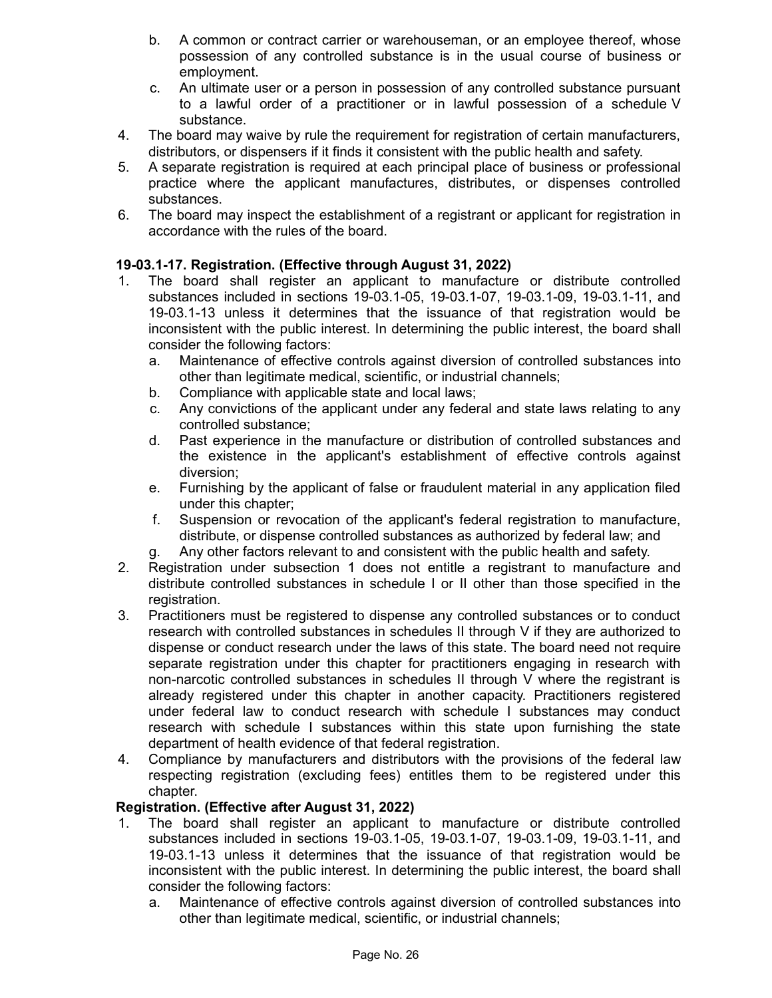- b. A common or contract carrier or warehouseman, or an employee thereof, whose possession of any controlled substance is in the usual course of business or employment.
- c. An ultimate user or a person in possession of any controlled substance pursuant to a lawful order of a practitioner or in lawful possession of a schedule V substance.
- 4. The board may waive by rule the requirement for registration of certain manufacturers, distributors, or dispensers if it finds it consistent with the public health and safety.
- 5. A separate registration is required at each principal place of business or professional practice where the applicant manufactures, distributes, or dispenses controlled substances.
- 6. The board may inspect the establishment of a registrant or applicant for registration in accordance with the rules of the board.

# **19-03.1-17. Registration. (Effective through August 31, 2022)**

- 1. The board shall register an applicant to manufacture or distribute controlled substances included in sections 19-03.1-05, 19-03.1-07, 19-03.1-09, 19-03.1-11, and 19-03.1-13 unless it determines that the issuance of that registration would be inconsistent with the public interest. In determining the public interest, the board shall consider the following factors:
	- a. Maintenance of effective controls against diversion of controlled substances into other than legitimate medical, scientific, or industrial channels;
	- b. Compliance with applicable state and local laws;
	- c. Any convictions of the applicant under any federal and state laws relating to any controlled substance;
	- d. Past experience in the manufacture or distribution of controlled substances and the existence in the applicant's establishment of effective controls against diversion;
	- e. Furnishing by the applicant of false or fraudulent material in any application filed under this chapter;
	- f. Suspension or revocation of the applicant's federal registration to manufacture, distribute, or dispense controlled substances as authorized by federal law; and
	- g. Any other factors relevant to and consistent with the public health and safety.
- 2. Registration under subsection 1 does not entitle a registrant to manufacture and distribute controlled substances in schedule I or II other than those specified in the registration.
- 3. Practitioners must be registered to dispense any controlled substances or to conduct research with controlled substances in schedules II through V if they are authorized to dispense or conduct research under the laws of this state. The board need not require separate registration under this chapter for practitioners engaging in research with non-narcotic controlled substances in schedules II through V where the registrant is already registered under this chapter in another capacity. Practitioners registered under federal law to conduct research with schedule I substances may conduct research with schedule I substances within this state upon furnishing the state department of health evidence of that federal registration.
- 4. Compliance by manufacturers and distributors with the provisions of the federal law respecting registration (excluding fees) entitles them to be registered under this chapter.

## **Registration. (Effective after August 31, 2022)**

- 1. The board shall register an applicant to manufacture or distribute controlled substances included in sections 19-03.1-05, 19-03.1-07, 19-03.1-09, 19-03.1-11, and 19-03.1-13 unless it determines that the issuance of that registration would be inconsistent with the public interest. In determining the public interest, the board shall consider the following factors:
	- a. Maintenance of effective controls against diversion of controlled substances into other than legitimate medical, scientific, or industrial channels;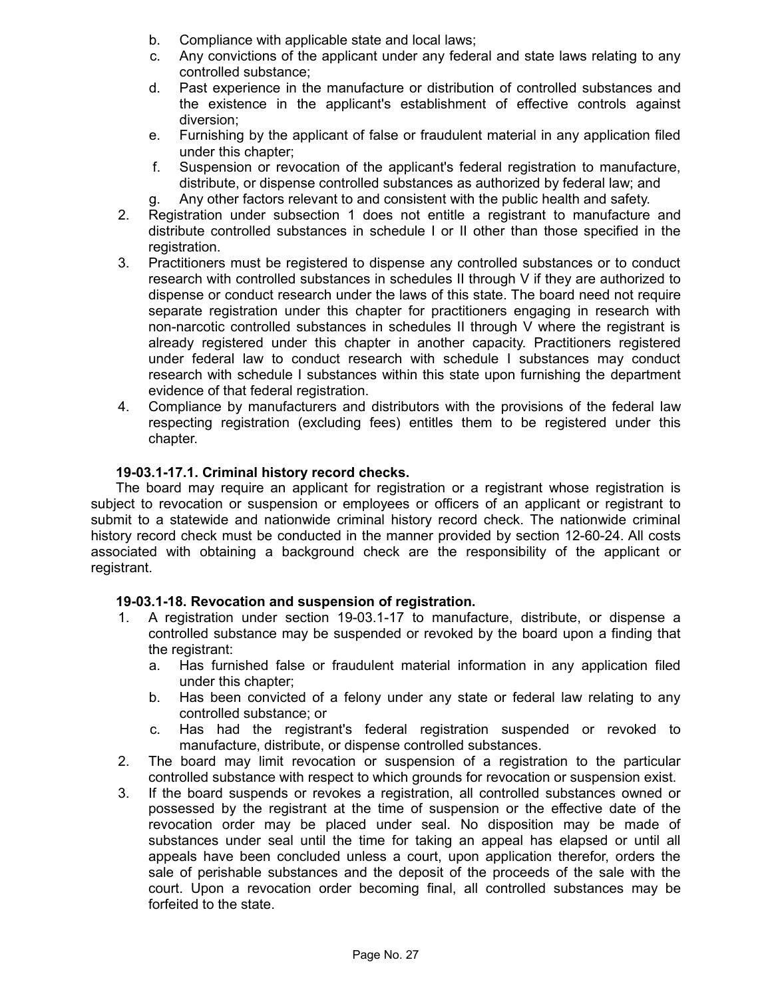- b. Compliance with applicable state and local laws;
- c. Any convictions of the applicant under any federal and state laws relating to any controlled substance;
- d. Past experience in the manufacture or distribution of controlled substances and the existence in the applicant's establishment of effective controls against diversion;
- e. Furnishing by the applicant of false or fraudulent material in any application filed under this chapter;
- f. Suspension or revocation of the applicant's federal registration to manufacture, distribute, or dispense controlled substances as authorized by federal law; and
- g. Any other factors relevant to and consistent with the public health and safety.
- 2. Registration under subsection 1 does not entitle a registrant to manufacture and distribute controlled substances in schedule I or II other than those specified in the registration.
- 3. Practitioners must be registered to dispense any controlled substances or to conduct research with controlled substances in schedules II through V if they are authorized to dispense or conduct research under the laws of this state. The board need not require separate registration under this chapter for practitioners engaging in research with non-narcotic controlled substances in schedules II through V where the registrant is already registered under this chapter in another capacity. Practitioners registered under federal law to conduct research with schedule I substances may conduct research with schedule I substances within this state upon furnishing the department evidence of that federal registration.
- 4. Compliance by manufacturers and distributors with the provisions of the federal law respecting registration (excluding fees) entitles them to be registered under this chapter.

## **19-03.1-17.1. Criminal history record checks.**

The board may require an applicant for registration or a registrant whose registration is subject to revocation or suspension or employees or officers of an applicant or registrant to submit to a statewide and nationwide criminal history record check. The nationwide criminal history record check must be conducted in the manner provided by section 12-60-24. All costs associated with obtaining a background check are the responsibility of the applicant or registrant.

#### **19-03.1-18. Revocation and suspension of registration.**

- 1. A registration under section 19-03.1-17 to manufacture, distribute, or dispense a controlled substance may be suspended or revoked by the board upon a finding that the registrant:
	- a. Has furnished false or fraudulent material information in any application filed under this chapter;
	- b. Has been convicted of a felony under any state or federal law relating to any controlled substance; or
	- c. Has had the registrant's federal registration suspended or revoked to manufacture, distribute, or dispense controlled substances.
- 2. The board may limit revocation or suspension of a registration to the particular controlled substance with respect to which grounds for revocation or suspension exist.
- 3. If the board suspends or revokes a registration, all controlled substances owned or possessed by the registrant at the time of suspension or the effective date of the revocation order may be placed under seal. No disposition may be made of substances under seal until the time for taking an appeal has elapsed or until all appeals have been concluded unless a court, upon application therefor, orders the sale of perishable substances and the deposit of the proceeds of the sale with the court. Upon a revocation order becoming final, all controlled substances may be forfeited to the state.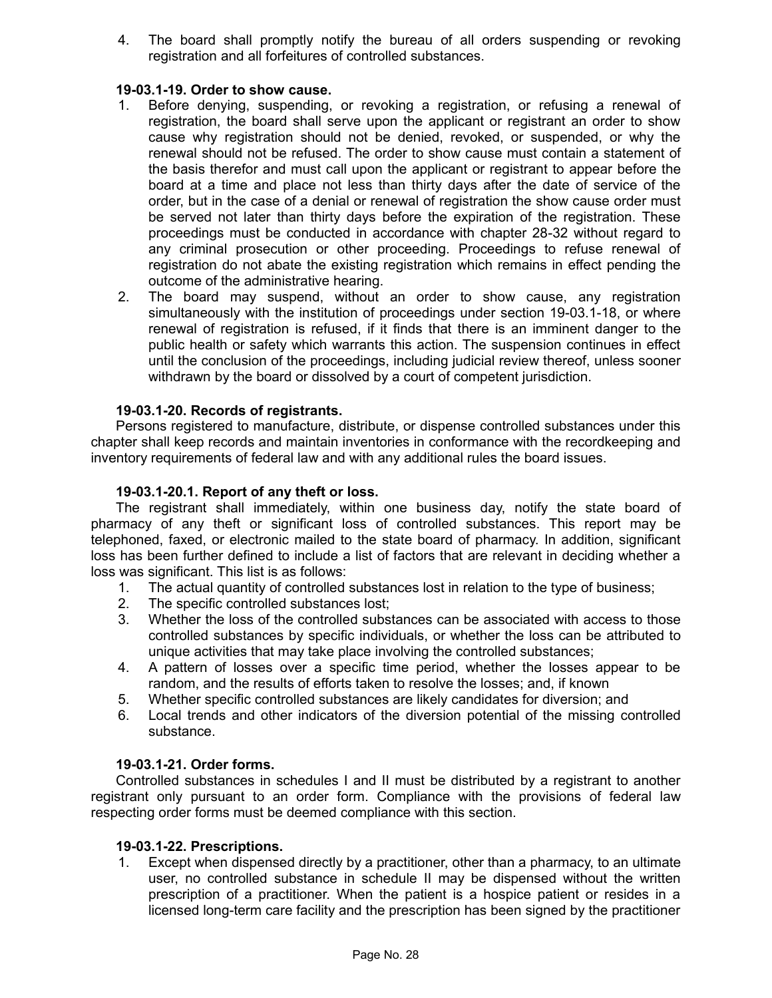4. The board shall promptly notify the bureau of all orders suspending or revoking registration and all forfeitures of controlled substances.

#### **19-03.1-19. Order to show cause.**

- 1. Before denying, suspending, or revoking a registration, or refusing a renewal of registration, the board shall serve upon the applicant or registrant an order to show cause why registration should not be denied, revoked, or suspended, or why the renewal should not be refused. The order to show cause must contain a statement of the basis therefor and must call upon the applicant or registrant to appear before the board at a time and place not less than thirty days after the date of service of the order, but in the case of a denial or renewal of registration the show cause order must be served not later than thirty days before the expiration of the registration. These proceedings must be conducted in accordance with chapter 28-32 without regard to any criminal prosecution or other proceeding. Proceedings to refuse renewal of registration do not abate the existing registration which remains in effect pending the outcome of the administrative hearing.
- 2. The board may suspend, without an order to show cause, any registration simultaneously with the institution of proceedings under section 19-03.1-18, or where renewal of registration is refused, if it finds that there is an imminent danger to the public health or safety which warrants this action. The suspension continues in effect until the conclusion of the proceedings, including judicial review thereof, unless sooner withdrawn by the board or dissolved by a court of competent jurisdiction.

#### **19-03.1-20. Records of registrants.**

Persons registered to manufacture, distribute, or dispense controlled substances under this chapter shall keep records and maintain inventories in conformance with the recordkeeping and inventory requirements of federal law and with any additional rules the board issues.

#### **19-03.1-20.1. Report of any theft or loss.**

The registrant shall immediately, within one business day, notify the state board of pharmacy of any theft or significant loss of controlled substances. This report may be telephoned, faxed, or electronic mailed to the state board of pharmacy. In addition, significant loss has been further defined to include a list of factors that are relevant in deciding whether a loss was significant. This list is as follows:

- 1. The actual quantity of controlled substances lost in relation to the type of business;
- 2. The specific controlled substances lost;
- 3. Whether the loss of the controlled substances can be associated with access to those controlled substances by specific individuals, or whether the loss can be attributed to unique activities that may take place involving the controlled substances;
- 4. A pattern of losses over a specific time period, whether the losses appear to be random, and the results of efforts taken to resolve the losses; and, if known
- 5. Whether specific controlled substances are likely candidates for diversion; and
- 6. Local trends and other indicators of the diversion potential of the missing controlled substance.

#### **19-03.1-21. Order forms.**

Controlled substances in schedules I and II must be distributed by a registrant to another registrant only pursuant to an order form. Compliance with the provisions of federal law respecting order forms must be deemed compliance with this section.

#### **19-03.1-22. Prescriptions.**

1. Except when dispensed directly by a practitioner, other than a pharmacy, to an ultimate user, no controlled substance in schedule II may be dispensed without the written prescription of a practitioner. When the patient is a hospice patient or resides in a licensed long-term care facility and the prescription has been signed by the practitioner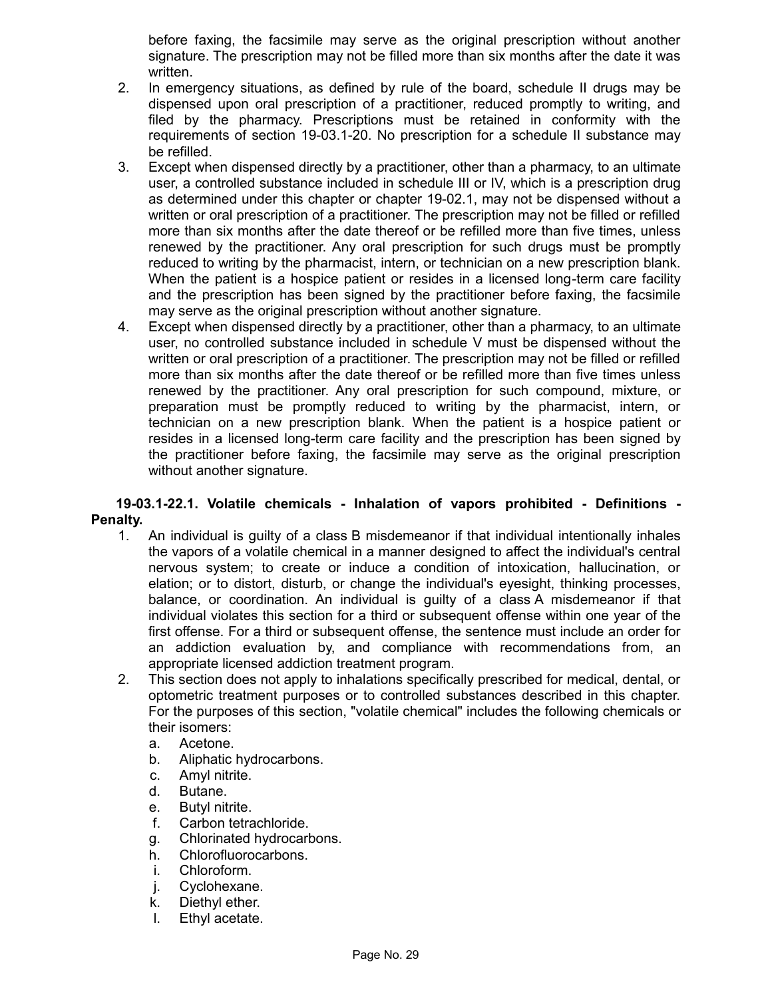before faxing, the facsimile may serve as the original prescription without another signature. The prescription may not be filled more than six months after the date it was written.

- 2. In emergency situations, as defined by rule of the board, schedule II drugs may be dispensed upon oral prescription of a practitioner, reduced promptly to writing, and filed by the pharmacy. Prescriptions must be retained in conformity with the requirements of section 19-03.1-20. No prescription for a schedule II substance may be refilled.
- 3. Except when dispensed directly by a practitioner, other than a pharmacy, to an ultimate user, a controlled substance included in schedule III or IV, which is a prescription drug as determined under this chapter or chapter 19-02.1, may not be dispensed without a written or oral prescription of a practitioner. The prescription may not be filled or refilled more than six months after the date thereof or be refilled more than five times, unless renewed by the practitioner. Any oral prescription for such drugs must be promptly reduced to writing by the pharmacist, intern, or technician on a new prescription blank. When the patient is a hospice patient or resides in a licensed long-term care facility and the prescription has been signed by the practitioner before faxing, the facsimile may serve as the original prescription without another signature.
- 4. Except when dispensed directly by a practitioner, other than a pharmacy, to an ultimate user, no controlled substance included in schedule V must be dispensed without the written or oral prescription of a practitioner. The prescription may not be filled or refilled more than six months after the date thereof or be refilled more than five times unless renewed by the practitioner. Any oral prescription for such compound, mixture, or preparation must be promptly reduced to writing by the pharmacist, intern, or technician on a new prescription blank. When the patient is a hospice patient or resides in a licensed long-term care facility and the prescription has been signed by the practitioner before faxing, the facsimile may serve as the original prescription without another signature.

#### **19-03.1-22.1. Volatile chemicals - Inhalation of vapors prohibited - Definitions - Penalty.**

- 1. An individual is guilty of a class B misdemeanor if that individual intentionally inhales the vapors of a volatile chemical in a manner designed to affect the individual's central nervous system; to create or induce a condition of intoxication, hallucination, or elation; or to distort, disturb, or change the individual's eyesight, thinking processes, balance, or coordination. An individual is guilty of a class A misdemeanor if that individual violates this section for a third or subsequent offense within one year of the first offense. For a third or subsequent offense, the sentence must include an order for an addiction evaluation by, and compliance with recommendations from, an appropriate licensed addiction treatment program.
- 2. This section does not apply to inhalations specifically prescribed for medical, dental, or optometric treatment purposes or to controlled substances described in this chapter. For the purposes of this section, "volatile chemical" includes the following chemicals or their isomers:
	- a. Acetone.
	- b. Aliphatic hydrocarbons.
	- c. Amyl nitrite.
	- d. Butane.
	- e. Butyl nitrite.
	- f. Carbon tetrachloride.
	- g. Chlorinated hydrocarbons.
	- h. Chlorofluorocarbons.
	- i. Chloroform.
	- j. Cyclohexane.
	- k. Diethyl ether.
	- l. Ethyl acetate.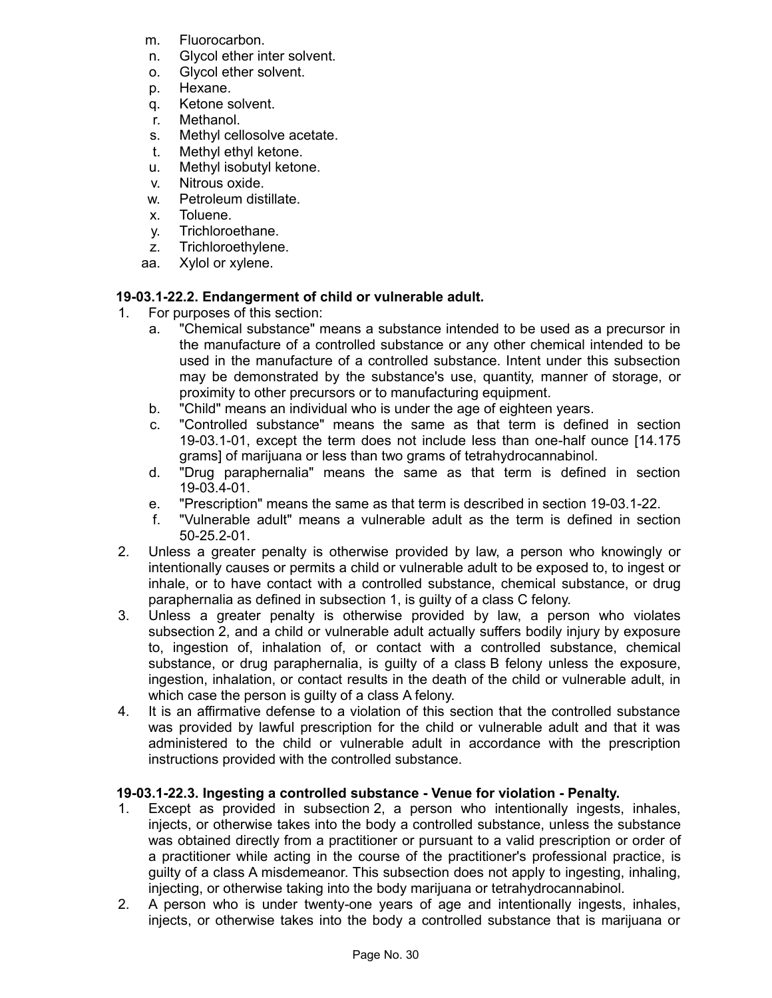- m. Fluorocarbon.
- n. Glycol ether inter solvent.
- o. Glycol ether solvent.
- p. Hexane.
- q. Ketone solvent.
- r. Methanol.
- s. Methyl cellosolve acetate.
- t. Methyl ethyl ketone.
- u. Methyl isobutyl ketone.
- v. Nitrous oxide.
- w. Petroleum distillate.
- x. Toluene.
- y. Trichloroethane.
- z. Trichloroethylene.
- aa. Xylol or xylene.

# **19-03.1-22.2. Endangerment of child or vulnerable adult.**

- 1. For purposes of this section:
	- a. "Chemical substance" means a substance intended to be used as a precursor in the manufacture of a controlled substance or any other chemical intended to be used in the manufacture of a controlled substance. Intent under this subsection may be demonstrated by the substance's use, quantity, manner of storage, or proximity to other precursors or to manufacturing equipment.
	- b. "Child" means an individual who is under the age of eighteen years.
	- c. "Controlled substance" means the same as that term is defined in section 19-03.1-01, except the term does not include less than one-half ounce [14.175 grams] of marijuana or less than two grams of tetrahydrocannabinol.
	- d. "Drug paraphernalia" means the same as that term is defined in section 19-03.4-01.
	- e. "Prescription" means the same as that term is described in section 19-03.1-22.
	- f. "Vulnerable adult" means a vulnerable adult as the term is defined in section 50-25.2-01.
- 2. Unless a greater penalty is otherwise provided by law, a person who knowingly or intentionally causes or permits a child or vulnerable adult to be exposed to, to ingest or inhale, or to have contact with a controlled substance, chemical substance, or drug paraphernalia as defined in subsection 1, is guilty of a class C felony.
- 3. Unless a greater penalty is otherwise provided by law, a person who violates subsection 2, and a child or vulnerable adult actually suffers bodily injury by exposure to, ingestion of, inhalation of, or contact with a controlled substance, chemical substance, or drug paraphernalia, is guilty of a class B felony unless the exposure, ingestion, inhalation, or contact results in the death of the child or vulnerable adult, in which case the person is guilty of a class A felony.
- 4. It is an affirmative defense to a violation of this section that the controlled substance was provided by lawful prescription for the child or vulnerable adult and that it was administered to the child or vulnerable adult in accordance with the prescription instructions provided with the controlled substance.

# **19-03.1-22.3. Ingesting a controlled substance - Venue for violation - Penalty.**

- 1. Except as provided in subsection 2, a person who intentionally ingests, inhales, injects, or otherwise takes into the body a controlled substance, unless the substance was obtained directly from a practitioner or pursuant to a valid prescription or order of a practitioner while acting in the course of the practitioner's professional practice, is guilty of a class A misdemeanor. This subsection does not apply to ingesting, inhaling, injecting, or otherwise taking into the body marijuana or tetrahydrocannabinol.
- 2. A person who is under twenty-one years of age and intentionally ingests, inhales, injects, or otherwise takes into the body a controlled substance that is marijuana or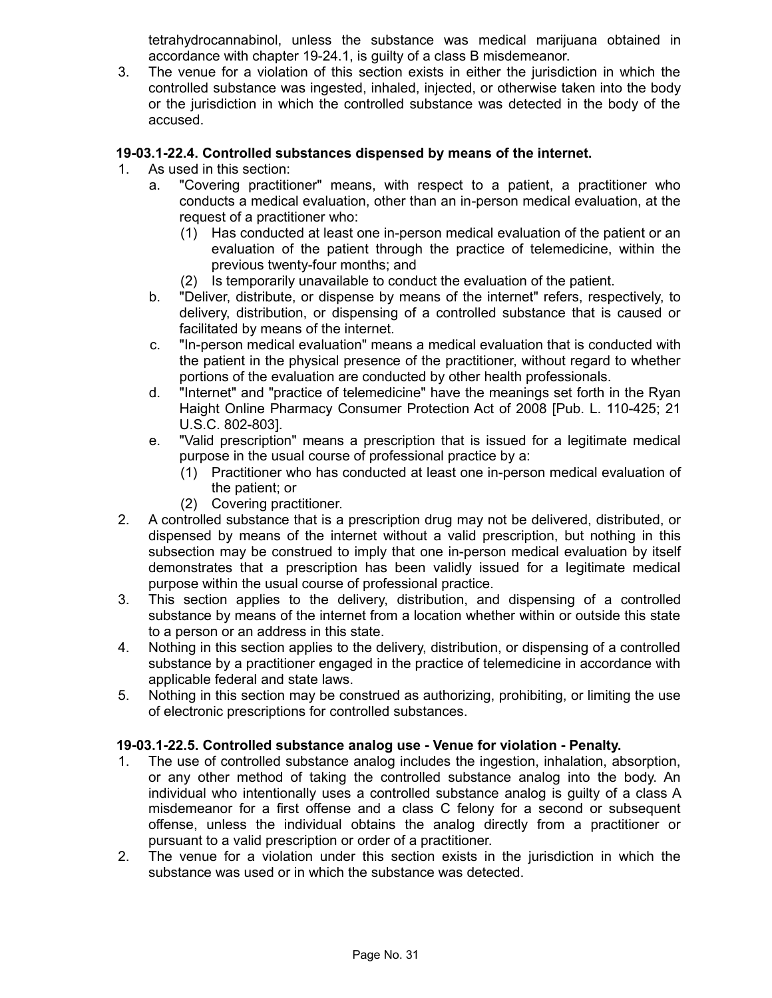tetrahydrocannabinol, unless the substance was medical marijuana obtained in accordance with chapter 19-24.1, is guilty of a class B misdemeanor.

3. The venue for a violation of this section exists in either the jurisdiction in which the controlled substance was ingested, inhaled, injected, or otherwise taken into the body or the jurisdiction in which the controlled substance was detected in the body of the accused.

# **19-03.1-22.4. Controlled substances dispensed by means of the internet.**

- 1. As used in this section:
	- a. "Covering practitioner" means, with respect to a patient, a practitioner who conducts a medical evaluation, other than an in-person medical evaluation, at the request of a practitioner who:
		- (1) Has conducted at least one in-person medical evaluation of the patient or an evaluation of the patient through the practice of telemedicine, within the previous twenty-four months; and
		- (2) Is temporarily unavailable to conduct the evaluation of the patient.
	- b. "Deliver, distribute, or dispense by means of the internet" refers, respectively, to delivery, distribution, or dispensing of a controlled substance that is caused or facilitated by means of the internet.
	- c. "In-person medical evaluation" means a medical evaluation that is conducted with the patient in the physical presence of the practitioner, without regard to whether portions of the evaluation are conducted by other health professionals.
	- d. "Internet" and "practice of telemedicine" have the meanings set forth in the Ryan Haight Online Pharmacy Consumer Protection Act of 2008 [Pub. L. 110-425; 21 U.S.C. 802-803].
	- e. "Valid prescription" means a prescription that is issued for a legitimate medical purpose in the usual course of professional practice by a:
		- (1) Practitioner who has conducted at least one in-person medical evaluation of the patient; or
		- (2) Covering practitioner.
- 2. A controlled substance that is a prescription drug may not be delivered, distributed, or dispensed by means of the internet without a valid prescription, but nothing in this subsection may be construed to imply that one in-person medical evaluation by itself demonstrates that a prescription has been validly issued for a legitimate medical purpose within the usual course of professional practice.
- 3. This section applies to the delivery, distribution, and dispensing of a controlled substance by means of the internet from a location whether within or outside this state to a person or an address in this state.
- 4. Nothing in this section applies to the delivery, distribution, or dispensing of a controlled substance by a practitioner engaged in the practice of telemedicine in accordance with applicable federal and state laws.
- 5. Nothing in this section may be construed as authorizing, prohibiting, or limiting the use of electronic prescriptions for controlled substances.

## **19-03.1-22.5. Controlled substance analog use - Venue for violation - Penalty.**

- 1. The use of controlled substance analog includes the ingestion, inhalation, absorption, or any other method of taking the controlled substance analog into the body. An individual who intentionally uses a controlled substance analog is guilty of a class A misdemeanor for a first offense and a class C felony for a second or subsequent offense, unless the individual obtains the analog directly from a practitioner or pursuant to a valid prescription or order of a practitioner.
- 2. The venue for a violation under this section exists in the jurisdiction in which the substance was used or in which the substance was detected.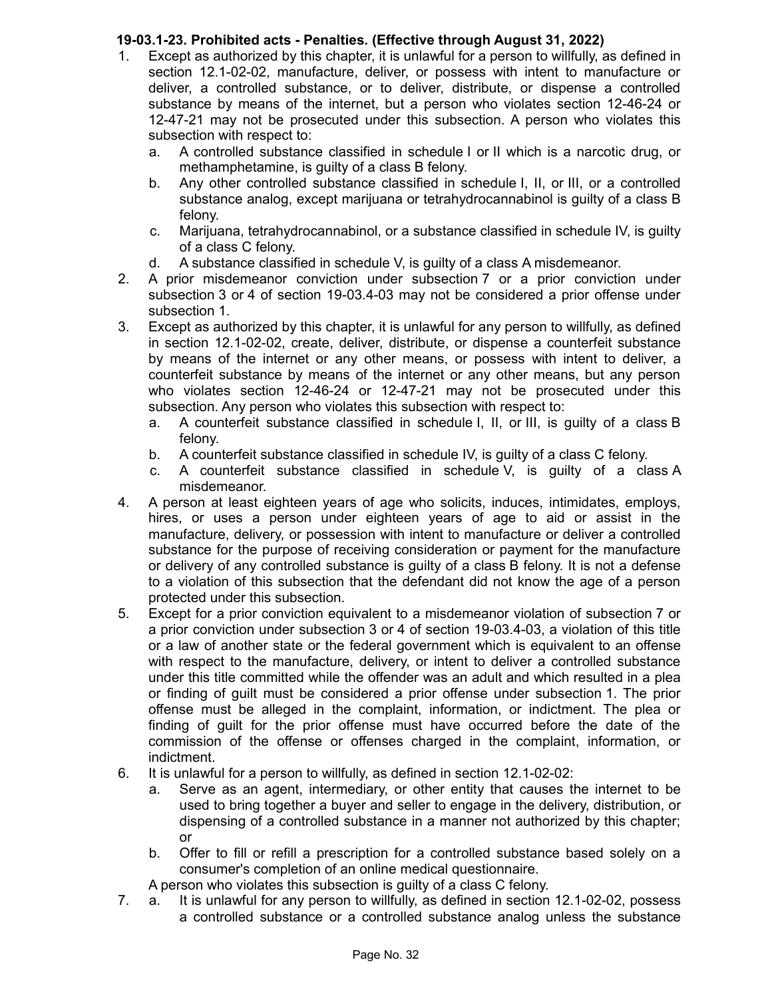# **19-03.1-23. Prohibited acts - Penalties. (Effective through August 31, 2022)**

- 1. Except as authorized by this chapter, it is unlawful for a person to willfully, as defined in section 12.1-02-02, manufacture, deliver, or possess with intent to manufacture or deliver, a controlled substance, or to deliver, distribute, or dispense a controlled substance by means of the internet, but a person who violates section 12-46-24 or 12-47-21 may not be prosecuted under this subsection. A person who violates this subsection with respect to:
	- a. A controlled substance classified in schedule I or II which is a narcotic drug, or methamphetamine, is guilty of a class B felony.
	- b. Any other controlled substance classified in schedule I, II, or III, or a controlled substance analog, except marijuana or tetrahydrocannabinol is guilty of a class B felony.
	- c. Marijuana, tetrahydrocannabinol, or a substance classified in schedule IV, is guilty of a class C felony.
	- d. A substance classified in schedule V, is guilty of a class A misdemeanor.
- 2. A prior misdemeanor conviction under subsection 7 or a prior conviction under subsection 3 or 4 of section 19-03.4-03 may not be considered a prior offense under subsection 1.
- 3. Except as authorized by this chapter, it is unlawful for any person to willfully, as defined in section 12.1-02-02, create, deliver, distribute, or dispense a counterfeit substance by means of the internet or any other means, or possess with intent to deliver, a counterfeit substance by means of the internet or any other means, but any person who violates section 12-46-24 or 12-47-21 may not be prosecuted under this subsection. Any person who violates this subsection with respect to:
	- a. A counterfeit substance classified in schedule I, II, or III, is guilty of a class B felony.
	- b. A counterfeit substance classified in schedule IV, is guilty of a class C felony.
	- c. A counterfeit substance classified in schedule V, is guilty of a class A misdemeanor.
- 4. A person at least eighteen years of age who solicits, induces, intimidates, employs, hires, or uses a person under eighteen years of age to aid or assist in the manufacture, delivery, or possession with intent to manufacture or deliver a controlled substance for the purpose of receiving consideration or payment for the manufacture or delivery of any controlled substance is guilty of a class B felony. It is not a defense to a violation of this subsection that the defendant did not know the age of a person protected under this subsection.
- 5. Except for a prior conviction equivalent to a misdemeanor violation of subsection 7 or a prior conviction under subsection 3 or 4 of section 19-03.4-03, a violation of this title or a law of another state or the federal government which is equivalent to an offense with respect to the manufacture, delivery, or intent to deliver a controlled substance under this title committed while the offender was an adult and which resulted in a plea or finding of guilt must be considered a prior offense under subsection 1. The prior offense must be alleged in the complaint, information, or indictment. The plea or finding of guilt for the prior offense must have occurred before the date of the commission of the offense or offenses charged in the complaint, information, or indictment.
- 6. It is unlawful for a person to willfully, as defined in section 12.1-02-02:
	- a. Serve as an agent, intermediary, or other entity that causes the internet to be used to bring together a buyer and seller to engage in the delivery, distribution, or dispensing of a controlled substance in a manner not authorized by this chapter; or
	- b. Offer to fill or refill a prescription for a controlled substance based solely on a consumer's completion of an online medical questionnaire.

A person who violates this subsection is guilty of a class C felony.

7. a. It is unlawful for any person to willfully, as defined in section 12.1-02-02, possess a controlled substance or a controlled substance analog unless the substance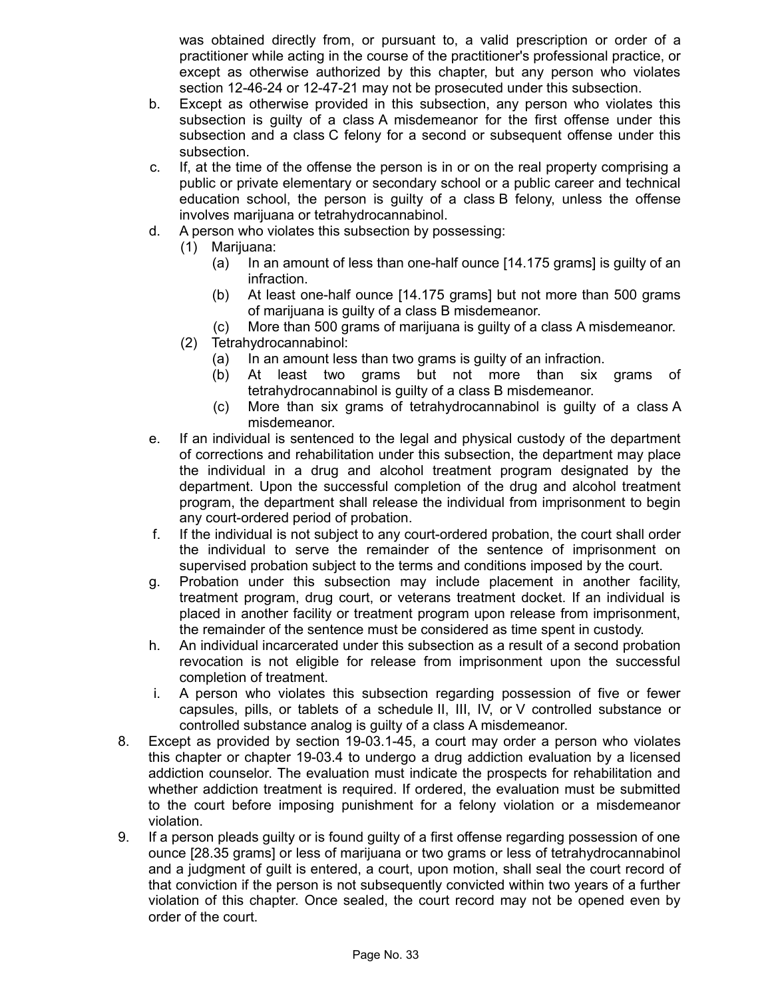was obtained directly from, or pursuant to, a valid prescription or order of a practitioner while acting in the course of the practitioner's professional practice, or except as otherwise authorized by this chapter, but any person who violates section 12-46-24 or 12-47-21 may not be prosecuted under this subsection.

- b. Except as otherwise provided in this subsection, any person who violates this subsection is guilty of a class A misdemeanor for the first offense under this subsection and a class C felony for a second or subsequent offense under this subsection.
- c. If, at the time of the offense the person is in or on the real property comprising a public or private elementary or secondary school or a public career and technical education school, the person is guilty of a class B felony, unless the offense involves marijuana or tetrahydrocannabinol.
- d. A person who violates this subsection by possessing:
	- (1) Marijuana:
		- (a) In an amount of less than one-half ounce [14.175 grams] is guilty of an infraction.
		- (b) At least one-half ounce [14.175 grams] but not more than 500 grams of marijuana is guilty of a class B misdemeanor.
		- (c) More than 500 grams of marijuana is guilty of a class A misdemeanor.
	- (2) Tetrahydrocannabinol:
		- (a) In an amount less than two grams is guilty of an infraction.
		- (b) At least two grams but not more than six grams of tetrahydrocannabinol is guilty of a class B misdemeanor.
		- (c) More than six grams of tetrahydrocannabinol is guilty of a class A misdemeanor.
- e. If an individual is sentenced to the legal and physical custody of the department of corrections and rehabilitation under this subsection, the department may place the individual in a drug and alcohol treatment program designated by the department. Upon the successful completion of the drug and alcohol treatment program, the department shall release the individual from imprisonment to begin any court-ordered period of probation.
- f. If the individual is not subject to any court-ordered probation, the court shall order the individual to serve the remainder of the sentence of imprisonment on supervised probation subject to the terms and conditions imposed by the court.
- g. Probation under this subsection may include placement in another facility, treatment program, drug court, or veterans treatment docket. If an individual is placed in another facility or treatment program upon release from imprisonment, the remainder of the sentence must be considered as time spent in custody.
- h. An individual incarcerated under this subsection as a result of a second probation revocation is not eligible for release from imprisonment upon the successful completion of treatment.
- i. A person who violates this subsection regarding possession of five or fewer capsules, pills, or tablets of a schedule II, III, IV, or V controlled substance or controlled substance analog is guilty of a class A misdemeanor.
- 8. Except as provided by section 19-03.1-45, a court may order a person who violates this chapter or chapter 19-03.4 to undergo a drug addiction evaluation by a licensed addiction counselor. The evaluation must indicate the prospects for rehabilitation and whether addiction treatment is required. If ordered, the evaluation must be submitted to the court before imposing punishment for a felony violation or a misdemeanor violation.
- 9. If a person pleads guilty or is found guilty of a first offense regarding possession of one ounce [28.35 grams] or less of marijuana or two grams or less of tetrahydrocannabinol and a judgment of guilt is entered, a court, upon motion, shall seal the court record of that conviction if the person is not subsequently convicted within two years of a further violation of this chapter. Once sealed, the court record may not be opened even by order of the court.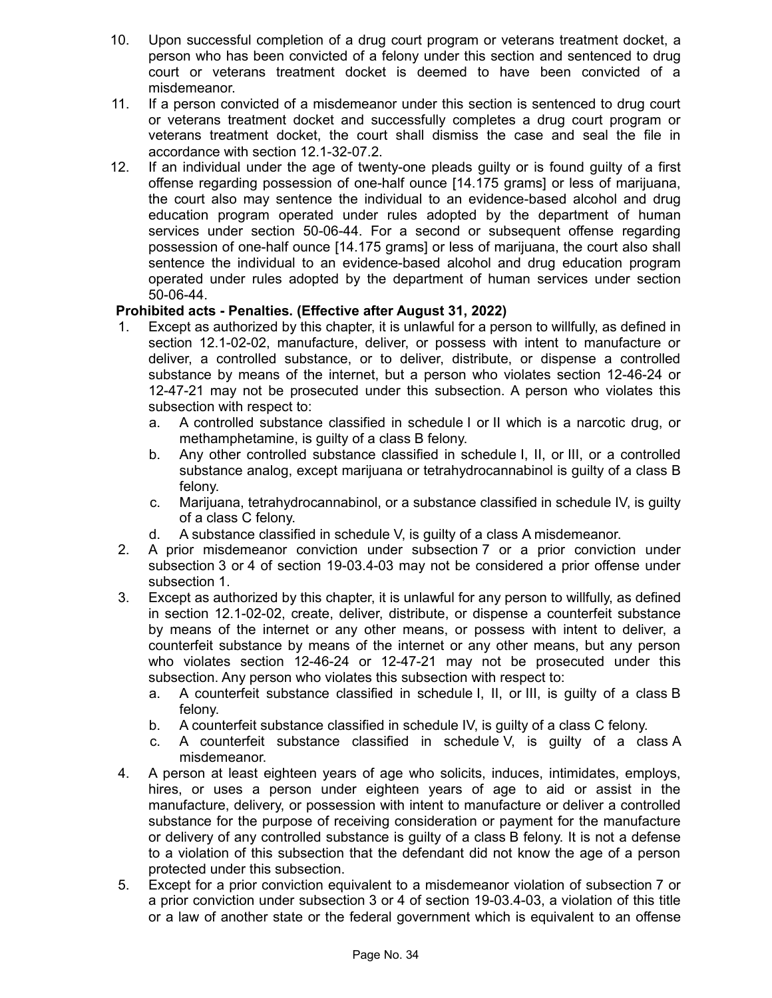- 10. Upon successful completion of a drug court program or veterans treatment docket, a person who has been convicted of a felony under this section and sentenced to drug court or veterans treatment docket is deemed to have been convicted of a misdemeanor.
- 11. If a person convicted of a misdemeanor under this section is sentenced to drug court or veterans treatment docket and successfully completes a drug court program or veterans treatment docket, the court shall dismiss the case and seal the file in accordance with section 12.1-32-07.2.
- 12. If an individual under the age of twenty-one pleads guilty or is found guilty of a first offense regarding possession of one-half ounce [14.175 grams] or less of marijuana, the court also may sentence the individual to an evidence-based alcohol and drug education program operated under rules adopted by the department of human services under section 50-06-44. For a second or subsequent offense regarding possession of one-half ounce [14.175 grams] or less of marijuana, the court also shall sentence the individual to an evidence-based alcohol and drug education program operated under rules adopted by the department of human services under section 50-06-44.

# **Prohibited acts - Penalties. (Effective after August 31, 2022)**

- 1. Except as authorized by this chapter, it is unlawful for a person to willfully, as defined in section 12.1-02-02, manufacture, deliver, or possess with intent to manufacture or deliver, a controlled substance, or to deliver, distribute, or dispense a controlled substance by means of the internet, but a person who violates section 12-46-24 or 12-47-21 may not be prosecuted under this subsection. A person who violates this subsection with respect to:
	- a. A controlled substance classified in schedule I or II which is a narcotic drug, or methamphetamine, is guilty of a class B felony.
	- b. Any other controlled substance classified in schedule I, II, or III, or a controlled substance analog, except marijuana or tetrahydrocannabinol is guilty of a class B felony.
	- c. Marijuana, tetrahydrocannabinol, or a substance classified in schedule IV, is guilty of a class C felony.
	- d. A substance classified in schedule V, is guilty of a class A misdemeanor.
- 2. A prior misdemeanor conviction under subsection 7 or a prior conviction under subsection 3 or 4 of section 19-03.4-03 may not be considered a prior offense under subsection 1.
- 3. Except as authorized by this chapter, it is unlawful for any person to willfully, as defined in section 12.1-02-02, create, deliver, distribute, or dispense a counterfeit substance by means of the internet or any other means, or possess with intent to deliver, a counterfeit substance by means of the internet or any other means, but any person who violates section 12-46-24 or 12-47-21 may not be prosecuted under this subsection. Any person who violates this subsection with respect to:
	- a. A counterfeit substance classified in schedule I, II, or III, is guilty of a class B felony.
	- b. A counterfeit substance classified in schedule IV, is guilty of a class C felony.
	- c. A counterfeit substance classified in schedule V, is guilty of a class A misdemeanor.
- 4. A person at least eighteen years of age who solicits, induces, intimidates, employs, hires, or uses a person under eighteen years of age to aid or assist in the manufacture, delivery, or possession with intent to manufacture or deliver a controlled substance for the purpose of receiving consideration or payment for the manufacture or delivery of any controlled substance is guilty of a class B felony. It is not a defense to a violation of this subsection that the defendant did not know the age of a person protected under this subsection.
- 5. Except for a prior conviction equivalent to a misdemeanor violation of subsection 7 or a prior conviction under subsection 3 or 4 of section 19-03.4-03, a violation of this title or a law of another state or the federal government which is equivalent to an offense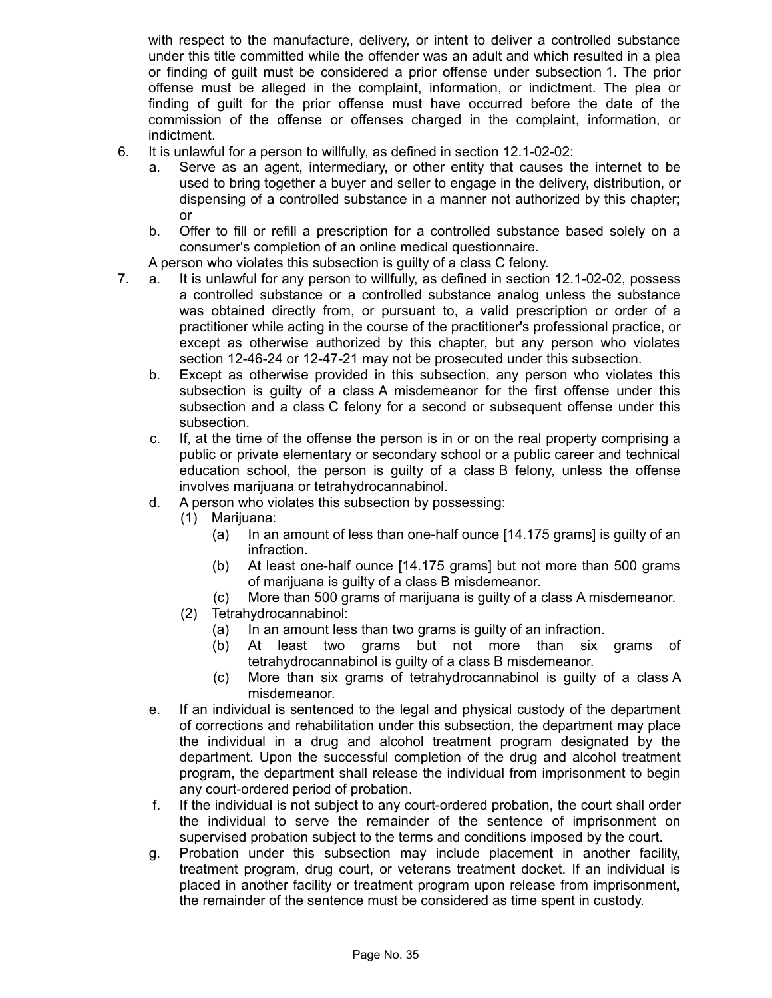with respect to the manufacture, delivery, or intent to deliver a controlled substance under this title committed while the offender was an adult and which resulted in a plea or finding of guilt must be considered a prior offense under subsection 1. The prior offense must be alleged in the complaint, information, or indictment. The plea or finding of guilt for the prior offense must have occurred before the date of the commission of the offense or offenses charged in the complaint, information, or indictment.

- 6. It is unlawful for a person to willfully, as defined in section 12.1-02-02:
	- a. Serve as an agent, intermediary, or other entity that causes the internet to be used to bring together a buyer and seller to engage in the delivery, distribution, or dispensing of a controlled substance in a manner not authorized by this chapter; or
	- b. Offer to fill or refill a prescription for a controlled substance based solely on a consumer's completion of an online medical questionnaire.

A person who violates this subsection is guilty of a class C felony.

- 7. a. It is unlawful for any person to willfully, as defined in section 12.1-02-02, possess a controlled substance or a controlled substance analog unless the substance was obtained directly from, or pursuant to, a valid prescription or order of a practitioner while acting in the course of the practitioner's professional practice, or except as otherwise authorized by this chapter, but any person who violates section 12-46-24 or 12-47-21 may not be prosecuted under this subsection.
	- b. Except as otherwise provided in this subsection, any person who violates this subsection is guilty of a class A misdemeanor for the first offense under this subsection and a class C felony for a second or subsequent offense under this subsection.
	- c. If, at the time of the offense the person is in or on the real property comprising a public or private elementary or secondary school or a public career and technical education school, the person is guilty of a class B felony, unless the offense involves marijuana or tetrahydrocannabinol.
	- d. A person who violates this subsection by possessing:
		- (1) Marijuana:
			- (a) In an amount of less than one-half ounce [14.175 grams] is guilty of an infraction.
			- (b) At least one-half ounce [14.175 grams] but not more than 500 grams of marijuana is guilty of a class B misdemeanor.
			- (c) More than 500 grams of marijuana is guilty of a class A misdemeanor.
		- (2) Tetrahydrocannabinol:
			- (a) In an amount less than two grams is guilty of an infraction.
			- (b) At least two grams but not more than six grams of tetrahydrocannabinol is guilty of a class B misdemeanor.
			- (c) More than six grams of tetrahydrocannabinol is guilty of a class A misdemeanor.
	- e. If an individual is sentenced to the legal and physical custody of the department of corrections and rehabilitation under this subsection, the department may place the individual in a drug and alcohol treatment program designated by the department. Upon the successful completion of the drug and alcohol treatment program, the department shall release the individual from imprisonment to begin any court-ordered period of probation.
	- f. If the individual is not subject to any court-ordered probation, the court shall order the individual to serve the remainder of the sentence of imprisonment on supervised probation subject to the terms and conditions imposed by the court.
	- g. Probation under this subsection may include placement in another facility, treatment program, drug court, or veterans treatment docket. If an individual is placed in another facility or treatment program upon release from imprisonment, the remainder of the sentence must be considered as time spent in custody.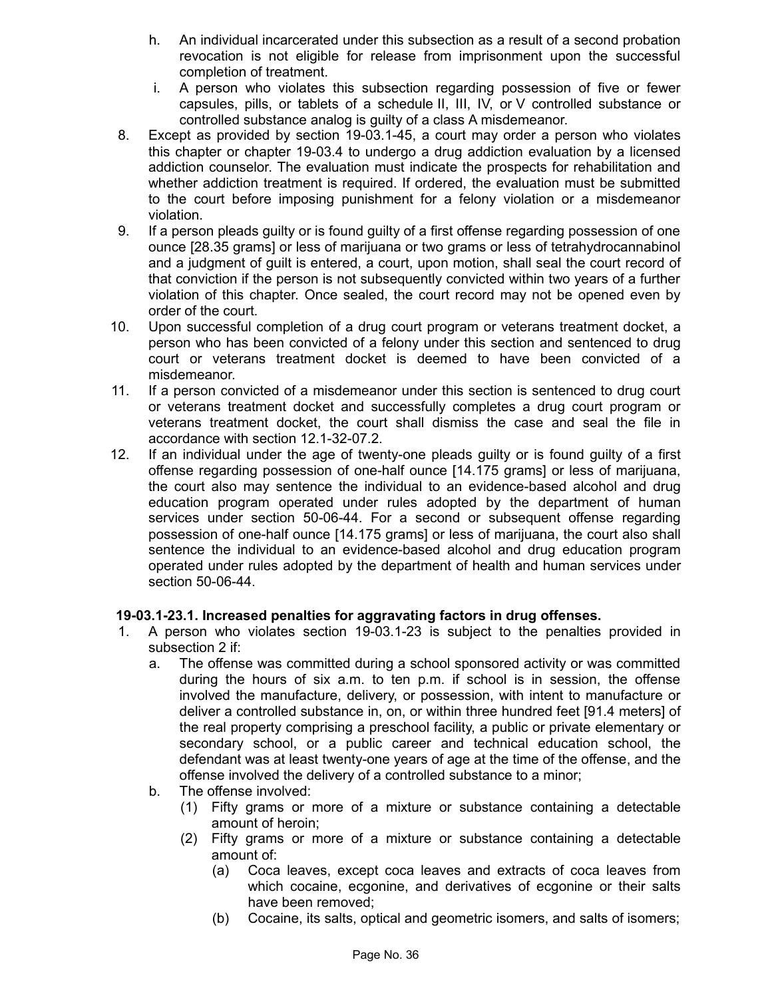- h. An individual incarcerated under this subsection as a result of a second probation revocation is not eligible for release from imprisonment upon the successful completion of treatment.
- i. A person who violates this subsection regarding possession of five or fewer capsules, pills, or tablets of a schedule II, III, IV, or V controlled substance or controlled substance analog is guilty of a class A misdemeanor.
- 8. Except as provided by section 19-03.1-45, a court may order a person who violates this chapter or chapter 19-03.4 to undergo a drug addiction evaluation by a licensed addiction counselor. The evaluation must indicate the prospects for rehabilitation and whether addiction treatment is required. If ordered, the evaluation must be submitted to the court before imposing punishment for a felony violation or a misdemeanor violation.
- 9. If a person pleads guilty or is found guilty of a first offense regarding possession of one ounce [28.35 grams] or less of marijuana or two grams or less of tetrahydrocannabinol and a judgment of guilt is entered, a court, upon motion, shall seal the court record of that conviction if the person is not subsequently convicted within two years of a further violation of this chapter. Once sealed, the court record may not be opened even by order of the court.
- 10. Upon successful completion of a drug court program or veterans treatment docket, a person who has been convicted of a felony under this section and sentenced to drug court or veterans treatment docket is deemed to have been convicted of a misdemeanor.
- 11. If a person convicted of a misdemeanor under this section is sentenced to drug court or veterans treatment docket and successfully completes a drug court program or veterans treatment docket, the court shall dismiss the case and seal the file in accordance with section 12.1-32-07.2.
- 12. If an individual under the age of twenty-one pleads guilty or is found guilty of a first offense regarding possession of one-half ounce [14.175 grams] or less of marijuana, the court also may sentence the individual to an evidence-based alcohol and drug education program operated under rules adopted by the department of human services under section 50-06-44. For a second or subsequent offense regarding possession of one-half ounce [14.175 grams] or less of marijuana, the court also shall sentence the individual to an evidence-based alcohol and drug education program operated under rules adopted by the department of health and human services under section 50-06-44.

# **19-03.1-23.1. Increased penalties for aggravating factors in drug offenses.**

- 1. A person who violates section 19-03.1-23 is subject to the penalties provided in subsection 2 if:
	- a. The offense was committed during a school sponsored activity or was committed during the hours of six a.m. to ten p.m. if school is in session, the offense involved the manufacture, delivery, or possession, with intent to manufacture or deliver a controlled substance in, on, or within three hundred feet [91.4 meters] of the real property comprising a preschool facility, a public or private elementary or secondary school, or a public career and technical education school, the defendant was at least twenty-one years of age at the time of the offense, and the offense involved the delivery of a controlled substance to a minor;
	- b. The offense involved:
		- (1) Fifty grams or more of a mixture or substance containing a detectable amount of heroin;
		- (2) Fifty grams or more of a mixture or substance containing a detectable amount of:
			- (a) Coca leaves, except coca leaves and extracts of coca leaves from which cocaine, ecgonine, and derivatives of ecgonine or their salts have been removed;
			- (b) Cocaine, its salts, optical and geometric isomers, and salts of isomers;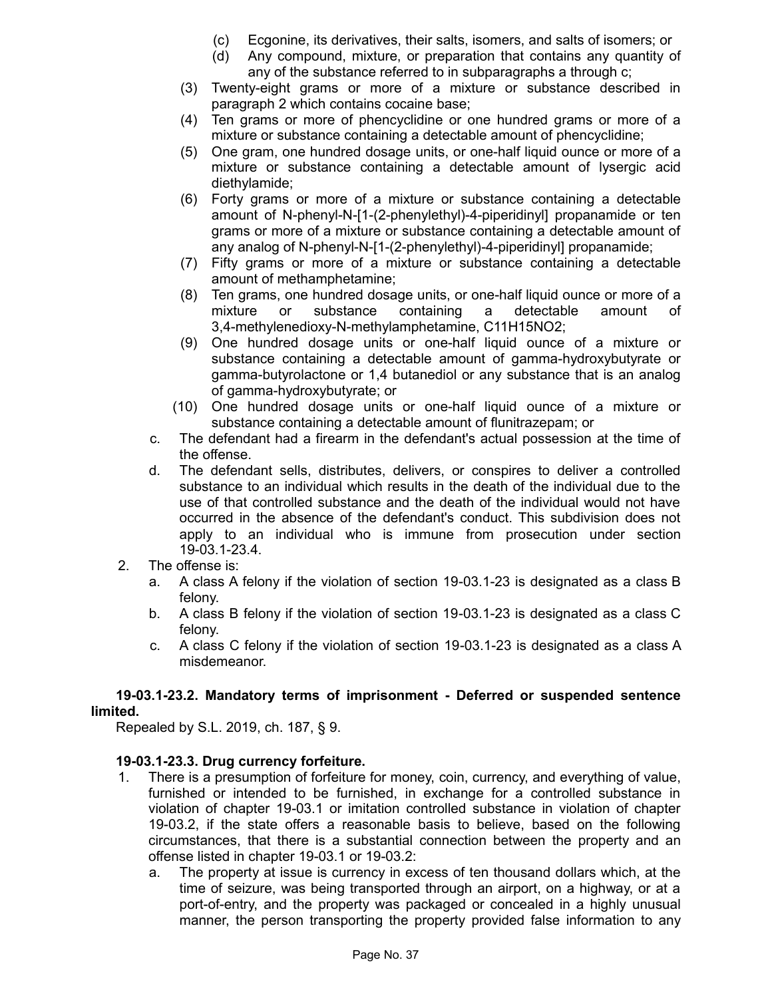- (c) Ecgonine, its derivatives, their salts, isomers, and salts of isomers; or
- (d) Any compound, mixture, or preparation that contains any quantity of any of the substance referred to in subparagraphs a through c;
- (3) Twenty-eight grams or more of a mixture or substance described in paragraph 2 which contains cocaine base;
- (4) Ten grams or more of phencyclidine or one hundred grams or more of a mixture or substance containing a detectable amount of phencyclidine;
- (5) One gram, one hundred dosage units, or one-half liquid ounce or more of a mixture or substance containing a detectable amount of lysergic acid diethylamide;
- (6) Forty grams or more of a mixture or substance containing a detectable amount of N-phenyl-N-[1-(2-phenylethyl)-4-piperidinyl] propanamide or ten grams or more of a mixture or substance containing a detectable amount of any analog of N-phenyl-N-[1-(2-phenylethyl)-4-piperidinyl] propanamide;
- (7) Fifty grams or more of a mixture or substance containing a detectable amount of methamphetamine;
- (8) Ten grams, one hundred dosage units, or one-half liquid ounce or more of a mixture or substance containing a detectable amount of 3,4-methylenedioxy-N-methylamphetamine, C11H15NO2;
- (9) One hundred dosage units or one-half liquid ounce of a mixture or substance containing a detectable amount of gamma-hydroxybutyrate or gamma-butyrolactone or 1,4 butanediol or any substance that is an analog of gamma-hydroxybutyrate; or
- (10) One hundred dosage units or one-half liquid ounce of a mixture or substance containing a detectable amount of flunitrazepam; or
- c. The defendant had a firearm in the defendant's actual possession at the time of the offense.
- d. The defendant sells, distributes, delivers, or conspires to deliver a controlled substance to an individual which results in the death of the individual due to the use of that controlled substance and the death of the individual would not have occurred in the absence of the defendant's conduct. This subdivision does not apply to an individual who is immune from prosecution under section 19-03.1-23.4.
- 2. The offense is:
	- a. A class A felony if the violation of section 19-03.1-23 is designated as a class B felony.
	- b. A class B felony if the violation of section 19-03.1-23 is designated as a class C felony.
	- c. A class C felony if the violation of section 19-03.1-23 is designated as a class A misdemeanor.

## **19-03.1-23.2. Mandatory terms of imprisonment - Deferred or suspended sentence limited.**

Repealed by S.L. 2019, ch. 187, § 9.

## **19-03.1-23.3. Drug currency forfeiture.**

- 1. There is a presumption of forfeiture for money, coin, currency, and everything of value, furnished or intended to be furnished, in exchange for a controlled substance in violation of chapter 19-03.1 or imitation controlled substance in violation of chapter 19-03.2, if the state offers a reasonable basis to believe, based on the following circumstances, that there is a substantial connection between the property and an offense listed in chapter 19-03.1 or 19-03.2:
	- a. The property at issue is currency in excess of ten thousand dollars which, at the time of seizure, was being transported through an airport, on a highway, or at a port-of-entry, and the property was packaged or concealed in a highly unusual manner, the person transporting the property provided false information to any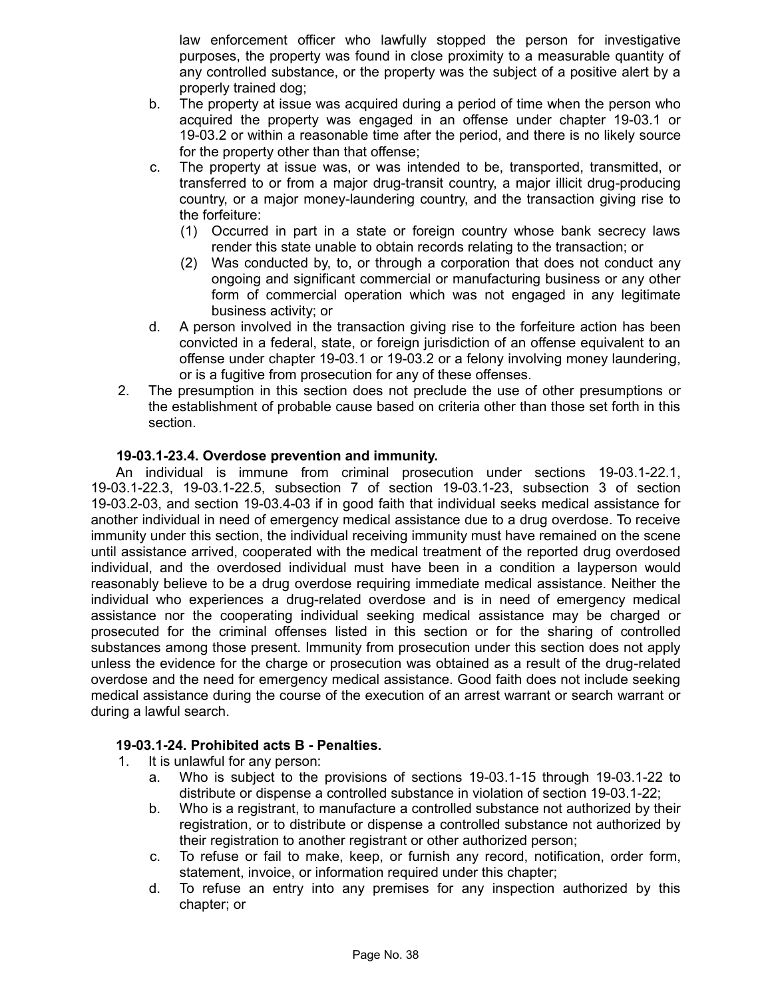law enforcement officer who lawfully stopped the person for investigative purposes, the property was found in close proximity to a measurable quantity of any controlled substance, or the property was the subject of a positive alert by a properly trained dog;

- b. The property at issue was acquired during a period of time when the person who acquired the property was engaged in an offense under chapter 19-03.1 or 19-03.2 or within a reasonable time after the period, and there is no likely source for the property other than that offense;
- c. The property at issue was, or was intended to be, transported, transmitted, or transferred to or from a major drug-transit country, a major illicit drug-producing country, or a major money-laundering country, and the transaction giving rise to the forfeiture:
	- (1) Occurred in part in a state or foreign country whose bank secrecy laws render this state unable to obtain records relating to the transaction; or
	- (2) Was conducted by, to, or through a corporation that does not conduct any ongoing and significant commercial or manufacturing business or any other form of commercial operation which was not engaged in any legitimate business activity; or
- d. A person involved in the transaction giving rise to the forfeiture action has been convicted in a federal, state, or foreign jurisdiction of an offense equivalent to an offense under chapter 19-03.1 or 19-03.2 or a felony involving money laundering, or is a fugitive from prosecution for any of these offenses.
- 2. The presumption in this section does not preclude the use of other presumptions or the establishment of probable cause based on criteria other than those set forth in this section.

## **19-03.1-23.4. Overdose prevention and immunity.**

An individual is immune from criminal prosecution under sections 19-03.1-22.1, 19-03.1-22.3, 19-03.1-22.5, subsection 7 of section 19-03.1-23, subsection 3 of section 19-03.2-03, and section 19-03.4-03 if in good faith that individual seeks medical assistance for another individual in need of emergency medical assistance due to a drug overdose. To receive immunity under this section, the individual receiving immunity must have remained on the scene until assistance arrived, cooperated with the medical treatment of the reported drug overdosed individual, and the overdosed individual must have been in a condition a layperson would reasonably believe to be a drug overdose requiring immediate medical assistance. Neither the individual who experiences a drug-related overdose and is in need of emergency medical assistance nor the cooperating individual seeking medical assistance may be charged or prosecuted for the criminal offenses listed in this section or for the sharing of controlled substances among those present. Immunity from prosecution under this section does not apply unless the evidence for the charge or prosecution was obtained as a result of the drug-related overdose and the need for emergency medical assistance. Good faith does not include seeking medical assistance during the course of the execution of an arrest warrant or search warrant or during a lawful search.

#### **19-03.1-24. Prohibited acts B - Penalties.**

- 1. It is unlawful for any person:
	- a. Who is subject to the provisions of sections 19-03.1-15 through 19-03.1-22 to distribute or dispense a controlled substance in violation of section 19-03.1-22;
	- b. Who is a registrant, to manufacture a controlled substance not authorized by their registration, or to distribute or dispense a controlled substance not authorized by their registration to another registrant or other authorized person;
	- c. To refuse or fail to make, keep, or furnish any record, notification, order form, statement, invoice, or information required under this chapter;
	- d. To refuse an entry into any premises for any inspection authorized by this chapter; or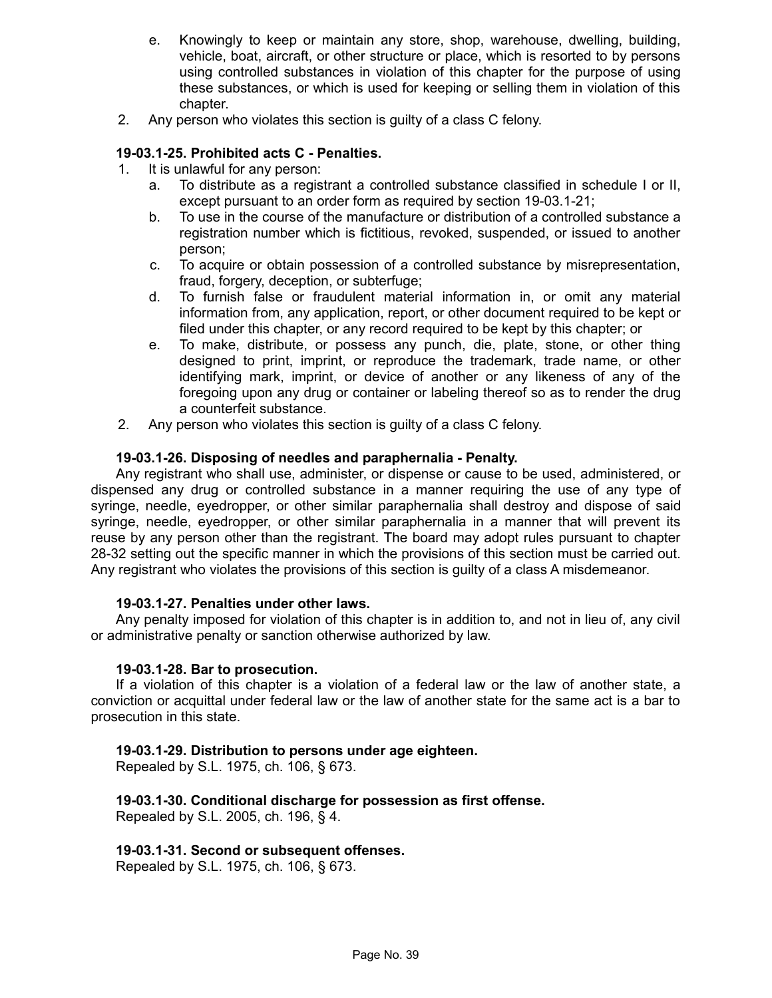- e. Knowingly to keep or maintain any store, shop, warehouse, dwelling, building, vehicle, boat, aircraft, or other structure or place, which is resorted to by persons using controlled substances in violation of this chapter for the purpose of using these substances, or which is used for keeping or selling them in violation of this chapter.
- 2. Any person who violates this section is guilty of a class C felony.

#### **19-03.1-25. Prohibited acts C - Penalties.**

- 1. It is unlawful for any person:
	- a. To distribute as a registrant a controlled substance classified in schedule I or II, except pursuant to an order form as required by section 19-03.1-21;
	- b. To use in the course of the manufacture or distribution of a controlled substance a registration number which is fictitious, revoked, suspended, or issued to another person;
	- c. To acquire or obtain possession of a controlled substance by misrepresentation, fraud, forgery, deception, or subterfuge;
	- d. To furnish false or fraudulent material information in, or omit any material information from, any application, report, or other document required to be kept or filed under this chapter, or any record required to be kept by this chapter; or
	- e. To make, distribute, or possess any punch, die, plate, stone, or other thing designed to print, imprint, or reproduce the trademark, trade name, or other identifying mark, imprint, or device of another or any likeness of any of the foregoing upon any drug or container or labeling thereof so as to render the drug a counterfeit substance.
- 2. Any person who violates this section is guilty of a class C felony.

#### **19-03.1-26. Disposing of needles and paraphernalia - Penalty.**

Any registrant who shall use, administer, or dispense or cause to be used, administered, or dispensed any drug or controlled substance in a manner requiring the use of any type of syringe, needle, eyedropper, or other similar paraphernalia shall destroy and dispose of said syringe, needle, eyedropper, or other similar paraphernalia in a manner that will prevent its reuse by any person other than the registrant. The board may adopt rules pursuant to chapter 28-32 setting out the specific manner in which the provisions of this section must be carried out. Any registrant who violates the provisions of this section is guilty of a class A misdemeanor.

#### **19-03.1-27. Penalties under other laws.**

Any penalty imposed for violation of this chapter is in addition to, and not in lieu of, any civil or administrative penalty or sanction otherwise authorized by law.

#### **19-03.1-28. Bar to prosecution.**

If a violation of this chapter is a violation of a federal law or the law of another state, a conviction or acquittal under federal law or the law of another state for the same act is a bar to prosecution in this state.

#### **19-03.1-29. Distribution to persons under age eighteen.**

Repealed by S.L. 1975, ch. 106, § 673.

**19-03.1-30. Conditional discharge for possession as first offense.** Repealed by S.L. 2005, ch. 196, § 4.

#### **19-03.1-31. Second or subsequent offenses.**

Repealed by S.L. 1975, ch. 106, § 673.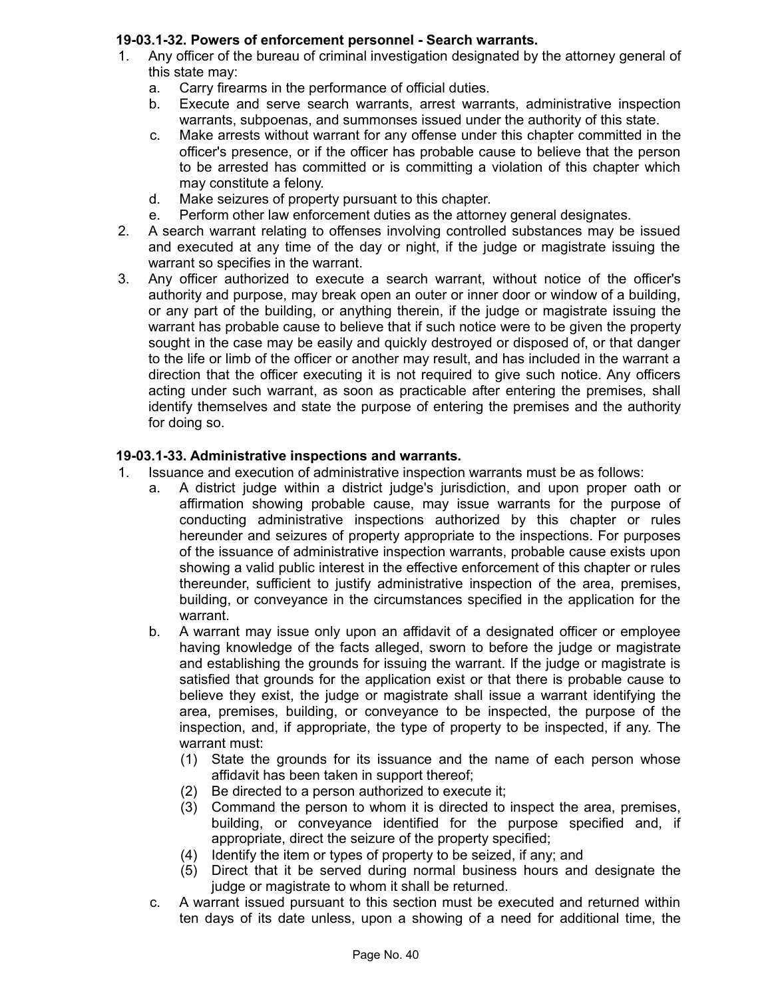# **19-03.1-32. Powers of enforcement personnel - Search warrants.**

- 1. Any officer of the bureau of criminal investigation designated by the attorney general of this state may:
	- a. Carry firearms in the performance of official duties.
	- b. Execute and serve search warrants, arrest warrants, administrative inspection warrants, subpoenas, and summonses issued under the authority of this state.
	- c. Make arrests without warrant for any offense under this chapter committed in the officer's presence, or if the officer has probable cause to believe that the person to be arrested has committed or is committing a violation of this chapter which may constitute a felony.
	- d. Make seizures of property pursuant to this chapter.
	- e. Perform other law enforcement duties as the attorney general designates.
- 2. A search warrant relating to offenses involving controlled substances may be issued and executed at any time of the day or night, if the judge or magistrate issuing the warrant so specifies in the warrant.
- 3. Any officer authorized to execute a search warrant, without notice of the officer's authority and purpose, may break open an outer or inner door or window of a building, or any part of the building, or anything therein, if the judge or magistrate issuing the warrant has probable cause to believe that if such notice were to be given the property sought in the case may be easily and quickly destroyed or disposed of, or that danger to the life or limb of the officer or another may result, and has included in the warrant a direction that the officer executing it is not required to give such notice. Any officers acting under such warrant, as soon as practicable after entering the premises, shall identify themselves and state the purpose of entering the premises and the authority for doing so.

# **19-03.1-33. Administrative inspections and warrants.**

- 1. Issuance and execution of administrative inspection warrants must be as follows:
	- a. A district judge within a district judge's jurisdiction, and upon proper oath or affirmation showing probable cause, may issue warrants for the purpose of conducting administrative inspections authorized by this chapter or rules hereunder and seizures of property appropriate to the inspections. For purposes of the issuance of administrative inspection warrants, probable cause exists upon showing a valid public interest in the effective enforcement of this chapter or rules thereunder, sufficient to justify administrative inspection of the area, premises, building, or conveyance in the circumstances specified in the application for the warrant.
	- b. A warrant may issue only upon an affidavit of a designated officer or employee having knowledge of the facts alleged, sworn to before the judge or magistrate and establishing the grounds for issuing the warrant. If the judge or magistrate is satisfied that grounds for the application exist or that there is probable cause to believe they exist, the judge or magistrate shall issue a warrant identifying the area, premises, building, or conveyance to be inspected, the purpose of the inspection, and, if appropriate, the type of property to be inspected, if any. The warrant must:
		- (1) State the grounds for its issuance and the name of each person whose affidavit has been taken in support thereof;
		- (2) Be directed to a person authorized to execute it;
		- (3) Command the person to whom it is directed to inspect the area, premises, building, or conveyance identified for the purpose specified and, if appropriate, direct the seizure of the property specified;
		- (4) Identify the item or types of property to be seized, if any; and
		- (5) Direct that it be served during normal business hours and designate the judge or magistrate to whom it shall be returned.
	- c. A warrant issued pursuant to this section must be executed and returned within ten days of its date unless, upon a showing of a need for additional time, the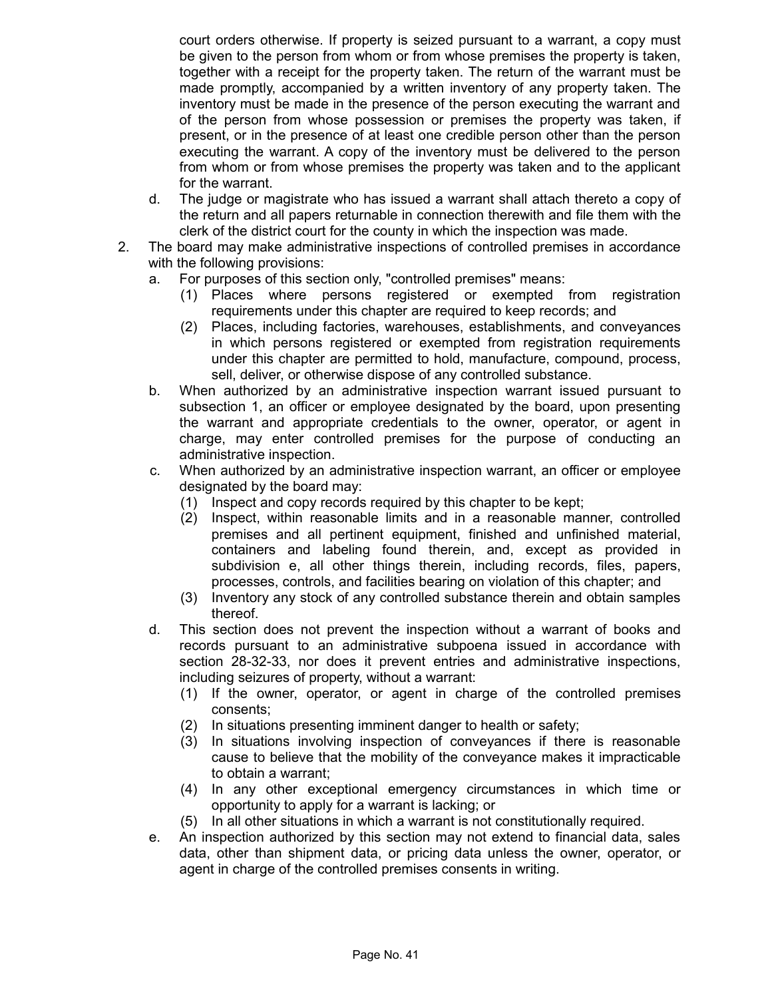court orders otherwise. If property is seized pursuant to a warrant, a copy must be given to the person from whom or from whose premises the property is taken, together with a receipt for the property taken. The return of the warrant must be made promptly, accompanied by a written inventory of any property taken. The inventory must be made in the presence of the person executing the warrant and of the person from whose possession or premises the property was taken, if present, or in the presence of at least one credible person other than the person executing the warrant. A copy of the inventory must be delivered to the person from whom or from whose premises the property was taken and to the applicant for the warrant.

- d. The judge or magistrate who has issued a warrant shall attach thereto a copy of the return and all papers returnable in connection therewith and file them with the clerk of the district court for the county in which the inspection was made.
- 2. The board may make administrative inspections of controlled premises in accordance with the following provisions:
	- a. For purposes of this section only, "controlled premises" means:
		- (1) Places where persons registered or exempted from registration requirements under this chapter are required to keep records; and
		- (2) Places, including factories, warehouses, establishments, and conveyances in which persons registered or exempted from registration requirements under this chapter are permitted to hold, manufacture, compound, process, sell, deliver, or otherwise dispose of any controlled substance.
	- b. When authorized by an administrative inspection warrant issued pursuant to subsection 1, an officer or employee designated by the board, upon presenting the warrant and appropriate credentials to the owner, operator, or agent in charge, may enter controlled premises for the purpose of conducting an administrative inspection.
	- c. When authorized by an administrative inspection warrant, an officer or employee designated by the board may:
		- (1) Inspect and copy records required by this chapter to be kept;
		- (2) Inspect, within reasonable limits and in a reasonable manner, controlled premises and all pertinent equipment, finished and unfinished material, containers and labeling found therein, and, except as provided in subdivision e, all other things therein, including records, files, papers, processes, controls, and facilities bearing on violation of this chapter; and
		- (3) Inventory any stock of any controlled substance therein and obtain samples thereof.
	- d. This section does not prevent the inspection without a warrant of books and records pursuant to an administrative subpoena issued in accordance with section 28-32-33, nor does it prevent entries and administrative inspections, including seizures of property, without a warrant:
		- (1) If the owner, operator, or agent in charge of the controlled premises consents;
		- (2) In situations presenting imminent danger to health or safety;
		- (3) In situations involving inspection of conveyances if there is reasonable cause to believe that the mobility of the conveyance makes it impracticable to obtain a warrant;
		- (4) In any other exceptional emergency circumstances in which time or opportunity to apply for a warrant is lacking; or
		- (5) In all other situations in which a warrant is not constitutionally required.
	- e. An inspection authorized by this section may not extend to financial data, sales data, other than shipment data, or pricing data unless the owner, operator, or agent in charge of the controlled premises consents in writing.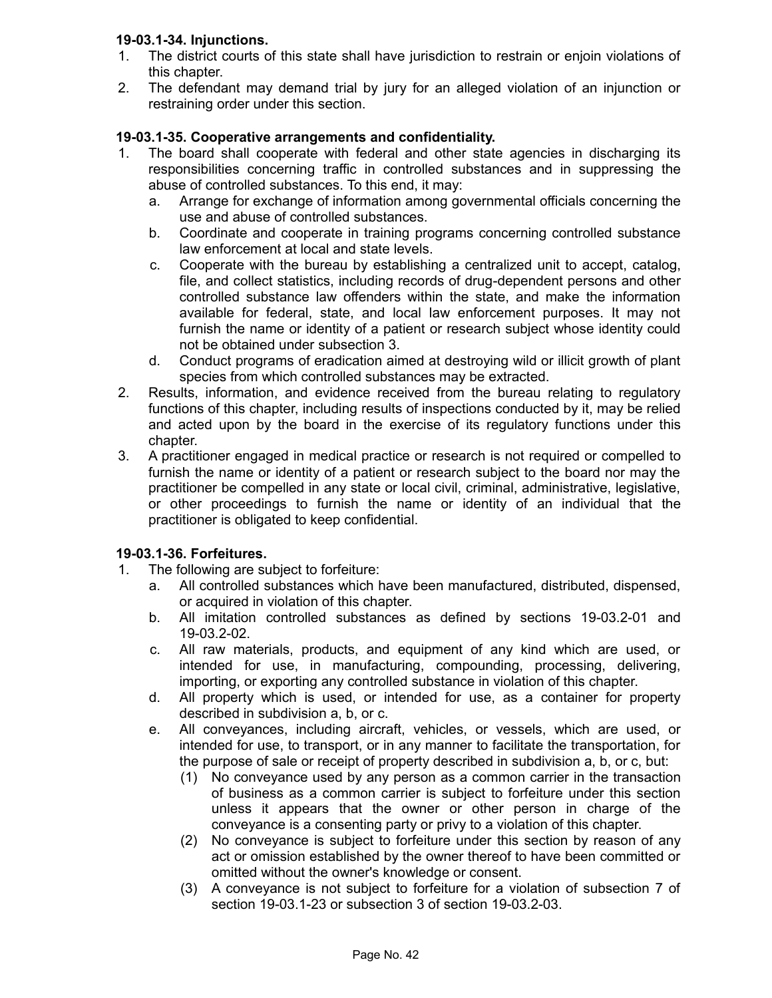# **19-03.1-34. Injunctions.**

- 1. The district courts of this state shall have jurisdiction to restrain or enjoin violations of this chapter.
- 2. The defendant may demand trial by jury for an alleged violation of an injunction or restraining order under this section.

# **19-03.1-35. Cooperative arrangements and confidentiality.**

- 1. The board shall cooperate with federal and other state agencies in discharging its responsibilities concerning traffic in controlled substances and in suppressing the abuse of controlled substances. To this end, it may:
	- a. Arrange for exchange of information among governmental officials concerning the use and abuse of controlled substances.
	- b. Coordinate and cooperate in training programs concerning controlled substance law enforcement at local and state levels.
	- c. Cooperate with the bureau by establishing a centralized unit to accept, catalog, file, and collect statistics, including records of drug-dependent persons and other controlled substance law offenders within the state, and make the information available for federal, state, and local law enforcement purposes. It may not furnish the name or identity of a patient or research subject whose identity could not be obtained under subsection 3.
	- d. Conduct programs of eradication aimed at destroying wild or illicit growth of plant species from which controlled substances may be extracted.
- 2. Results, information, and evidence received from the bureau relating to regulatory functions of this chapter, including results of inspections conducted by it, may be relied and acted upon by the board in the exercise of its regulatory functions under this chapter.
- 3. A practitioner engaged in medical practice or research is not required or compelled to furnish the name or identity of a patient or research subject to the board nor may the practitioner be compelled in any state or local civil, criminal, administrative, legislative, or other proceedings to furnish the name or identity of an individual that the practitioner is obligated to keep confidential.

## **19-03.1-36. Forfeitures.**

- 1. The following are subject to forfeiture:
	- a. All controlled substances which have been manufactured, distributed, dispensed, or acquired in violation of this chapter.
	- b. All imitation controlled substances as defined by sections 19-03.2-01 and 19-03.2-02.
	- c. All raw materials, products, and equipment of any kind which are used, or intended for use, in manufacturing, compounding, processing, delivering, importing, or exporting any controlled substance in violation of this chapter.
	- d. All property which is used, or intended for use, as a container for property described in subdivision a, b, or c.
	- e. All conveyances, including aircraft, vehicles, or vessels, which are used, or intended for use, to transport, or in any manner to facilitate the transportation, for the purpose of sale or receipt of property described in subdivision a, b, or c, but:
		- (1) No conveyance used by any person as a common carrier in the transaction of business as a common carrier is subject to forfeiture under this section unless it appears that the owner or other person in charge of the conveyance is a consenting party or privy to a violation of this chapter.
		- (2) No conveyance is subject to forfeiture under this section by reason of any act or omission established by the owner thereof to have been committed or omitted without the owner's knowledge or consent.
		- (3) A conveyance is not subject to forfeiture for a violation of subsection 7 of section 19-03.1-23 or subsection 3 of section 19-03.2-03.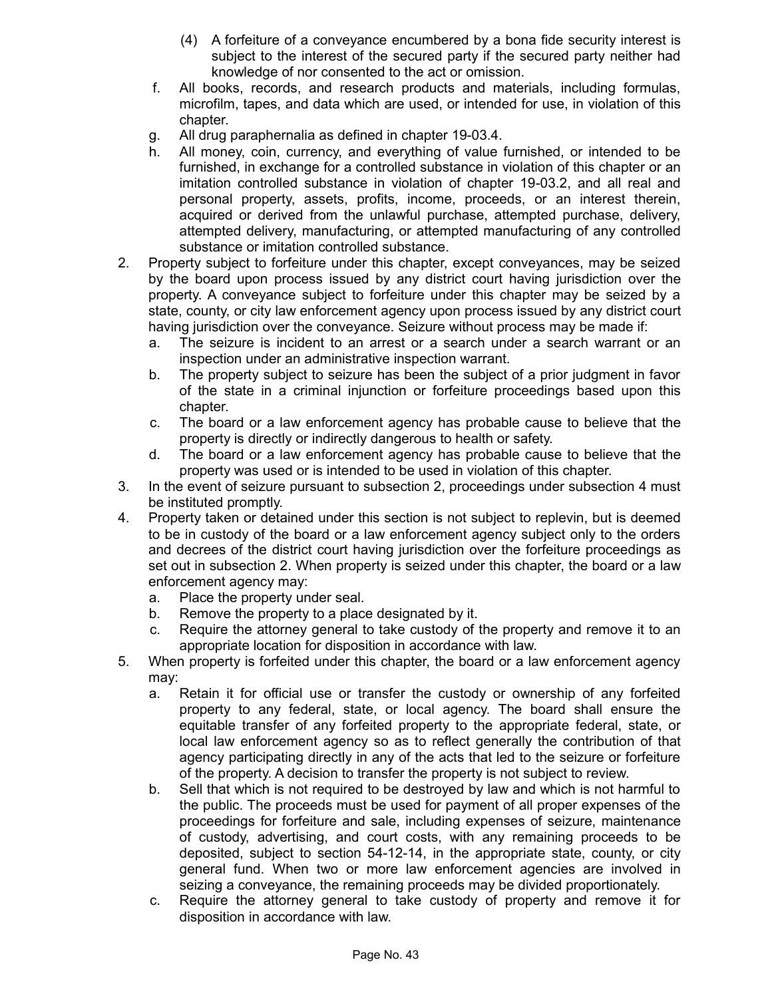- (4) A forfeiture of a conveyance encumbered by a bona fide security interest is subject to the interest of the secured party if the secured party neither had knowledge of nor consented to the act or omission.
- f. All books, records, and research products and materials, including formulas, microfilm, tapes, and data which are used, or intended for use, in violation of this chapter.
- g. All drug paraphernalia as defined in chapter 19-03.4.
- h. All money, coin, currency, and everything of value furnished, or intended to be furnished, in exchange for a controlled substance in violation of this chapter or an imitation controlled substance in violation of chapter 19-03.2, and all real and personal property, assets, profits, income, proceeds, or an interest therein, acquired or derived from the unlawful purchase, attempted purchase, delivery, attempted delivery, manufacturing, or attempted manufacturing of any controlled substance or imitation controlled substance.
- 2. Property subject to forfeiture under this chapter, except conveyances, may be seized by the board upon process issued by any district court having jurisdiction over the property. A conveyance subject to forfeiture under this chapter may be seized by a state, county, or city law enforcement agency upon process issued by any district court having jurisdiction over the conveyance. Seizure without process may be made if:
	- a. The seizure is incident to an arrest or a search under a search warrant or an inspection under an administrative inspection warrant.
	- b. The property subject to seizure has been the subject of a prior judgment in favor of the state in a criminal injunction or forfeiture proceedings based upon this chapter.
	- c. The board or a law enforcement agency has probable cause to believe that the property is directly or indirectly dangerous to health or safety.
	- d. The board or a law enforcement agency has probable cause to believe that the property was used or is intended to be used in violation of this chapter.
- 3. In the event of seizure pursuant to subsection 2, proceedings under subsection 4 must be instituted promptly.
- 4. Property taken or detained under this section is not subject to replevin, but is deemed to be in custody of the board or a law enforcement agency subject only to the orders and decrees of the district court having jurisdiction over the forfeiture proceedings as set out in subsection 2. When property is seized under this chapter, the board or a law enforcement agency may:
	- a. Place the property under seal.
	- b. Remove the property to a place designated by it.
	- c. Require the attorney general to take custody of the property and remove it to an appropriate location for disposition in accordance with law.
- 5. When property is forfeited under this chapter, the board or a law enforcement agency may:
	- a. Retain it for official use or transfer the custody or ownership of any forfeited property to any federal, state, or local agency. The board shall ensure the equitable transfer of any forfeited property to the appropriate federal, state, or local law enforcement agency so as to reflect generally the contribution of that agency participating directly in any of the acts that led to the seizure or forfeiture of the property. A decision to transfer the property is not subject to review.
	- b. Sell that which is not required to be destroyed by law and which is not harmful to the public. The proceeds must be used for payment of all proper expenses of the proceedings for forfeiture and sale, including expenses of seizure, maintenance of custody, advertising, and court costs, with any remaining proceeds to be deposited, subject to section 54-12-14, in the appropriate state, county, or city general fund. When two or more law enforcement agencies are involved in seizing a conveyance, the remaining proceeds may be divided proportionately.
	- c. Require the attorney general to take custody of property and remove it for disposition in accordance with law.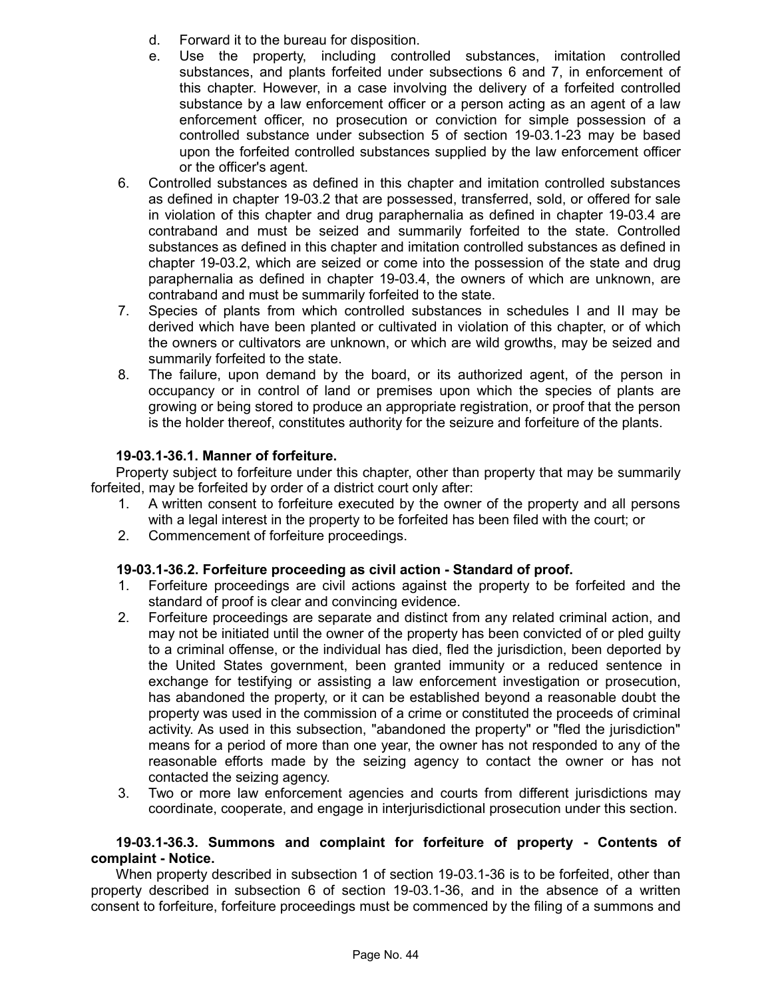- d. Forward it to the bureau for disposition.
- e. Use the property, including controlled substances, imitation controlled substances, and plants forfeited under subsections 6 and 7, in enforcement of this chapter. However, in a case involving the delivery of a forfeited controlled substance by a law enforcement officer or a person acting as an agent of a law enforcement officer, no prosecution or conviction for simple possession of a controlled substance under subsection 5 of section 19-03.1-23 may be based upon the forfeited controlled substances supplied by the law enforcement officer or the officer's agent.
- 6. Controlled substances as defined in this chapter and imitation controlled substances as defined in chapter 19-03.2 that are possessed, transferred, sold, or offered for sale in violation of this chapter and drug paraphernalia as defined in chapter 19-03.4 are contraband and must be seized and summarily forfeited to the state. Controlled substances as defined in this chapter and imitation controlled substances as defined in chapter 19-03.2, which are seized or come into the possession of the state and drug paraphernalia as defined in chapter 19-03.4, the owners of which are unknown, are contraband and must be summarily forfeited to the state.
- 7. Species of plants from which controlled substances in schedules I and II may be derived which have been planted or cultivated in violation of this chapter, or of which the owners or cultivators are unknown, or which are wild growths, may be seized and summarily forfeited to the state.
- 8. The failure, upon demand by the board, or its authorized agent, of the person in occupancy or in control of land or premises upon which the species of plants are growing or being stored to produce an appropriate registration, or proof that the person is the holder thereof, constitutes authority for the seizure and forfeiture of the plants.

# **19-03.1-36.1. Manner of forfeiture.**

Property subject to forfeiture under this chapter, other than property that may be summarily forfeited, may be forfeited by order of a district court only after:

- 1. A written consent to forfeiture executed by the owner of the property and all persons with a legal interest in the property to be forfeited has been filed with the court; or
- 2. Commencement of forfeiture proceedings.

## **19-03.1-36.2. Forfeiture proceeding as civil action - Standard of proof.**

- 1. Forfeiture proceedings are civil actions against the property to be forfeited and the standard of proof is clear and convincing evidence.
- 2. Forfeiture proceedings are separate and distinct from any related criminal action, and may not be initiated until the owner of the property has been convicted of or pled guilty to a criminal offense, or the individual has died, fled the jurisdiction, been deported by the United States government, been granted immunity or a reduced sentence in exchange for testifying or assisting a law enforcement investigation or prosecution, has abandoned the property, or it can be established beyond a reasonable doubt the property was used in the commission of a crime or constituted the proceeds of criminal activity. As used in this subsection, "abandoned the property" or "fled the jurisdiction" means for a period of more than one year, the owner has not responded to any of the reasonable efforts made by the seizing agency to contact the owner or has not contacted the seizing agency.
- 3. Two or more law enforcement agencies and courts from different jurisdictions may coordinate, cooperate, and engage in interjurisdictional prosecution under this section.

#### **19-03.1-36.3. Summons and complaint for forfeiture of property - Contents of complaint - Notice.**

When property described in subsection 1 of section 19-03.1-36 is to be forfeited, other than property described in subsection 6 of section 19-03.1-36, and in the absence of a written consent to forfeiture, forfeiture proceedings must be commenced by the filing of a summons and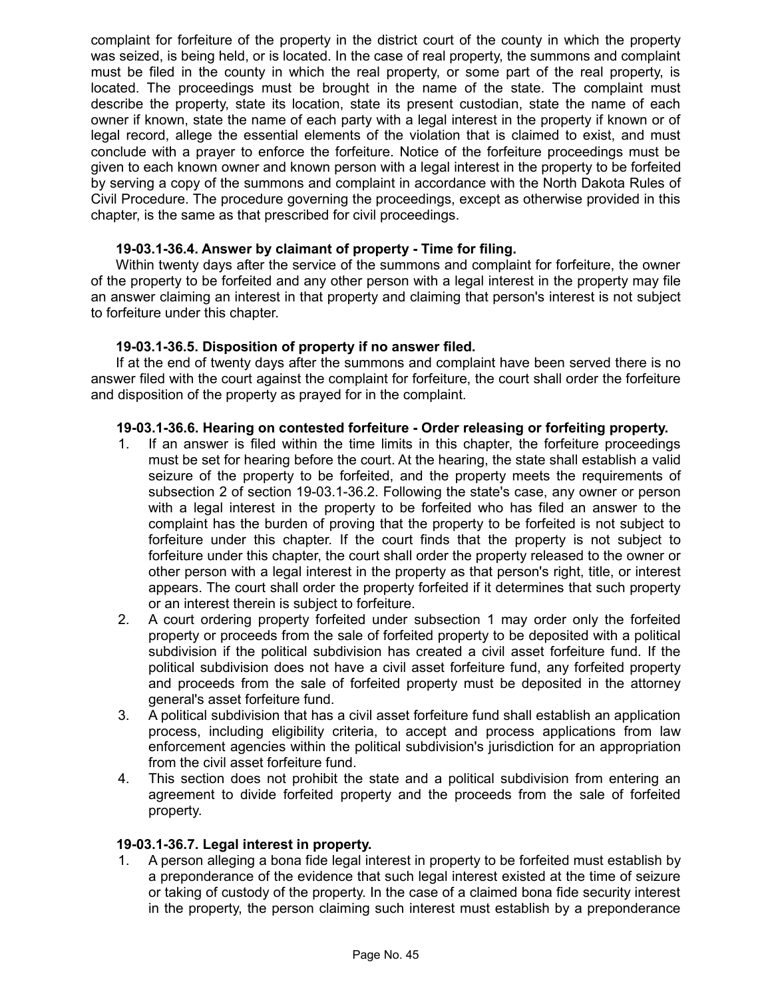complaint for forfeiture of the property in the district court of the county in which the property was seized, is being held, or is located. In the case of real property, the summons and complaint must be filed in the county in which the real property, or some part of the real property, is located. The proceedings must be brought in the name of the state. The complaint must describe the property, state its location, state its present custodian, state the name of each owner if known, state the name of each party with a legal interest in the property if known or of legal record, allege the essential elements of the violation that is claimed to exist, and must conclude with a prayer to enforce the forfeiture. Notice of the forfeiture proceedings must be given to each known owner and known person with a legal interest in the property to be forfeited by serving a copy of the summons and complaint in accordance with the North Dakota Rules of Civil Procedure. The procedure governing the proceedings, except as otherwise provided in this chapter, is the same as that prescribed for civil proceedings.

#### **19-03.1-36.4. Answer by claimant of property - Time for filing.**

Within twenty days after the service of the summons and complaint for forfeiture, the owner of the property to be forfeited and any other person with a legal interest in the property may file an answer claiming an interest in that property and claiming that person's interest is not subject to forfeiture under this chapter.

## **19-03.1-36.5. Disposition of property if no answer filed.**

If at the end of twenty days after the summons and complaint have been served there is no answer filed with the court against the complaint for forfeiture, the court shall order the forfeiture and disposition of the property as prayed for in the complaint.

#### **19-03.1-36.6. Hearing on contested forfeiture - Order releasing or forfeiting property.**

- 1. If an answer is filed within the time limits in this chapter, the forfeiture proceedings must be set for hearing before the court. At the hearing, the state shall establish a valid seizure of the property to be forfeited, and the property meets the requirements of subsection 2 of section 19-03.1-36.2. Following the state's case, any owner or person with a legal interest in the property to be forfeited who has filed an answer to the complaint has the burden of proving that the property to be forfeited is not subject to forfeiture under this chapter. If the court finds that the property is not subject to forfeiture under this chapter, the court shall order the property released to the owner or other person with a legal interest in the property as that person's right, title, or interest appears. The court shall order the property forfeited if it determines that such property or an interest therein is subject to forfeiture.
- 2. A court ordering property forfeited under subsection 1 may order only the forfeited property or proceeds from the sale of forfeited property to be deposited with a political subdivision if the political subdivision has created a civil asset forfeiture fund. If the political subdivision does not have a civil asset forfeiture fund, any forfeited property and proceeds from the sale of forfeited property must be deposited in the attorney general's asset forfeiture fund.
- 3. A political subdivision that has a civil asset forfeiture fund shall establish an application process, including eligibility criteria, to accept and process applications from law enforcement agencies within the political subdivision's jurisdiction for an appropriation from the civil asset forfeiture fund.
- 4. This section does not prohibit the state and a political subdivision from entering an agreement to divide forfeited property and the proceeds from the sale of forfeited property.

#### **19-03.1-36.7. Legal interest in property.**

1. A person alleging a bona fide legal interest in property to be forfeited must establish by a preponderance of the evidence that such legal interest existed at the time of seizure or taking of custody of the property. In the case of a claimed bona fide security interest in the property, the person claiming such interest must establish by a preponderance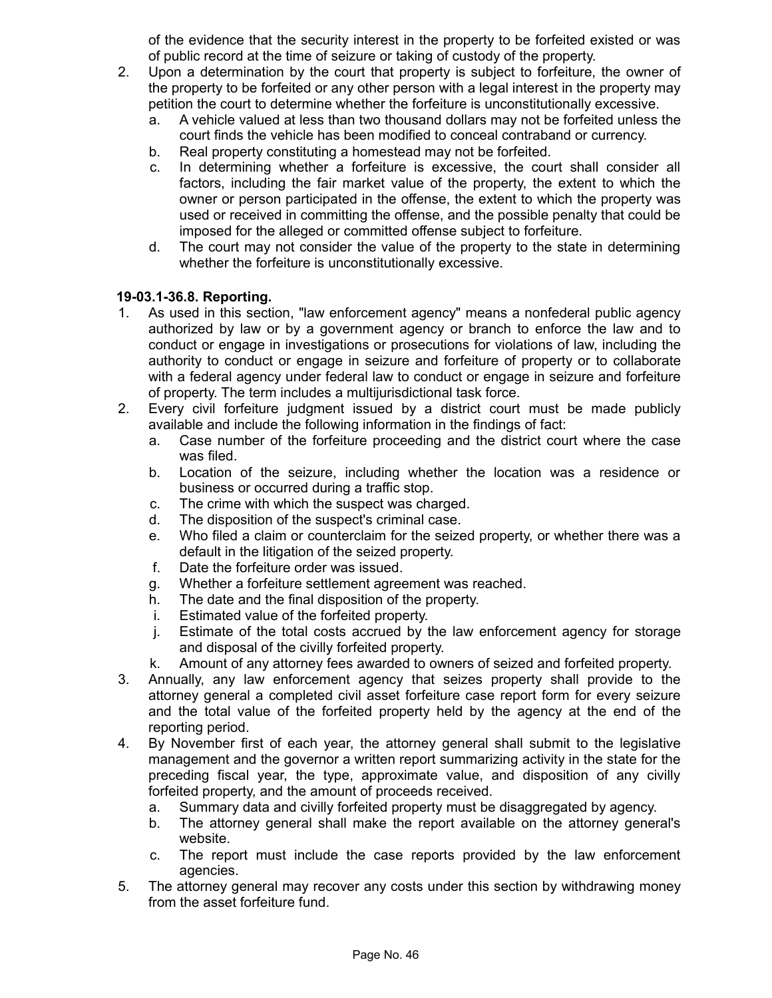of the evidence that the security interest in the property to be forfeited existed or was of public record at the time of seizure or taking of custody of the property.

- 2. Upon a determination by the court that property is subject to forfeiture, the owner of the property to be forfeited or any other person with a legal interest in the property may petition the court to determine whether the forfeiture is unconstitutionally excessive.
	- a. A vehicle valued at less than two thousand dollars may not be forfeited unless the court finds the vehicle has been modified to conceal contraband or currency.
	- b. Real property constituting a homestead may not be forfeited.
	- c. In determining whether a forfeiture is excessive, the court shall consider all factors, including the fair market value of the property, the extent to which the owner or person participated in the offense, the extent to which the property was used or received in committing the offense, and the possible penalty that could be imposed for the alleged or committed offense subject to forfeiture.
	- d. The court may not consider the value of the property to the state in determining whether the forfeiture is unconstitutionally excessive.

## **19-03.1-36.8. Reporting.**

- 1. As used in this section, "law enforcement agency" means a nonfederal public agency authorized by law or by a government agency or branch to enforce the law and to conduct or engage in investigations or prosecutions for violations of law, including the authority to conduct or engage in seizure and forfeiture of property or to collaborate with a federal agency under federal law to conduct or engage in seizure and forfeiture of property. The term includes a multijurisdictional task force.
- 2. Every civil forfeiture judgment issued by a district court must be made publicly available and include the following information in the findings of fact:
	- a. Case number of the forfeiture proceeding and the district court where the case was filed.
	- b. Location of the seizure, including whether the location was a residence or business or occurred during a traffic stop.
	- c. The crime with which the suspect was charged.
	- d. The disposition of the suspect's criminal case.
	- e. Who filed a claim or counterclaim for the seized property, or whether there was a default in the litigation of the seized property.
	- f. Date the forfeiture order was issued.
	- g. Whether a forfeiture settlement agreement was reached.
	- h. The date and the final disposition of the property.
	- i. Estimated value of the forfeited property.
	- j. Estimate of the total costs accrued by the law enforcement agency for storage and disposal of the civilly forfeited property.
	- k. Amount of any attorney fees awarded to owners of seized and forfeited property.
- 3. Annually, any law enforcement agency that seizes property shall provide to the attorney general a completed civil asset forfeiture case report form for every seizure and the total value of the forfeited property held by the agency at the end of the reporting period.
- 4. By November first of each year, the attorney general shall submit to the legislative management and the governor a written report summarizing activity in the state for the preceding fiscal year, the type, approximate value, and disposition of any civilly forfeited property, and the amount of proceeds received.
	- a. Summary data and civilly forfeited property must be disaggregated by agency.
	- b. The attorney general shall make the report available on the attorney general's website.
	- c. The report must include the case reports provided by the law enforcement agencies.
- 5. The attorney general may recover any costs under this section by withdrawing money from the asset forfeiture fund.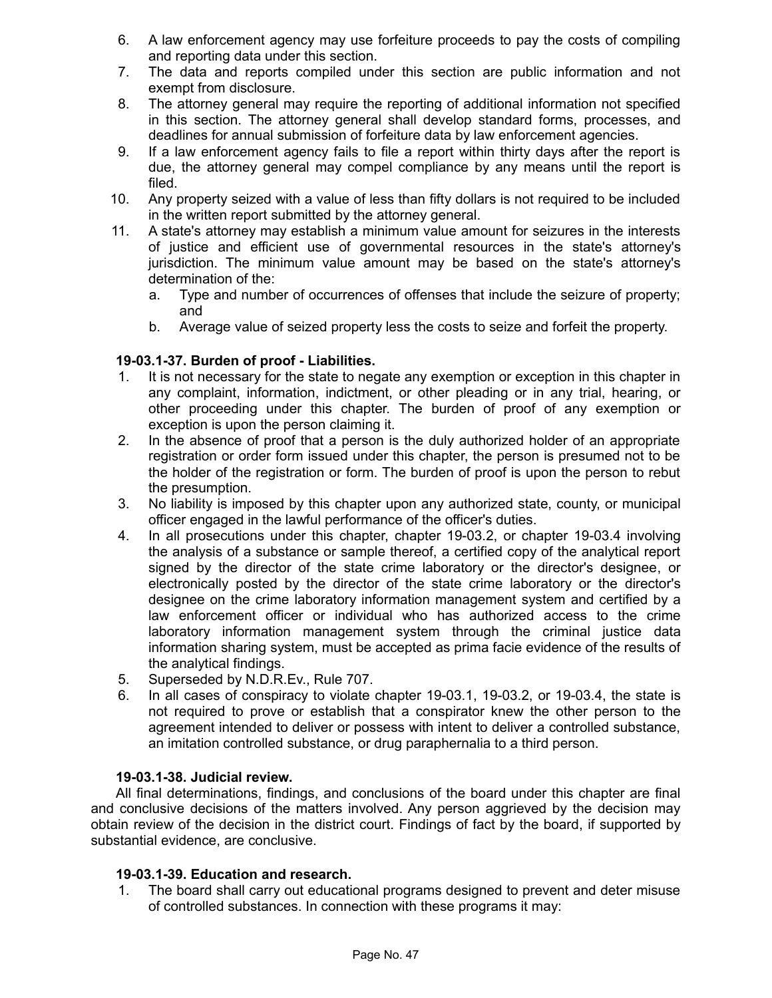- 6. A law enforcement agency may use forfeiture proceeds to pay the costs of compiling and reporting data under this section.
- 7. The data and reports compiled under this section are public information and not exempt from disclosure.
- 8. The attorney general may require the reporting of additional information not specified in this section. The attorney general shall develop standard forms, processes, and deadlines for annual submission of forfeiture data by law enforcement agencies.
- 9. If a law enforcement agency fails to file a report within thirty days after the report is due, the attorney general may compel compliance by any means until the report is filed.
- 10. Any property seized with a value of less than fifty dollars is not required to be included in the written report submitted by the attorney general.
- 11. A state's attorney may establish a minimum value amount for seizures in the interests of justice and efficient use of governmental resources in the state's attorney's jurisdiction. The minimum value amount may be based on the state's attorney's determination of the:
	- a. Type and number of occurrences of offenses that include the seizure of property; and
	- b. Average value of seized property less the costs to seize and forfeit the property.

# **19-03.1-37. Burden of proof - Liabilities.**

- 1. It is not necessary for the state to negate any exemption or exception in this chapter in any complaint, information, indictment, or other pleading or in any trial, hearing, or other proceeding under this chapter. The burden of proof of any exemption or exception is upon the person claiming it.
- 2. In the absence of proof that a person is the duly authorized holder of an appropriate registration or order form issued under this chapter, the person is presumed not to be the holder of the registration or form. The burden of proof is upon the person to rebut the presumption.
- 3. No liability is imposed by this chapter upon any authorized state, county, or municipal officer engaged in the lawful performance of the officer's duties.
- 4. In all prosecutions under this chapter, chapter 19-03.2, or chapter 19-03.4 involving the analysis of a substance or sample thereof, a certified copy of the analytical report signed by the director of the state crime laboratory or the director's designee, or electronically posted by the director of the state crime laboratory or the director's designee on the crime laboratory information management system and certified by a law enforcement officer or individual who has authorized access to the crime laboratory information management system through the criminal justice data information sharing system, must be accepted as prima facie evidence of the results of the analytical findings.
- 5. Superseded by N.D.R.Ev., Rule 707.
- 6. In all cases of conspiracy to violate chapter 19-03.1, 19-03.2, or 19-03.4, the state is not required to prove or establish that a conspirator knew the other person to the agreement intended to deliver or possess with intent to deliver a controlled substance, an imitation controlled substance, or drug paraphernalia to a third person.

## **19-03.1-38. Judicial review.**

All final determinations, findings, and conclusions of the board under this chapter are final and conclusive decisions of the matters involved. Any person aggrieved by the decision may obtain review of the decision in the district court. Findings of fact by the board, if supported by substantial evidence, are conclusive.

## **19-03.1-39. Education and research.**

1. The board shall carry out educational programs designed to prevent and deter misuse of controlled substances. In connection with these programs it may: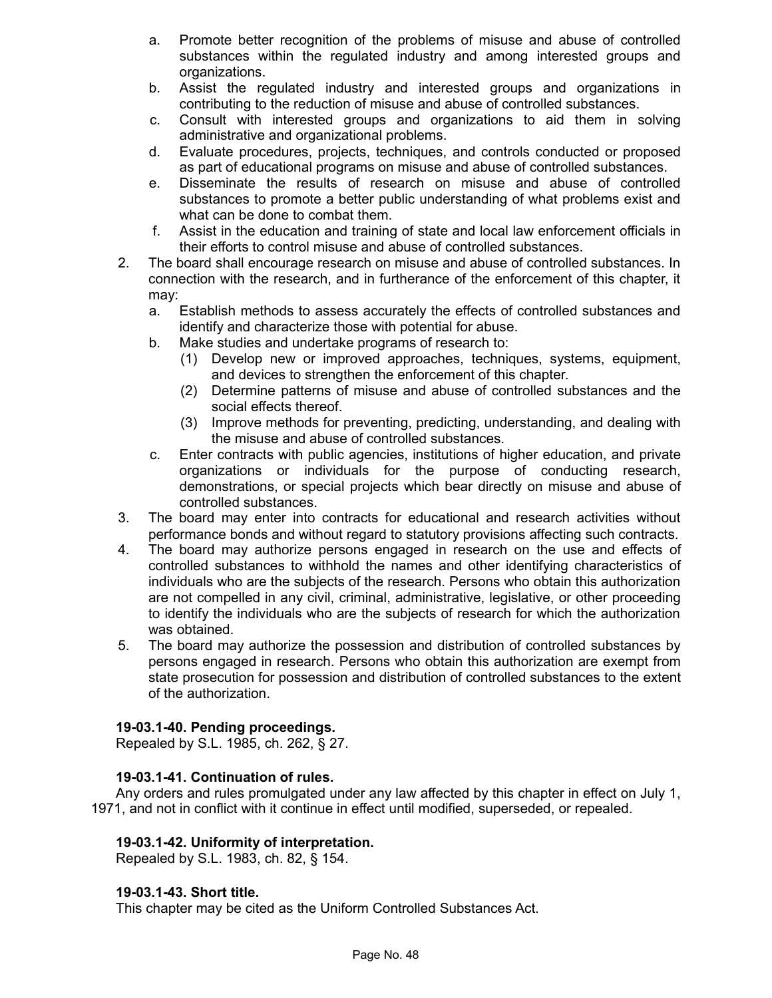- a. Promote better recognition of the problems of misuse and abuse of controlled substances within the regulated industry and among interested groups and organizations.
- b. Assist the regulated industry and interested groups and organizations in contributing to the reduction of misuse and abuse of controlled substances.
- c. Consult with interested groups and organizations to aid them in solving administrative and organizational problems.
- d. Evaluate procedures, projects, techniques, and controls conducted or proposed as part of educational programs on misuse and abuse of controlled substances.
- e. Disseminate the results of research on misuse and abuse of controlled substances to promote a better public understanding of what problems exist and what can be done to combat them.
- f. Assist in the education and training of state and local law enforcement officials in their efforts to control misuse and abuse of controlled substances.
- 2. The board shall encourage research on misuse and abuse of controlled substances. In connection with the research, and in furtherance of the enforcement of this chapter, it may:
	- a. Establish methods to assess accurately the effects of controlled substances and identify and characterize those with potential for abuse.
	- b. Make studies and undertake programs of research to:
		- (1) Develop new or improved approaches, techniques, systems, equipment, and devices to strengthen the enforcement of this chapter.
		- (2) Determine patterns of misuse and abuse of controlled substances and the social effects thereof.
		- (3) Improve methods for preventing, predicting, understanding, and dealing with the misuse and abuse of controlled substances.
	- c. Enter contracts with public agencies, institutions of higher education, and private organizations or individuals for the purpose of conducting research, demonstrations, or special projects which bear directly on misuse and abuse of controlled substances.
- 3. The board may enter into contracts for educational and research activities without performance bonds and without regard to statutory provisions affecting such contracts.
- 4. The board may authorize persons engaged in research on the use and effects of controlled substances to withhold the names and other identifying characteristics of individuals who are the subjects of the research. Persons who obtain this authorization are not compelled in any civil, criminal, administrative, legislative, or other proceeding to identify the individuals who are the subjects of research for which the authorization was obtained.
- 5. The board may authorize the possession and distribution of controlled substances by persons engaged in research. Persons who obtain this authorization are exempt from state prosecution for possession and distribution of controlled substances to the extent of the authorization.

## **19-03.1-40. Pending proceedings.**

Repealed by S.L. 1985, ch. 262, § 27.

# **19-03.1-41. Continuation of rules.**

Any orders and rules promulgated under any law affected by this chapter in effect on July 1, 1971, and not in conflict with it continue in effect until modified, superseded, or repealed.

# **19-03.1-42. Uniformity of interpretation.**

Repealed by S.L. 1983, ch. 82, § 154.

## **19-03.1-43. Short title.**

This chapter may be cited as the Uniform Controlled Substances Act.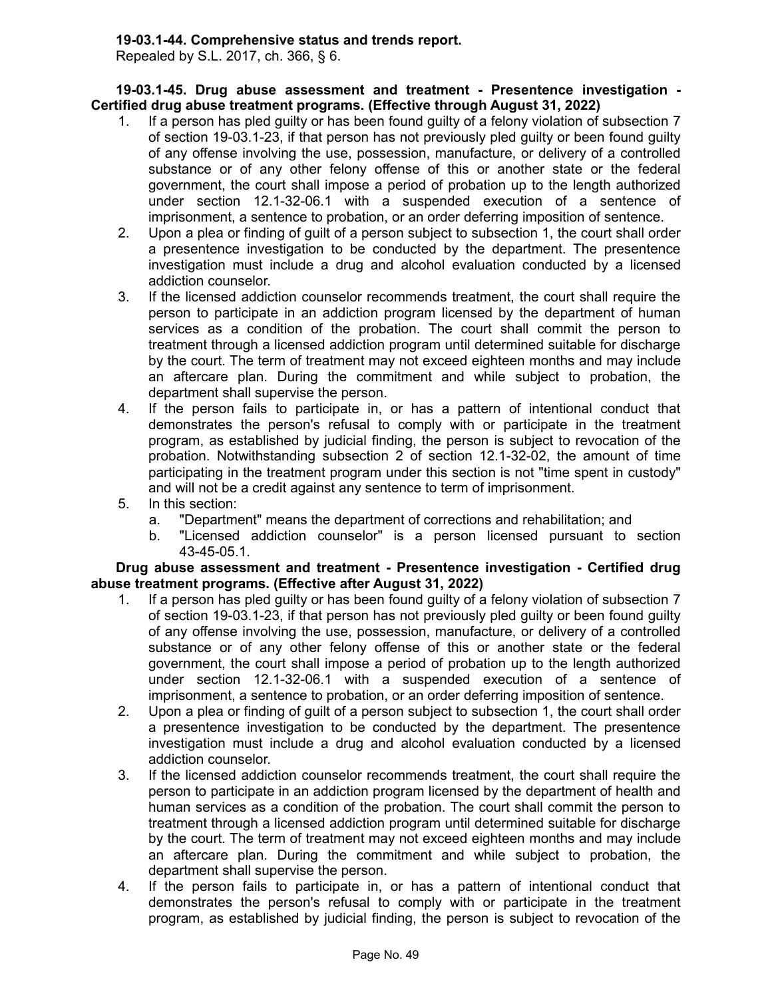#### **19-03.1-44. Comprehensive status and trends report.**

Repealed by S.L. 2017, ch. 366, § 6.

**19-03.1-45. Drug abuse assessment and treatment - Presentence investigation - Certified drug abuse treatment programs. (Effective through August 31, 2022)**

- 1. If a person has pled guilty or has been found guilty of a felony violation of subsection 7 of section 19-03.1-23, if that person has not previously pled guilty or been found guilty of any offense involving the use, possession, manufacture, or delivery of a controlled substance or of any other felony offense of this or another state or the federal government, the court shall impose a period of probation up to the length authorized under section 12.1-32-06.1 with a suspended execution of a sentence of imprisonment, a sentence to probation, or an order deferring imposition of sentence.
- 2. Upon a plea or finding of guilt of a person subject to subsection 1, the court shall order a presentence investigation to be conducted by the department. The presentence investigation must include a drug and alcohol evaluation conducted by a licensed addiction counselor.
- 3. If the licensed addiction counselor recommends treatment, the court shall require the person to participate in an addiction program licensed by the department of human services as a condition of the probation. The court shall commit the person to treatment through a licensed addiction program until determined suitable for discharge by the court. The term of treatment may not exceed eighteen months and may include an aftercare plan. During the commitment and while subject to probation, the department shall supervise the person.
- 4. If the person fails to participate in, or has a pattern of intentional conduct that demonstrates the person's refusal to comply with or participate in the treatment program, as established by judicial finding, the person is subject to revocation of the probation. Notwithstanding subsection 2 of section 12.1-32-02, the amount of time participating in the treatment program under this section is not "time spent in custody" and will not be a credit against any sentence to term of imprisonment.
- 5. In this section:
	- a. "Department" means the department of corrections and rehabilitation; and
	- b. "Licensed addiction counselor" is a person licensed pursuant to section 43-45-05.1.

**Drug abuse assessment and treatment - Presentence investigation - Certified drug abuse treatment programs. (Effective after August 31, 2022)**

- 1. If a person has pled guilty or has been found guilty of a felony violation of subsection 7 of section 19-03.1-23, if that person has not previously pled guilty or been found guilty of any offense involving the use, possession, manufacture, or delivery of a controlled substance or of any other felony offense of this or another state or the federal government, the court shall impose a period of probation up to the length authorized under section 12.1-32-06.1 with a suspended execution of a sentence of imprisonment, a sentence to probation, or an order deferring imposition of sentence.
- 2. Upon a plea or finding of guilt of a person subject to subsection 1, the court shall order a presentence investigation to be conducted by the department. The presentence investigation must include a drug and alcohol evaluation conducted by a licensed addiction counselor.
- 3. If the licensed addiction counselor recommends treatment, the court shall require the person to participate in an addiction program licensed by the department of health and human services as a condition of the probation. The court shall commit the person to treatment through a licensed addiction program until determined suitable for discharge by the court. The term of treatment may not exceed eighteen months and may include an aftercare plan. During the commitment and while subject to probation, the department shall supervise the person.
- 4. If the person fails to participate in, or has a pattern of intentional conduct that demonstrates the person's refusal to comply with or participate in the treatment program, as established by judicial finding, the person is subject to revocation of the